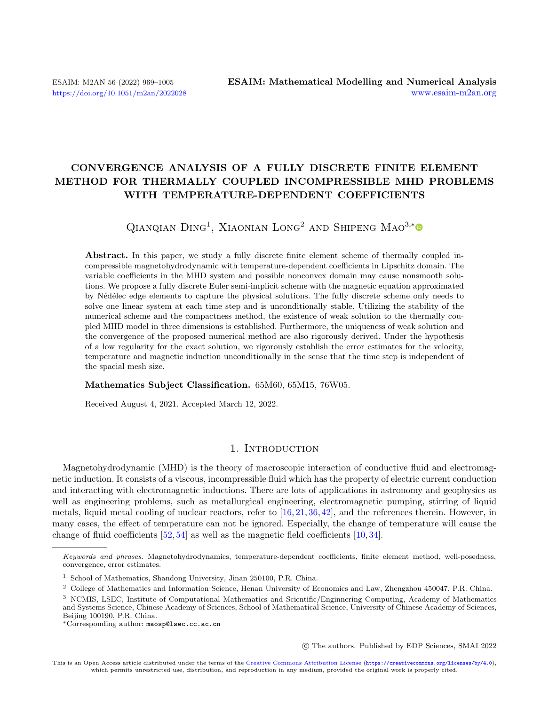## CONVERGENCE ANALYSIS OF A FULLY DISCRETE FINITE ELEMENT METHOD FOR THERMALLY COUPLED INCOMPRESSIBLE MHD PROBLEMS WITH TEMPERATURE-DEPENDENT COEFFICIENTS

QIANQIAN DING<sup>1</sup>, XIAONIAN LONG<sup>2</sup> AND SHIPENG MAO<sup>3,[\\*](https://orcid.org/0000-0003-4115-6039)</sup>

Abstract. In this paper, we study a fully discrete finite element scheme of thermally coupled incompressible magnetohydrodynamic with temperature-dependent coefficients in Lipschitz domain. The variable coefficients in the MHD system and possible nonconvex domain may cause nonsmooth solutions. We propose a fully discrete Euler semi-implicit scheme with the magnetic equation approximated by N´ed´elec edge elements to capture the physical solutions. The fully discrete scheme only needs to solve one linear system at each time step and is unconditionally stable. Utilizing the stability of the numerical scheme and the compactness method, the existence of weak solution to the thermally coupled MHD model in three dimensions is established. Furthermore, the uniqueness of weak solution and the convergence of the proposed numerical method are also rigorously derived. Under the hypothesis of a low regularity for the exact solution, we rigorously establish the error estimates for the velocity, temperature and magnetic induction unconditionally in the sense that the time step is independent of the spacial mesh size.

#### Mathematics Subject Classification. 65M60, 65M15, 76W05.

Received August 4, 2021. Accepted March 12, 2022.

## 1. INTRODUCTION

<span id="page-0-0"></span>Magnetohydrodynamic (MHD) is the theory of macroscopic interaction of conductive fluid and electromagnetic induction. It consists of a viscous, incompressible fluid which has the property of electric current conduction and interacting with electromagnetic inductions. There are lots of applications in astronomy and geophysics as well as engineering problems, such as metallurgical engineering, electromagnetic pumping, stirring of liquid metals, liquid metal cooling of nuclear reactors, refer to [\[16,](#page-34-0) [21,](#page-35-0) [36,](#page-35-1) [42\]](#page-35-2), and the references therein. However, in many cases, the effect of temperature can not be ignored. Especially, the change of temperature will cause the change of fluid coefficients [\[52,](#page-35-3) [54\]](#page-36-0) as well as the magnetic field coefficients [\[10,](#page-34-1) [34\]](#page-35-4).

○c The authors. Published by EDP Sciences, SMAI 2022

Keywords and phrases. Magnetohydrodynamics, temperature-dependent coefficients, finite element method, well-posedness, convergence, error estimates.

<sup>&</sup>lt;sup>1</sup> School of Mathematics, Shandong University, Jinan 250100, P.R. China.

<sup>2</sup> College of Mathematics and Information Science, Henan University of Economics and Law, Zhengzhou 450047, P.R. China.

<sup>3</sup> NCMIS, LSEC, Institute of Computational Mathematics and Scientific/Enginnering Computing, Academy of Mathematics and Systems Science, Chinese Academy of Sciences, School of Mathematical Science, University of Chinese Academy of Sciences, Beijing 100190, P.R. China.

<sup>\*</sup>Corresponding author: [maosp@lsec.cc.ac.cn](mailto:maosp@lsec.cc.ac.cn)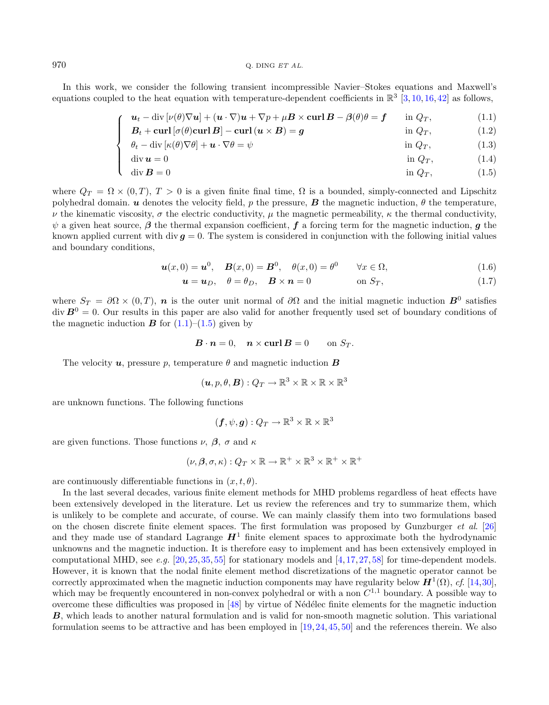#### $970$  Q. DING  $ETAL$ .

In this work, we consider the following transient incompressible Navier–Stokes equations and Maxwell's equations coupled to the heat equation with temperature-dependent coefficients in  $\mathbb{R}^3$  [\[3,](#page-34-2) [10,](#page-34-1) [16,](#page-34-0) [42\]](#page-35-2) as follows,

$$
\mathbf{u}_t - \mathrm{div}\left[\nu(\theta)\nabla\mathbf{u}\right] + (\mathbf{u}\cdot\nabla)\mathbf{u} + \nabla p + \mu \mathbf{B} \times \mathbf{curl}\,\mathbf{B} - \beta(\theta)\theta = \mathbf{f} \qquad \text{in } Q_T,\tag{1.1}
$$

$$
B_t + \operatorname{curl} \left[ \sigma(\theta) \operatorname{curl} B \right] - \operatorname{curl} \left( u \times B \right) = g \qquad \qquad \text{in } Q_T, \tag{1.2}
$$

$$
\begin{cases}\nB_t + \operatorname{curl} \left[ \sigma(\theta) \operatorname{curl} \mathbf{B} \right] - \operatorname{curl} (\mathbf{u} \times \mathbf{B}) = \mathbf{g} & \text{in } Q_T, \\
\theta_t - \operatorname{div} \left[ \kappa(\theta) \nabla \theta \right] + \mathbf{u} \cdot \nabla \theta = \psi & \text{in } Q_T,\n\end{cases}
$$
\n(1.2)

$$
\begin{cases}\n\text{div } \mathbf{u} = 0 & \text{in } Q_T, \\
\text{div } \mathbf{B} = 0 & \text{in } Q_T,\n\end{cases}
$$
\n(1.4)

$$
\operatorname{div} \mathbf{B} = 0 \qquad \qquad \text{in } \mathbf{Q}_T,\tag{1.5}
$$

where  $Q_T = \Omega \times (0,T)$ ,  $T > 0$  is a given finite final time,  $\Omega$  is a bounded, simply-connected and Lipschitz polyhedral domain.  $\boldsymbol{u}$  denotes the velocity field,  $p$  the pressure,  $\boldsymbol{B}$  the magnetic induction,  $\theta$  the temperature,  $\nu$  the kinematic viscosity,  $\sigma$  the electric conductivity,  $\mu$  the magnetic permeability,  $\kappa$  the thermal conductivity,  $\psi$  a given heat source,  $\beta$  the thermal expansion coefficient, f a forcing term for the magnetic induction, q the known applied current with div  $q = 0$ . The system is considered in conjunction with the following initial values and boundary conditions,

$$
\mathbf{u}(x,0) = \mathbf{u}^0, \quad \mathbf{B}(x,0) = \mathbf{B}^0, \quad \theta(x,0) = \theta^0 \qquad \forall x \in \Omega,\tag{1.6}
$$

<span id="page-1-1"></span><span id="page-1-0"></span>
$$
\mathbf{u} = \mathbf{u}_D, \quad \theta = \theta_D, \quad \mathbf{B} \times \mathbf{n} = 0 \quad \text{on } S_T, \tag{1.7}
$$

where  $S_T = \partial \Omega \times (0,T)$ , n is the outer unit normal of  $\partial \Omega$  and the initial magnetic induction  $B^0$  satisfies  $\text{div} \, \boldsymbol{B}^0 = 0$ . Our results in this paper are also valid for another frequently used set of boundary conditions of the magnetic induction  $\bf{B}$  for [\(1.1\)](#page-0-0)–[\(1.5\)](#page-0-0) given by

$$
\boldsymbol{B} \cdot \boldsymbol{n} = 0, \quad \boldsymbol{n} \times \mathbf{curl} \, \boldsymbol{B} = 0 \qquad \text{on } S_T.
$$

The velocity  $u$ , pressure p, temperature  $\theta$  and magnetic induction **B** 

$$
(\boldsymbol{u},p,\theta,\boldsymbol{B}):Q_T\to\mathbb{R}^3\times\mathbb{R}\times\mathbb{R}\times\mathbb{R}^3
$$

are unknown functions. The following functions

$$
(\boldsymbol{f},\psi,\boldsymbol{g}):\mathit{Q}_T\rightarrow\mathbb{R}^3\times\mathbb{R}\times\mathbb{R}^3
$$

are given functions. Those functions  $\nu$ ,  $\beta$ ,  $\sigma$  and  $\kappa$ 

$$
(\nu,\beta,\sigma,\kappa):Q_T\times\mathbb{R}\to\mathbb{R}^+\times\mathbb{R}^3\times\mathbb{R}^+\times\mathbb{R}^+
$$

are continuously differentiable functions in  $(x, t, \theta)$ .

In the last several decades, various finite element methods for MHD problems regardless of heat effects have been extensively developed in the literature. Let us review the references and try to summarize them, which is unlikely to be complete and accurate, of course. We can mainly classify them into two formulations based on the chosen discrete finite element spaces. The first formulation was proposed by Gunzburger et al. [\[26\]](#page-35-5) and they made use of standard Lagrange  $H<sup>1</sup>$  finite element spaces to approximate both the hydrodynamic unknowns and the magnetic induction. It is therefore easy to implement and has been extensively employed in computational MHD, see e.g.  $[20, 25, 35, 55]$  $[20, 25, 35, 55]$  $[20, 25, 35, 55]$  $[20, 25, 35, 55]$  $[20, 25, 35, 55]$  $[20, 25, 35, 55]$  $[20, 25, 35, 55]$  for stationary models and  $[4, 17, 27, 58]$  $[4, 17, 27, 58]$  $[4, 17, 27, 58]$  $[4, 17, 27, 58]$  $[4, 17, 27, 58]$  $[4, 17, 27, 58]$  $[4, 17, 27, 58]$  for time-dependent models. However, it is known that the nodal finite element method discretizations of the magnetic operator cannot be correctly approximated when the magnetic induction components may have regularity below  $H^1(\Omega)$ , cf. [\[14,](#page-34-6)[30\]](#page-35-9), which may be frequently encountered in non-convex polyhedral or with a non  $C^{1,1}$  boundary. A possible way to overcome these difficulties was proposed in [\[48\]](#page-35-10) by virtue of N´ed´elec finite elements for the magnetic induction **B**, which leads to another natural formulation and is valid for non-smooth magnetic solution. This variational formulation seems to be attractive and has been employed in [\[19,](#page-34-7)[24,](#page-35-11)[45,](#page-35-12) [50\]](#page-35-13) and the references therein. We also

 $\sqrt{ }$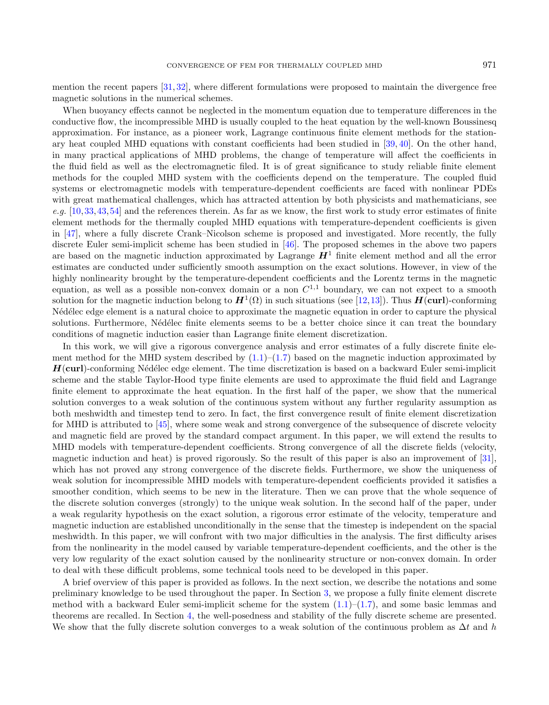mention the recent papers [\[31,](#page-35-14) [32\]](#page-35-15), where different formulations were proposed to maintain the divergence free magnetic solutions in the numerical schemes.

When buoyancy effects cannot be neglected in the momentum equation due to temperature differences in the conductive flow, the incompressible MHD is usually coupled to the heat equation by the well-known Boussinesq approximation. For instance, as a pioneer work, Lagrange continuous finite element methods for the stationary heat coupled MHD equations with constant coefficients had been studied in [\[39,](#page-35-16) [40\]](#page-35-17). On the other hand, in many practical applications of MHD problems, the change of temperature will affect the coefficients in the fluid field as well as the electromagnetic filed. It is of great significance to study reliable finite element methods for the coupled MHD system with the coefficients depend on the temperature. The coupled fluid systems or electromagnetic models with temperature-dependent coefficients are faced with nonlinear PDEs with great mathematical challenges, which has attracted attention by both physicists and mathematicians, see e.g.  $[10,33,43,54]$  $[10,33,43,54]$  $[10,33,43,54]$  $[10,33,43,54]$  and the references therein. As far as we know, the first work to study error estimates of finite element methods for the thermally coupled MHD equations with temperature-dependent coefficients is given in [\[47\]](#page-35-20), where a fully discrete Crank–Nicolson scheme is proposed and investigated. More recently, the fully discrete Euler semi-implicit scheme has been studied in [\[46\]](#page-35-21). The proposed schemes in the above two papers are based on the magnetic induction approximated by Lagrange  $H<sup>1</sup>$  finite element method and all the error estimates are conducted under sufficiently smooth assumption on the exact solutions. However, in view of the highly nonlinearity brought by the temperature-dependent coefficients and the Lorentz terms in the magnetic equation, as well as a possible non-convex domain or a non  $C^{1,1}$  boundary, we can not expect to a smooth solution for the magnetic induction belong to  $H^1(\Omega)$  in such situations (see [\[12,](#page-34-8)[13\]](#page-34-9)). Thus  $H(\text{curl})$ -conforming N'ed'elec edge element is a natural choice to approximate the magnetic equation in order to capture the physical solutions. Furthermore, Nédélec finite elements seems to be a better choice since it can treat the boundary conditions of magnetic induction easier than Lagrange finite element discretization.

In this work, we will give a rigorous convergence analysis and error estimates of a fully discrete finite element method for the MHD system described by  $(1.1)$ – $(1.7)$  based on the magnetic induction approximated by  $H$ (curl)-conforming Nédélec edge element. The time discretization is based on a backward Euler semi-implicit scheme and the stable Taylor-Hood type finite elements are used to approximate the fluid field and Lagrange finite element to approximate the heat equation. In the first half of the paper, we show that the numerical solution converges to a weak solution of the continuous system without any further regularity assumption as both meshwidth and timestep tend to zero. In fact, the first convergence result of finite element discretization for MHD is attributed to [\[45\]](#page-35-12), where some weak and strong convergence of the subsequence of discrete velocity and magnetic field are proved by the standard compact argument. In this paper, we will extend the results to MHD models with temperature-dependent coefficients. Strong convergence of all the discrete fields (velocity, magnetic induction and heat) is proved rigorously. So the result of this paper is also an improvement of [\[31\]](#page-35-14), which has not proved any strong convergence of the discrete fields. Furthermore, we show the uniqueness of weak solution for incompressible MHD models with temperature-dependent coefficients provided it satisfies a smoother condition, which seems to be new in the literature. Then we can prove that the whole sequence of the discrete solution converges (strongly) to the unique weak solution. In the second half of the paper, under a weak regularity hypothesis on the exact solution, a rigorous error estimate of the velocity, temperature and magnetic induction are established unconditionally in the sense that the timestep is independent on the spacial meshwidth. In this paper, we will confront with two major difficulties in the analysis. The first difficulty arises from the nonlinearity in the model caused by variable temperature-dependent coefficients, and the other is the very low regularity of the exact solution caused by the nonlinearity structure or non-convex domain. In order to deal with these difficult problems, some technical tools need to be developed in this paper.

A brief overview of this paper is provided as follows. In the next section, we describe the notations and some preliminary knowledge to be used throughout the paper. In Section [3,](#page-5-0) we propose a fully finite element discrete method with a backward Euler semi-implicit scheme for the system  $(1.1)$ – $(1.7)$ , and some basic lemmas and theorems are recalled. In Section [4,](#page-9-0) the well-posedness and stability of the fully discrete scheme are presented. We show that the fully discrete solution converges to a weak solution of the continuous problem as  $\Delta t$  and  $h$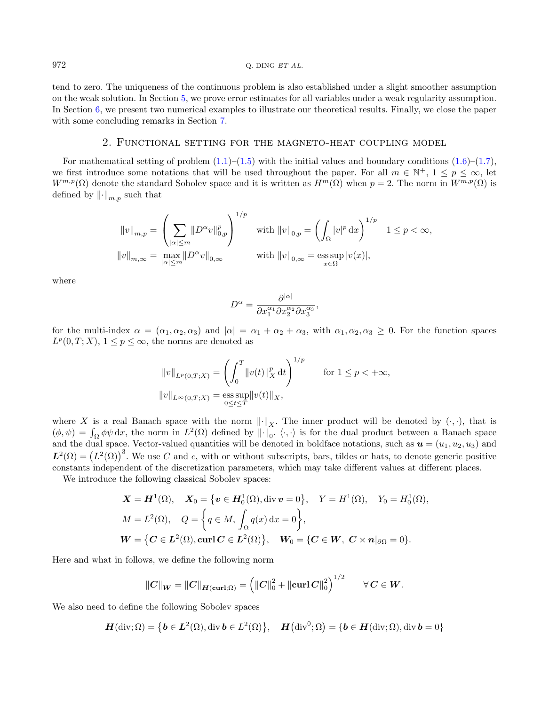tend to zero. The uniqueness of the continuous problem is also established under a slight smoother assumption on the weak solution. In Section [5,](#page-24-0) we prove error estimates for all variables under a weak regularity assumption. In Section [6,](#page-32-0) we present two numerical examples to illustrate our theoretical results. Finally, we close the paper with some concluding remarks in Section [7.](#page-33-0)

## 2. Functional setting for the magneto-heat coupling model

For mathematical setting of problem  $(1.1)$ – $(1.5)$  with the initial values and boundary conditions  $(1.6)$ – $(1.7)$ , we first introduce some notations that will be used throughout the paper. For all  $m \in \mathbb{N}^+$ ,  $1 \le p \le \infty$ , let  $W^{m,p}(\Omega)$  denote the standard Sobolev space and it is written as  $H^m(\Omega)$  when  $p = 2$ . The norm in  $W^{m,p}(\Omega)$  is defined by  $\left\| \cdot \right\|_{m,n}$  such that

$$
||v||_{m,p} = \left(\sum_{|\alpha| \le m} ||D^{\alpha}v||_{0,p}^p\right)^{1/p} \quad \text{with } ||v||_{0,p} = \left(\int_{\Omega} |v|^p \,dx\right)^{1/p} \quad 1 \le p < \infty,
$$
  

$$
||v||_{m,\infty} = \max_{|\alpha| \le m} ||D^{\alpha}v||_{0,\infty} \qquad \text{with } ||v||_{0,\infty} = \operatorname*{ess\,sup}_{x \in \Omega} |v(x)|,
$$

where

$$
D^{\alpha} = \frac{\partial^{|\alpha|}}{\partial x_1^{\alpha_1} \partial x_2^{\alpha_2} \partial x_3^{\alpha_3}},
$$

for the multi-index  $\alpha = (\alpha_1, \alpha_2, \alpha_3)$  and  $|\alpha| = \alpha_1 + \alpha_2 + \alpha_3$ , with  $\alpha_1, \alpha_2, \alpha_3 \geq 0$ . For the function spaces  $L^p(0, T; X), 1 \leq p \leq \infty$ , the norms are denoted as

$$
||v||_{L^{p}(0,T;X)} = \left(\int_{0}^{T} ||v(t)||_{X}^{p} dt\right)^{1/p} \quad \text{for } 1 \le p < +\infty,
$$
  

$$
||v||_{L^{\infty}(0,T;X)} = \operatorname*{ess\,sup}_{0 \le t \le T} ||v(t)||_{X},
$$

where X is a real Banach space with the norm  $\|\cdot\|_X$ . The inner product will be denoted by  $(\cdot, \cdot)$ , that is  $(\phi, \psi) = \int_{\Omega} \phi \psi \, dx$ , the norm in  $L^2(\Omega)$  defined by  $\|\cdot\|_0$ .  $\langle \cdot, \cdot \rangle$  is for the dual product between a Banach space and the dual space. Vector-valued quantities will be denoted in boldface notations, such as  $u = (u_1, u_2, u_3)$  and  $L^2(\Omega) = (L^2(\Omega))^3$ . We use C and c, with or without subscripts, bars, tildes or hats, to denote generic positive constants independent of the discretization parameters, which may take different values at different places.

We introduce the following classical Sobolev spaces:

$$
\mathbf{X} = \mathbf{H}^{1}(\Omega), \quad \mathbf{X}_{0} = \{ \mathbf{v} \in \mathbf{H}_{0}^{1}(\Omega), \operatorname{div} \mathbf{v} = 0 \}, \quad Y = H^{1}(\Omega), \quad Y_{0} = H_{0}^{1}(\Omega),
$$
  
\n
$$
M = L^{2}(\Omega), \quad Q = \left\{ q \in M, \int_{\Omega} q(x) dx = 0 \right\},
$$
  
\n
$$
\mathbf{W} = \left\{ \mathbf{C} \in \mathbf{L}^{2}(\Omega), \operatorname{curl} \mathbf{C} \in \mathbf{L}^{2}(\Omega) \right\}, \quad \mathbf{W}_{0} = \left\{ \mathbf{C} \in \mathbf{W}, \mathbf{C} \times \mathbf{n} |_{\partial\Omega} = 0 \right\}.
$$

Here and what in follows, we define the following norm

$$
||C||_W = ||C||_{H(\text{curl};\Omega)} = (||C||_0^2 + ||\text{curl }C||_0^2)^{1/2} \qquad \forall C \in W.
$$

We also need to define the following Sobolev spaces

$$
\boldsymbol{H}(\text{div};\Omega) = \left\{\boldsymbol{b} \in \boldsymbol{L}^2(\Omega), \text{div }\boldsymbol{b} \in L^2(\Omega)\right\}, \quad \boldsymbol{H}\big(\text{div}^0;\Omega\big) = \left\{\boldsymbol{b} \in \boldsymbol{H}(\text{div};\Omega), \text{div }\boldsymbol{b} = 0\right\}
$$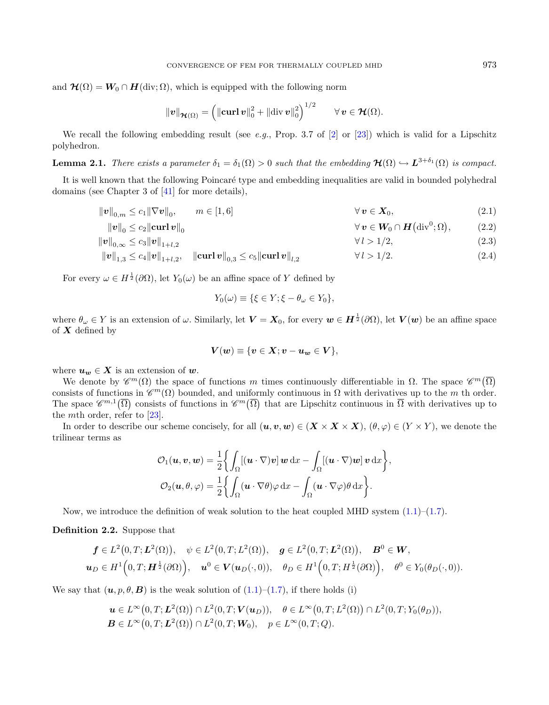<span id="page-4-2"></span>and  $\mathcal{H}(\Omega) = W_0 \cap H(\text{div}; \Omega)$ , which is equipped with the following norm

<span id="page-4-3"></span><span id="page-4-1"></span>
$$
\|\boldsymbol{v}\|_{\boldsymbol{\mathcal{H}}(\Omega)}=\left(\|\mathbf{curl}\,\boldsymbol{v}\|_{0}^{2}+\|\mathrm{div}\,\boldsymbol{v}\|_{0}^{2}\right)^{1/2}\qquad\forall\,\boldsymbol{v}\in\boldsymbol{\mathcal{H}}(\Omega).
$$

We recall the following embedding result (see e.g., Prop. 3.7 of [\[2\]](#page-34-10) or [\[23\]](#page-35-22)) which is valid for a Lipschitz polyhedron.

**Lemma 2.1.** There exists a parameter  $\delta_1 = \delta_1(\Omega) > 0$  such that the embedding  $\mathcal{H}(\Omega) \hookrightarrow L^{3+\delta_1}(\Omega)$  is compact.

It is well known that the following Poincaré type and embedding inequalities are valid in bounded polyhedral domains (see Chapter 3 of [\[41\]](#page-35-23) for more details),

$$
\|\mathbf{v}\|_{0,m} \le c_1 \|\nabla \mathbf{v}\|_0, \qquad m \in [1,6] \qquad \forall \mathbf{v} \in \mathbf{X}_0,\tag{2.1}
$$

$$
\|\mathbf{v}\|_{0} \leq c_{2} \|\mathbf{curl}\,\mathbf{v}\|_{0} \qquad \qquad \forall\,\mathbf{v} \in \mathbf{W}_{0} \cap \mathbf{H}\big(\mathrm{div}^{0};\Omega\big), \qquad (2.2)
$$

$$
\|v\|_{0,\infty} \le c_3 \|v\|_{1+l,2} \tag{2.3}
$$

$$
\|\mathbf{v}\|_{1,3} \le c_4 \|\mathbf{v}\|_{1+l,2}, \quad \|\mathbf{curl}\,\mathbf{v}\|_{0,3} \le c_5 \|\mathbf{curl}\,\mathbf{v}\|_{l,2} \qquad \forall \, l > 1/2. \tag{2.4}
$$

For every  $\omega \in H^{\frac{1}{2}}(\partial \Omega)$ , let  $Y_0(\omega)$  be an affine space of Y defined by

$$
Y_0(\omega) \equiv \{ \xi \in Y; \xi - \theta_\omega \in Y_0 \},\
$$

where  $\theta_\omega \in Y$  is an extension of  $\omega$ . Similarly, let  $\bm{V} = \bm{X}_0$ , for every  $\bm{w} \in \bm{H}^{\frac{1}{2}}(\partial\Omega)$ , let  $\bm{V}(\bm{w})$  be an affine space of  $X$  defined by

$$
\boldsymbol{V}(\boldsymbol{w})\equiv\{\boldsymbol{v}\in\boldsymbol{X};\boldsymbol{v}-\boldsymbol{u}_{\boldsymbol{w}}\in\boldsymbol{V}\},
$$

where  $u_w \in X$  is an extension of w.

We denote by  $\mathscr{C}^m(\Omega)$  the space of functions m times continuously differentiable in  $\Omega$ . The space  $\mathscr{C}^m(\overline{\Omega})$ consists of functions in  $\mathscr{C}^m(\Omega)$  bounded, and uniformly continuous in  $\Omega$  with derivatives up to the m th order. The space  $\mathscr{C}^{m,1}(\overline{\Omega})$  consists of functions in  $\mathscr{C}^m(\overline{\Omega})$  that are Lipschitz continuous in  $\overline{\Omega}$  with derivatives up to the *mth* order, refer to  $[23]$ .

In order to describe our scheme concisely, for all  $(\boldsymbol{u}, \boldsymbol{v}, \boldsymbol{w}) \in (\boldsymbol{X} \times \boldsymbol{X} \times \boldsymbol{X}), (\theta, \varphi) \in (Y \times Y)$ , we denote the trilinear terms as

$$
\mathcal{O}_1(\boldsymbol{u}, \boldsymbol{v}, \boldsymbol{w}) = \frac{1}{2} \left\{ \int_{\Omega} [(\boldsymbol{u} \cdot \nabla) \boldsymbol{v}] \, \boldsymbol{w} \, dx - \int_{\Omega} [(\boldsymbol{u} \cdot \nabla) \boldsymbol{w}] \, \boldsymbol{v} \, dx \right\},
$$

$$
\mathcal{O}_2(\boldsymbol{u}, \theta, \varphi) = \frac{1}{2} \left\{ \int_{\Omega} (\boldsymbol{u} \cdot \nabla \theta) \varphi \, dx - \int_{\Omega} (\boldsymbol{u} \cdot \nabla \varphi) \theta \, dx \right\}.
$$

Now, we introduce the definition of weak solution to the heat coupled MHD system  $(1.1)$ – $(1.7)$ .

<span id="page-4-0"></span>Definition 2.2. Suppose that

$$
\mathbf{f} \in L^2(0,T;\mathbf{L}^2(\Omega)), \quad \psi \in L^2(0,T;L^2(\Omega)), \quad \mathbf{g} \in L^2(0,T;\mathbf{L}^2(\Omega)), \quad \mathbf{B}^0 \in \mathbf{W},
$$
  

$$
\mathbf{u}_D \in H^1(0,T;\mathbf{H}^{\frac{1}{2}}(\partial\Omega)), \quad \mathbf{u}^0 \in \mathbf{V}(\mathbf{u}_D(\cdot,0)), \quad \theta_D \in H^1(0,T;\mathbf{H}^{\frac{1}{2}}(\partial\Omega)), \quad \theta^0 \in Y_0(\theta_D(\cdot,0)).
$$

We say that  $(\mathbf{u}, p, \theta, \mathbf{B})$  is the weak solution of  $(1.1)$ – $(1.7)$ , if there holds (i)

$$
\mathbf{u} \in L^{\infty}(0,T; \mathbf{L}^{2}(\Omega)) \cap L^{2}(0,T; \mathbf{V}(\mathbf{u}_{D})), \quad \theta \in L^{\infty}(0,T; L^{2}(\Omega)) \cap L^{2}(0,T; Y_{0}(\theta_{D})),
$$
  

$$
\mathbf{B} \in L^{\infty}(0,T; \mathbf{L}^{2}(\Omega)) \cap L^{2}(0,T; \mathbf{W}_{0}), \quad p \in L^{\infty}(0,T; Q).
$$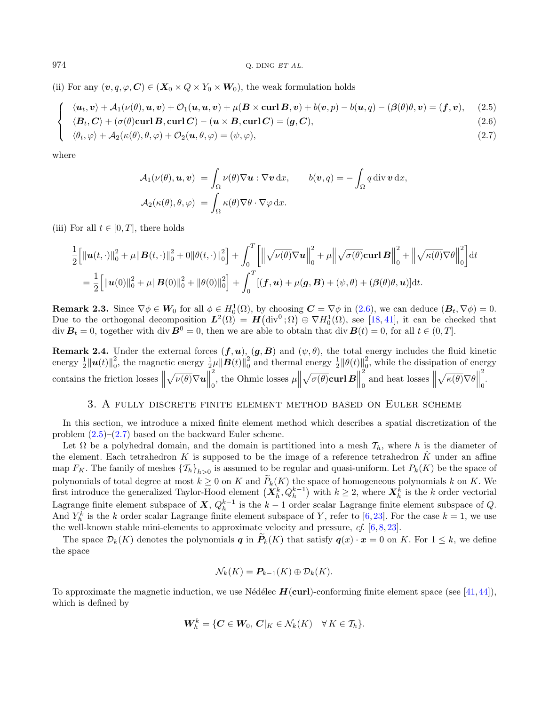(ii) For any  $(\boldsymbol{v}, q, \varphi, \mathbf{C}) \in (\mathbf{X}_0 \times Q \times Y_0 \times \mathbf{W}_0)$ , the weak formulation holds

$$
\int \langle u_t, v \rangle + \mathcal{A}_1(\nu(\theta), u, v) + \mathcal{O}_1(u, u, v) + \mu(B \times \text{curl } B, v) + b(v, p) - b(u, q) - (\beta(\theta), v) = (f, v), \quad (2.5)
$$

$$
\left\{\n\begin{array}{l}\n\langle \mathbf{B}_t, \mathbf{C} \rangle + (\sigma(\theta) \mathbf{curl} \mathbf{B}, \mathbf{curl} \mathbf{C}) - (\mathbf{u} \times \mathbf{B}, \mathbf{curl} \mathbf{C}) = (\mathbf{g}, \mathbf{C}),\n\end{array}\n\right\} \tag{2.6}
$$

$$
\left\{ \begin{array}{l} \langle \theta_t, \varphi \rangle + \mathcal{A}_2(\kappa(\theta), \theta, \varphi) + \mathcal{O}_2(\mathbf{u}, \theta, \varphi) = (\psi, \varphi), \end{array} \right. \tag{2.7}
$$

where

$$
\mathcal{A}_1(\nu(\theta), \mathbf{u}, \mathbf{v}) = \int_{\Omega} \nu(\theta) \nabla \mathbf{u} : \nabla \mathbf{v} \, dx, \qquad b(\mathbf{v}, q) = -\int_{\Omega} q \operatorname{div} \mathbf{v} \, dx,
$$

$$
\mathcal{A}_2(\kappa(\theta), \theta, \varphi) = \int_{\Omega} \kappa(\theta) \nabla \theta \cdot \nabla \varphi \, dx.
$$

(iii) For all  $t \in [0, T]$ , there holds

$$
\frac{1}{2} \Big[ \|\mathbf{u}(t,\cdot)\|_{0}^{2} + \mu \| \mathbf{B}(t,\cdot)\|_{0}^{2} + 0 \|\theta(t,\cdot)\|_{0}^{2} \Big] + \int_{0}^{T} \Big[ \Big\| \sqrt{\nu(\theta)} \nabla \mathbf{u} \Big\|_{0}^{2} + \mu \Big\| \sqrt{\sigma(\theta)} \mathbf{curl} \, \mathbf{B} \Big\|_{0}^{2} + \Big\| \sqrt{\kappa(\theta)} \nabla \theta \Big\|_{0}^{2} \Big] dt \n= \frac{1}{2} \Big[ \|\mathbf{u}(0)\|_{0}^{2} + \mu \| \mathbf{B}(0)\|_{0}^{2} + \|\theta(0)\|_{0}^{2} \Big] + \int_{0}^{T} \big[ (\mathbf{f}, \mathbf{u}) + \mu(\mathbf{g}, \mathbf{B}) + (\psi, \theta) + (\beta(\theta)\theta, \mathbf{u})] dt.
$$

**Remark 2.3.** Since  $\nabla \phi \in W_0$  for all  $\phi \in H_0^1(\Omega)$ , by choosing  $\mathbf{C} = \nabla \phi$  in [\(2.6\)](#page-4-0), we can deduce  $(\mathbf{B}_t, \nabla \phi) = 0$ . Due to the orthogonal decomposition  $L^2(\Omega) = H(\text{div}^0; \Omega) \oplus \nabla H_0^1(\Omega)$ , see [\[18,](#page-34-11)[41\]](#page-35-23), it can be checked that  $\mathrm{div}\,\mathbf{B}_t = 0$ , together with  $\mathrm{div}\,\mathbf{B}^0 = 0$ , then we are able to obtain that  $\mathrm{div}\,\mathbf{B}(t) = 0$ , for all  $t \in (0,T]$ .

**Remark 2.4.** Under the external forces  $(f, u)$ ,  $(g, B)$  and  $(\psi, \theta)$ , the total energy includes the fluid kinetic energy  $\frac{1}{2}||\boldsymbol{u}(t)||_0^2$ , the magnetic energy  $\frac{1}{2}\mu ||\boldsymbol{B}(t)||_0^2$  and thermal energy  $\frac{1}{2}||\theta(t)||_0^2$ , while the dissipation of energy contains the friction losses  $\parallel$  $\sqrt{\nu(\theta)}\nabla u$ 2  $\begin{bmatrix} 2 \\ 0 \end{bmatrix}$ , the Ohmic losses  $\mu$  $\sqrt{\sigma(\theta)}$ curl  $B$ 2  $\begin{array}{c} \n\frac{2}{0} \\
0\n\end{array}$  and heat losses  $\left\| \begin{array}{c} \n\end{array} \right\|$  $\sqrt{\kappa(\theta)}\nabla\theta\Big\|$ 2 0 .

#### 3. A fully discrete finite element method based on Euler scheme

<span id="page-5-0"></span>In this section, we introduce a mixed finite element method which describes a spatial discretization of the problem  $(2.5)$ – $(2.7)$  based on the backward Euler scheme.

Let  $\Omega$  be a polyhedral domain, and the domain is partitioned into a mesh  $\mathcal{T}_h$ , where h is the diameter of the element. Each tetrahedron K is supposed to be the image of a reference tetrahedron  $\hat{K}$  under an affine map  $F_K$ . The family of meshes  $\{\mathcal{T}_h\}_{h>0}$  is assumed to be regular and quasi-uniform. Let  $P_k(K)$  be the space of polynomials of total degree at most  $k \ge 0$  on K and  $P_k(K)$  the space of homogeneous polynomials k on K. We first introduce the generalized Taylor-Hood element  $(X_h^k, Q_h^{k-1})$  with  $k \ge 2$ , where  $X_h^k$  is the k order vect Lagrange finite element subspace of  $X, Q_h^{k-1}$  is the  $k-1$  order scalar Lagrange finite element subspace of Q. And  $Y_h^k$  is the k order scalar Lagrange finite element subspace of Y, refer to [\[6,](#page-34-12)[23\]](#page-35-22). For the case  $k = 1$ , we use the well-known stable mini-elements to approximate velocity and pressure, cf. [\[6,](#page-34-12) [8,](#page-34-13) [23\]](#page-35-22).

The space  $\mathcal{D}_k(K)$  denotes the polynomials **q** in  $\mathbf{P}_k(K)$  that satisfy  $q(x) \cdot x = 0$  on K. For  $1 \leq k$ , we define the space

$$
\mathcal{N}_k(K)=P_{k-1}(K)\oplus \mathcal{D}_k(K).
$$

To approximate the magnetic induction, we use Nédélec  $H(\text{curl})$ -conforming finite element space (see [\[41,](#page-35-23)[44\]](#page-35-24)), which is defined by

$$
\boldsymbol{W}_h^k = \{ \boldsymbol{C} \in \boldsymbol{W}_0, \, \boldsymbol{C}|_K \in \mathcal{N}_k(K) \quad \forall \, K \in \mathcal{T}_h \}.
$$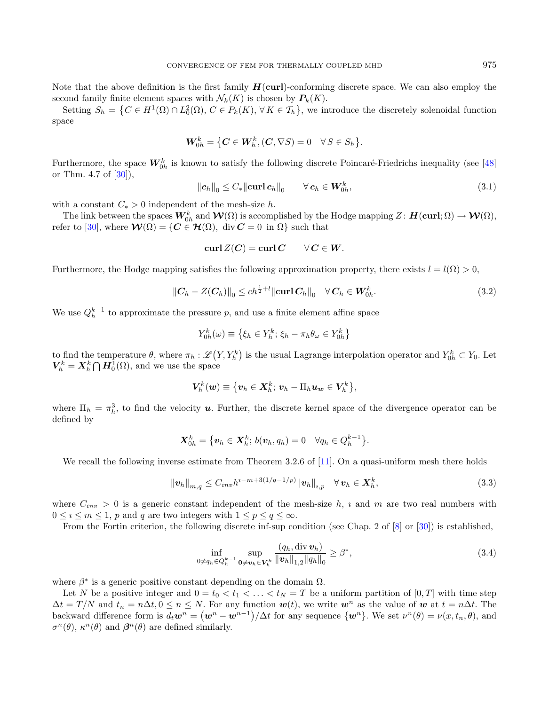<span id="page-6-1"></span>Note that the above definition is the first family  $H(\text{curl})$ -conforming discrete space. We can also employ the second family finite element spaces with  $\mathcal{N}_k(K)$  is chosen by  $P_k(K)$ .

Setting  $S_h = \left\{C \in H^1(\Omega) \cap L_0^2(\Omega), C \in P_k(K), \forall K \in \mathcal{T}_h\right\}$ , we introduce the discretely solenoidal function space

$$
\mathbf{W}_{0h}^k = \left\{ \mathbf{C} \in \mathbf{W}_h^k, (\mathbf{C}, \nabla S) = 0 \quad \forall \, S \in S_h \right\}.
$$

Furthermore, the space  $W_{0h}^k$  is known to satisfy the following discrete Poincaré-Friedrichs inequality (see [\[48\]](#page-35-10) or Thm. 4.7 of  $[30]$ ),

<span id="page-6-2"></span>
$$
\|\boldsymbol{c}_h\|_0 \le C_* \|\boldsymbol{\operatorname{curl}}\,\boldsymbol{c}_h\|_0 \qquad \forall \,\boldsymbol{c}_h \in \boldsymbol{W}_{0h}^k,\tag{3.1}
$$

with a constant  $C_* > 0$  independent of the mesh-size h.

The link between the spaces  $\bm{W}_{0 h}^k$  and  $\bm{\mathcal{W}}(\Omega)$  is accomplished by the Hodge mapping  $Z \colon \bm{H}(\mathbf{curl};\Omega) \to \bm{\mathcal{W}}(\Omega),$ refer to [\[30\]](#page-35-9), where  $\mathcal{W}(\Omega) = \{ C \in \mathcal{H}(\Omega), \text{ div } C = 0 \text{ in } \Omega \}$  such that

$$
\operatorname{curl} Z(C) = \operatorname{curl} C \qquad \forall C \in W.
$$

Furthermore, the Hodge mapping satisfies the following approximation property, there exists  $l = l(\Omega) > 0$ ,

$$
||C_h - Z(C_h)||_0 \le ch^{\frac{1}{2}+l} ||\mathbf{curl}\, C_h||_0 \quad \forall \, C_h \in W_{0h}^k. \tag{3.2}
$$

We use  $Q_h^{k-1}$  to approximate the pressure p, and use a finite element affine space

<span id="page-6-0"></span>
$$
Y_{0h}^k(\omega) \equiv \{ \xi_h \in Y_h^k; \, \xi_h - \pi_h \theta_\omega \in Y_{0h}^k \}
$$

to find the temperature  $\theta$ , where  $\pi_h : \mathscr{L}(Y, Y_h^k)$  is the usual Lagrange interpolation operator and  $Y_{0h}^k \subset Y_0$ . Let  $V_h^k = X_h^k \bigcap H_0^1(\Omega)$ , and we use the space

$$
\boldsymbol{V}_h^k(\boldsymbol{w})\equiv\big\{\boldsymbol{v}_h\in\boldsymbol{X}_h^k;\,\boldsymbol{v}_h-\Pi_h\boldsymbol{u}_{\boldsymbol{w}}\in\boldsymbol{V}_h^k\big\},
$$

where  $\Pi_h = \pi_h^3$ , to find the velocity **u**. Further, the discrete kernel space of the divergence operator can be defined by

$$
\mathbf{X}_{0h}^k = \big\{ \boldsymbol{v}_h \in \mathbf{X}_h^k; \, b(\boldsymbol{v}_h, q_h) = 0 \quad \forall q_h \in Q_h^{k-1} \big\}.
$$

We recall the following inverse estimate from Theorem 3.2.6 of [\[11\]](#page-34-14). On a quasi-uniform mesh there holds

<span id="page-6-3"></span>
$$
\|\mathbf{v}_{h}\|_{m,q} \leq C_{inv} h^{i-m+3(1/q-1/p)} \|\mathbf{v}_{h}\|_{i,p} \quad \forall \,\mathbf{v}_{h} \in \mathbf{X}_{h}^{k},\tag{3.3}
$$

where  $C_{inv} > 0$  is a generic constant independent of the mesh-size h, i and m are two real numbers with  $0 \leq i \leq m \leq 1$ , p and q are two integers with  $1 \leq p \leq q \leq \infty$ .

From the Fortin criterion, the following discrete inf-sup condition (see Chap. 2 of [\[8\]](#page-34-13) or [\[30\]](#page-35-9)) is established,

$$
\inf_{0 \neq q_h \in Q_h^{k-1}} \sup_{0 \neq v_h \in V_h^k} \frac{(q_h, \text{div } v_h)}{\|v_h\|_{1,2} \|q_h\|_0} \geq \beta^*,\tag{3.4}
$$

where  $\beta^*$  is a generic positive constant depending on the domain  $\Omega$ .

Let N be a positive integer and  $0 = t_0 < t_1 < \ldots < t_N = T$  be a uniform partition of  $[0, T]$  with time step  $\Delta t = T/N$  and  $t_n = n\Delta t, 0 \le n \le N$ . For any function  $w(t)$ , we write  $w^n$  as the value of w at  $t = n\Delta t$ . The backward difference form is  $d_t \mathbf{w}^n = (\mathbf{w}^n - \mathbf{w}^{n-1})/\Delta t$  for any sequence  $\{\mathbf{w}^n\}$ . We set  $\nu^n(\theta) = \nu(x, t_n, \theta)$ , and  $\sigma^n(\theta)$ ,  $\kappa^n(\theta)$  and  $\beta^n(\theta)$  are defined similarly.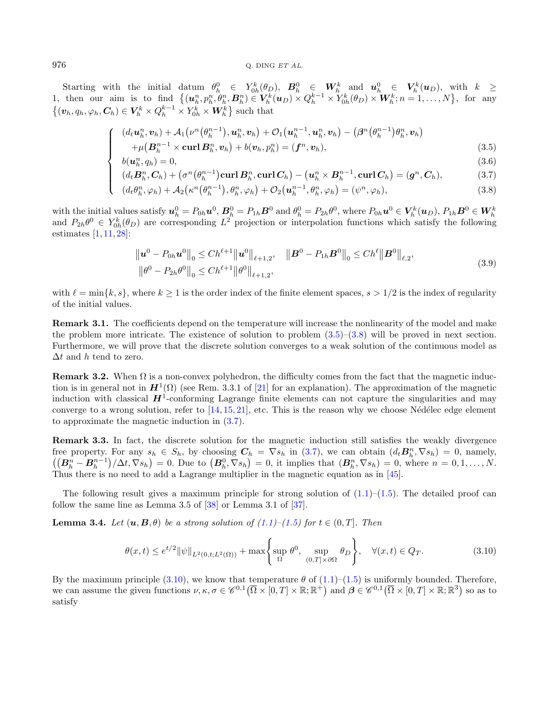### $976$  Q. DING ET AL.

Starting with the initial datum  $\theta_h^0 \in Y_{0h}^k(\theta_D)$ ,  $B_h^0 \in W_h^k$  and  $u_h^0 \in V_h^k(u_D)$ , with  $k \geq$ 1, then our aim is to find  $\{(\boldsymbol{u}_h^n, p_h^n, \theta_h^n, \boldsymbol{B}_h^n) \in V_h^k(\boldsymbol{u}_D) \times Q_h^{k-1} \times Y_{0h}^k(\theta_D) \times \boldsymbol{W}_h^k; n = 1, ..., N\}$ , for any  $\{(\boldsymbol{v}_h, q_h, \varphi_h, \boldsymbol{C}_h) \in \boldsymbol{V}_h^k \times Q_h^{k-1} \times Y_{0h}^k \times \boldsymbol{W}_h^k\}$  such that

$$
\begin{cases}\n(d_t \mathbf{u}_h^n, \mathbf{v}_h) + \mathcal{A}_1 \left( \nu^n \left( \theta_h^{n-1} \right), \mathbf{u}_h^n, \mathbf{v}_h \right) + \mathcal{O}_1 \left( \mathbf{u}_h^{n-1}, \mathbf{u}_h^n, \mathbf{v}_h \right) - \left( \beta^n \left( \theta_h^{n-1} \right) \theta_h^n, \mathbf{v}_h \right) \\
+ \mu \left( \mathbf{B}_h^{n-1} \times \mathbf{curl} \, \mathbf{B}_h^n, \mathbf{v}_h \right) + b(\mathbf{v}_h, p_h^n) = (\mathbf{f}^n, \mathbf{v}_h), \\
b(\mathbf{u}^n, \mathbf{u}_h) = 0\n\end{cases}
$$
\n(3.5)

$$
\begin{cases}\n\begin{aligned}\nb(\boldsymbol{u}_h^n, q_h) &= 0, & (3.6) \\
(d_t \boldsymbol{B}_h^n, \boldsymbol{C}_h) + (\sigma^n(\theta_h^{n-1}) \operatorname{curl} \boldsymbol{B}_h^n, \operatorname{curl} \boldsymbol{C}_h) - (\boldsymbol{u}_h^n \times \boldsymbol{B}_h^{n-1}, \operatorname{curl} \boldsymbol{C}_h) & (3.7) \\
(d_t \theta_h^n, \varphi_h) + \mathcal{A}_2(\kappa^n(\theta_h^{n-1}), \theta_h^n, \varphi_h) + \mathcal{O}_2(\boldsymbol{u}_h^{n-1}, \theta_h^n, \varphi_h) & (3.8)\n\end{aligned}\n\end{cases}
$$

$$
(d_t \theta_h^n, \varphi_h) + A_2(\kappa^n(\theta_h^{n-1}), \theta_h^n, \varphi_h) + \mathcal{O}_2(\boldsymbol{u}_h^{n-1}, \theta_h^n, \varphi_h) = (\psi^n, \varphi_h),
$$
\n(3.8)

with the initial values satisfy  $\mathbf{u}_h^0 = P_{0h} \mathbf{u}^0$ ,  $\mathbf{B}_h^0 = P_{1h} \mathbf{B}^0$  and  $\theta_h^0 = P_{2h} \theta^0$ , where  $P_{0h} \mathbf{u}^0 \in V_h^k(\mathbf{u}_D)$ ,  $P_{1h} \mathbf{B}^0 \in W_h^k$ <br>and  $P_{2h} \theta^0 \in Y_{0h}^k(\theta_D)$  are corresponding  $L^2$  p estimates [\[1,](#page-34-15) [11,](#page-34-14) [28\]](#page-35-25):

<span id="page-7-0"></span>
$$
\|\mathbf{u}^{0} - P_{0h}\mathbf{u}^{0}\|_{0} \le Ch^{\ell+1} \|\mathbf{u}^{0}\|_{\ell+1,2}, \quad \|\mathbf{B}^{0} - P_{1h}\mathbf{B}^{0}\|_{0} \le Ch^{\ell} \|\mathbf{B}^{0}\|_{\ell,2},
$$
  

$$
\|\theta^{0} - P_{2h}\theta^{0}\|_{0} \le Ch^{\ell+1} \|\theta^{0}\|_{\ell+1,2},
$$
\n(3.9)

with  $\ell = \min\{k, s\}$ , where  $k \ge 1$  is the order index of the finite element spaces,  $s > 1/2$  is the index of regularity of the initial values.

Remark 3.1. The coefficients depend on the temperature will increase the nonlinearity of the model and make the problem more intricate. The existence of solution to problem [\(3.5\)](#page-6-0)–[\(3.8\)](#page-6-0) will be proved in next section. Furthermore, we will prove that the discrete solution converges to a weak solution of the continuous model as  $\Delta t$  and h tend to zero.

**Remark 3.2.** When  $\Omega$  is a non-convex polyhedron, the difficulty comes from the fact that the magnetic induction is in general not in  $H^1(\Omega)$  (see Rem. 3.3.1 of [\[21\]](#page-35-0) for an explanation). The approximation of the magnetic induction with classical  $H^1$ -conforming Lagrange finite elements can not capture the singularities and may converge to a wrong solution, refer to  $[14, 15, 21]$  $[14, 15, 21]$  $[14, 15, 21]$  $[14, 15, 21]$  $[14, 15, 21]$ , etc. This is the reason why we choose Nédélec edge element to approximate the magnetic induction in [\(3.7\)](#page-6-0).

Remark 3.3. In fact, the discrete solution for the magnetic induction still satisfies the weakly divergence free property. For any  $s_h \in S_h$ , by choosing  $C_h = \nabla s_h$  in [\(3.7\)](#page-6-0), we can obtain  $(d_t B_h^n, \nabla s_h) = 0$ , namely,  $((B<sub>h</sub><sup>n</sup> - B<sub>h</sub><sup>n-1</sup>)/\Delta t, \nabla s<sub>h</sub>) = 0$ . Due to  $(B<sub>h</sub><sup>0</sup>, \nabla s<sub>h</sub>) = 0$ , it implies that  $(B<sub>h</sub><sup>n</sup>, \nabla s<sub>h</sub>) = 0$ , where  $n = 0, 1, ..., N$ . Thus there is no need to add a Lagrange multiplier in the magnetic equation as in [\[45\]](#page-35-12).

The following result gives a maximum principle for strong solution of  $(1.1)$ – $(1.5)$ . The detailed proof can follow the same line as Lemma 3.5 of [\[38\]](#page-35-26) or Lemma 3.1 of [\[37\]](#page-35-27).

**Lemma 3.4.** Let  $(u, B, \theta)$  be a strong solution of  $(1.1)$ – $(1.5)$  for  $t \in (0, T]$ . Then

$$
\theta(x,t) \le e^{t/2} \|\psi\|_{L^2(0,t;L^2(\Omega))} + \max\left\{\sup_{\Omega} \theta^0, \sup_{(0,T] \times \partial\Omega} \theta_D\right\}, \quad \forall (x,t) \in Q_T. \tag{3.10}
$$

By the maximum principle [\(3.10\)](#page-7-0), we know that temperature  $\theta$  of [\(1.1\)](#page-0-0)–[\(1.5\)](#page-0-0) is uniformly bounded. Therefore, we can assume the given functions  $\nu, \kappa, \sigma \in \mathscr{C}^{0,1}(\overline{\Omega} \times [0,T] \times \mathbb{R}; \mathbb{R}^+)$  and  $\boldsymbol{\beta} \in \mathscr{C}^{0,1}(\overline{\Omega} \times [0,T] \times \mathbb{R}; \mathbb{R}^3)$  so as to satisfy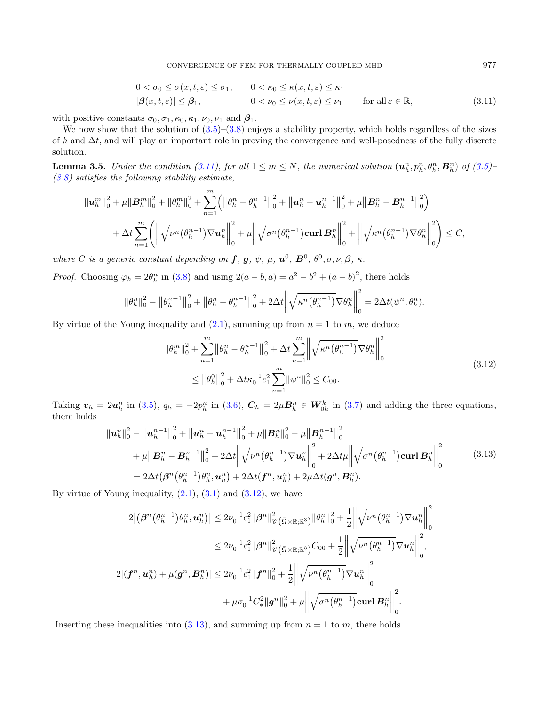<span id="page-8-4"></span><span id="page-8-0"></span>
$$
0 < \sigma_0 \le \sigma(x, t, \varepsilon) \le \sigma_1, \qquad 0 < \kappa_0 \le \kappa(x, t, \varepsilon) \le \kappa_1
$$
\n
$$
|\beta(x, t, \varepsilon)| \le \beta_1, \qquad 0 < \nu_0 \le \nu(x, t, \varepsilon) \le \nu_1 \qquad \text{for all } \varepsilon \in \mathbb{R}, \tag{3.11}
$$

with positive constants  $\sigma_0, \sigma_1, \kappa_0, \kappa_1, \nu_0, \nu_1$  and  $\beta_1$ .

We now show that the solution of  $(3.5)$ – $(3.8)$  enjoys a stability property, which holds regardless of the sizes of h and  $\Delta t$ , and will play an important role in proving the convergence and well-posedness of the fully discrete solution.

**Lemma 3.5.** Under the condition [\(3.11\)](#page-8-0), for all  $1 \le m \le N$ , the numerical solution  $(\mathbf{u}_h^n, p_h^n, \theta_h^n, \mathbf{B}_h^n)$  of [\(3.5\)](#page-6-0)- $(3.8)$  satisfies the following stability estimate,

$$
\|u_{h}^{m}\|_{0}^{2} + \mu \|B_{h}^{m}\|_{0}^{2} + \|\theta_{h}^{m}\|_{0}^{2} + \sum_{n=1}^{m} \left( \left\|\theta_{h}^{n} - \theta_{h}^{n-1}\right\|_{0}^{2} + \left\|u_{h}^{n} - u_{h}^{n-1}\right\|_{0}^{2} + \mu\left\|B_{h}^{n} - B_{h}^{n-1}\right\|_{0}^{2} \right) + \Delta t \sum_{n=1}^{m} \left( \left\|\sqrt{\nu^{n}(\theta_{h}^{n-1})} \nabla u_{h}^{n}\right\|_{0}^{2} + \mu\left\|\sqrt{\sigma^{n}(\theta_{h}^{n-1})} \nabla u_{h}^{n}\right\|_{0}^{2} + \left\|\sqrt{\kappa^{n}(\theta_{h}^{n-1})} \nabla \theta_{h}^{n}\right\|_{0}^{2} \right) \leq C,
$$

where C is a generic constant depending on  $f, g, \psi, \mu, u^0, B^0, \theta^0, \sigma, \nu, \beta, \kappa$ .

*Proof.* Choosing  $\varphi_h = 2\theta_h^n$  in [\(3.8\)](#page-6-0) and using  $2(a - b, a) = a^2 - b^2 + (a - b)^2$ , there holds

<span id="page-8-2"></span>
$$
\|\theta_h^n\|_0^2 - \left\|\theta_h^{n-1}\right\|_0^2 + \left\|\theta_h^n - \theta_h^{n-1}\right\|_0^2 + 2\Delta t \left\|\sqrt{\kappa^n(\theta_h^{n-1})}\nabla\theta_h^n\right\|_0^2 = 2\Delta t(\psi^n, \theta_h^n).
$$

By virtue of the Young inequality and [\(2.1\)](#page-4-1), summing up from  $n = 1$  to m, we deduce

<span id="page-8-3"></span><span id="page-8-1"></span>
$$
\|\theta_h^m\|_0^2 + \sum_{n=1}^m \left\|\theta_h^n - \theta_h^{n-1}\right\|_0^2 + \Delta t \sum_{n=1}^m \left\|\sqrt{\kappa^n(\theta_h^{n-1})} \nabla \theta_h^n\right\|_0^2
$$
  
\$\leq \left\|\theta\_h^0\right\|\_0^2 + \Delta t \kappa\_0^{-1} c\_1^2 \sum\_{n=1}^m \left\|\psi^n\right\|\_0^2 \leq C\_{00}. \tag{3.12}

Taking  $\mathbf{v}_h = 2\mathbf{u}_h^n$  in [\(3.5\)](#page-6-0),  $q_h = -2p_h^n$  in [\(3.6\)](#page-6-0),  $\mathbf{C}_h = 2\mu \mathbf{B}_h^n \in \mathbf{W}_{0h}^k$  in [\(3.7\)](#page-6-0) and adding the three equations, there holds

$$
\|u_{h}^{n}\|_{0}^{2} - \|u_{h}^{n-1}\|_{0}^{2} + \|u_{h}^{n} - u_{h}^{n-1}\|_{0}^{2} + \mu \|B_{h}^{n}\|_{0}^{2} - \mu \|B_{h}^{n-1}\|_{0}^{2}
$$
  
+  $\mu \|B_{h}^{n} - B_{h}^{n-1}\|_{0}^{2} + 2\Delta t \left\| \sqrt{\nu^{n}(\theta_{h}^{n-1})} \nabla u_{h}^{n} \right\|_{0}^{2} + 2\Delta t \mu \left\| \sqrt{\sigma^{n}(\theta_{h}^{n-1})} \text{curl } B_{h}^{n} \right\|_{0}^{2}$   
=  $2\Delta t (\beta^{n}(\theta_{h}^{n-1}) \theta_{h}^{n}, u_{h}^{n}) + 2\Delta t (\boldsymbol{f}^{n}, u_{h}^{n}) + 2\mu \Delta t (\boldsymbol{g}^{n}, B_{h}^{n}).$  (3.13)

By virtue of Young inequality,  $(2.1)$ ,  $(3.1)$  and  $(3.12)$ , we have

$$
2|(\boldsymbol{\beta}^{n}(\theta_{h}^{n-1})\theta_{h}^{n}, \mathbf{u}_{h}^{n})| \leq 2\nu_{0}^{-1}c_{1}^{2}\|\boldsymbol{\beta}^{n}\|_{\mathscr{C}}^{2}(\bar{\Omega}\times\mathbb{R};\mathbb{R}^{3})\|\theta_{h}^{n}\|_{0}^{2} + \frac{1}{2}\left\|\sqrt{\nu^{n}(\theta_{h}^{n-1})}\nabla\mathbf{u}_{h}^{n}\right\|_{0}^{2}
$$

$$
\leq 2\nu_{0}^{-1}c_{1}^{2}\|\boldsymbol{\beta}^{n}\|_{\mathscr{C}}^{2}(\bar{\Omega}\times\mathbb{R};\mathbb{R}^{3})C_{00} + \frac{1}{2}\left\|\sqrt{\nu^{n}(\theta_{h}^{n-1})}\nabla\mathbf{u}_{h}^{n}\right\|_{0}^{2},
$$

$$
2|(\mathbf{f}^{n}, \mathbf{u}_{h}^{n}) + \mu(\mathbf{g}^{n}, \mathbf{B}_{h}^{n})| \leq 2\nu_{0}^{-1}c_{1}^{2}\|\mathbf{f}^{n}\|_{0}^{2} + \frac{1}{2}\left\|\sqrt{\nu^{n}(\theta_{h}^{n-1})}\nabla\mathbf{u}_{h}^{n}\right\|_{0}^{2}
$$

$$
+ \mu\sigma_{0}^{-1}C_{*}^{2}\|\mathbf{g}^{n}\|_{0}^{2} + \mu\left\|\sqrt{\sigma^{n}(\theta_{h}^{n-1})}\mathbf{curl}\,\mathbf{B}_{h}^{n}\right\|_{0}^{2}.
$$

Inserting these inequalities into  $(3.13)$ , and summing up from  $n = 1$  to m, there holds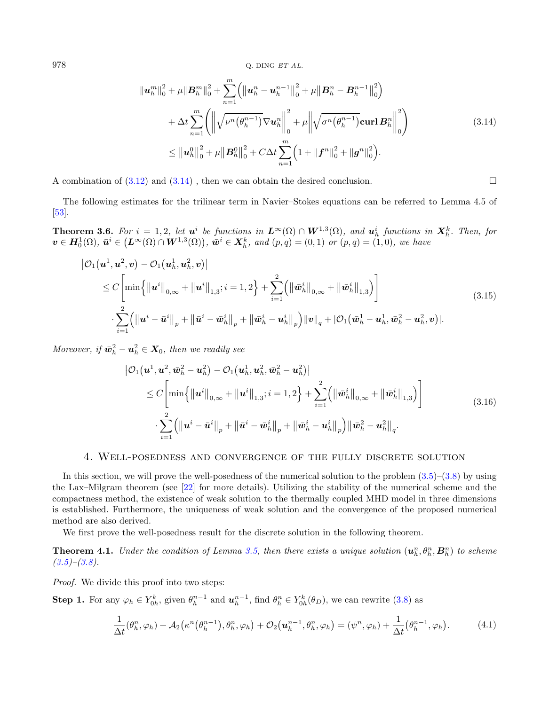$978$  Q. DING  $ETAL$ .

<span id="page-9-3"></span>
$$
\|u_{h}^{m}\|_{0}^{2} + \mu \|B_{h}^{m}\|_{0}^{2} + \sum_{n=1}^{m} \left( \|u_{h}^{n} - u_{h}^{n-1}\|_{0}^{2} + \mu \|B_{h}^{n} - B_{h}^{n-1}\|_{0}^{2} \right) + \Delta t \sum_{n=1}^{m} \left( \left\| \sqrt{\nu^{n} (\theta_{h}^{n-1})} \nabla u_{h}^{n} \right\|_{0}^{2} + \mu \left\| \sqrt{\sigma^{n} (\theta_{h}^{n-1})} \operatorname{curl} B_{h}^{n} \right\|_{0}^{2} \right) \leq \|u_{h}^{0}\|_{0}^{2} + \mu \|B_{h}^{0}\|_{0}^{2} + C \Delta t \sum_{n=1}^{m} \left(1 + \|f^{n}\|_{0}^{2} + \|g^{n}\|_{0}^{2}\right).
$$
\n(3.14)

A combination of  $(3.12)$  and  $(3.14)$ , then we can obtain the desired conclusion.

The following estimates for the trilinear term in Navier–Stokes equations can be referred to Lemma 4.5 of [\[53\]](#page-36-3).

**Theorem 3.6.** For  $i = 1, 2$ , let  $u^i$  be functions in  $L^{\infty}(\Omega) \cap W^{1,3}(\Omega)$ , and  $u^i_h$  functions in  $X^k_h$ . Then, for  $\bm{v} \in \bm{H}_{0}^{1}(\Omega), \ \bar{\bm{u}}^{i} \in (\bm{L}^{\infty}(\Omega) \cap \bm{W}^{1,3}(\Omega)), \ \bar{\bm{w}}^{i} \in \bm{X}_{h}^{k}, \ and \ (p,q) = (0,1) \ \ or \ (p,q) = (1,0), \ we \ have$ 

<span id="page-9-2"></span>
$$
\begin{split} \left| \mathcal{O}_{1}(\mathbf{u}^{1}, \mathbf{u}^{2}, \mathbf{v}) - \mathcal{O}_{1}(\mathbf{u}_{h}^{1}, \mathbf{u}_{h}^{2}, \mathbf{v}) \right| \\ &\leq C \Bigg[ \min \Big\{ \left\| \mathbf{u}^{i} \right\|_{0, \infty} + \left\| \mathbf{u}^{i} \right\|_{1, 3}; i = 1, 2 \Big\} + \sum_{i=1}^{2} \Big( \left\| \bar{\mathbf{w}}_{h}^{i} \right\|_{0, \infty} + \left\| \bar{\mathbf{w}}_{h}^{i} \right\|_{1, 3} \Big) \Bigg] \\ &\cdot \sum_{i=1}^{2} \Big( \left\| \mathbf{u}^{i} - \bar{\mathbf{u}}^{i} \right\|_{p} + \left\| \bar{\mathbf{u}}^{i} - \bar{\mathbf{w}}_{h}^{i} \right\|_{p} + \left\| \bar{\mathbf{w}}_{h}^{i} - \mathbf{u}_{h}^{i} \right\|_{p} \Big) \left\| \mathbf{v} \right\|_{q} + \left| \mathcal{O}_{1}(\bar{\mathbf{w}}_{h}^{1} - \mathbf{u}_{h}^{1}, \bar{\mathbf{w}}_{h}^{2} - \mathbf{u}_{h}^{2}, \mathbf{v}) \right| . \end{split} \tag{3.15}
$$

Moreover, if  $\bar{\boldsymbol{w}}_h^2 - \boldsymbol{u}_h^2 \in \boldsymbol{X}_0$ , then we readily see

<span id="page-9-1"></span>
$$
\left| \mathcal{O}_{1}(\mathbf{u}^{1}, \mathbf{u}^{2}, \bar{\mathbf{w}}_{h}^{2} - \mathbf{u}_{h}^{2}) - \mathcal{O}_{1}(\mathbf{u}_{h}^{1}, \mathbf{u}_{h}^{2}, \bar{\mathbf{w}}_{h}^{2} - \mathbf{u}_{h}^{2}) \right|
$$
\n
$$
\leq C \Bigg[ \min \Big\{ \big\| \mathbf{u}^{i} \big\|_{0,\infty} + \big\| \mathbf{u}^{i} \big\|_{1,3}; i = 1, 2 \Big\} + \sum_{i=1}^{2} \Big( \big\| \bar{\mathbf{w}}_{h}^{i} \big\|_{0,\infty} + \big\| \bar{\mathbf{w}}_{h}^{i} \big\|_{1,3} \Big) \Bigg] \Bigg] \tag{3.16}
$$
\n
$$
\cdot \sum_{i=1}^{2} \Big( \big\| \mathbf{u}^{i} - \bar{\mathbf{u}}^{i} \big\|_{p} + \big\| \bar{\mathbf{u}}^{i} - \bar{\mathbf{w}}_{h}^{i} \big\|_{p} + \big\| \bar{\mathbf{w}}_{h}^{i} - \mathbf{u}_{h}^{i} \big\|_{p} \Big) \big\| \bar{\mathbf{w}}_{h}^{2} - \mathbf{u}_{h}^{2} \big\|_{q} .
$$

## 4. Well-posedness and convergence of the fully discrete solution

<span id="page-9-0"></span>In this section, we will prove the well-posedness of the numerical solution to the problem  $(3.5)$ – $(3.8)$  by using the Lax–Milgram theorem (see [\[22\]](#page-35-28) for more details). Utilizing the stability of the numerical scheme and the compactness method, the existence of weak solution to the thermally coupled MHD model in three dimensions is established. Furthermore, the uniqueness of weak solution and the convergence of the proposed numerical method are also derived.

We first prove the well-posedness result for the discrete solution in the following theorem.

**Theorem 4.1.** Under the condition of Lemma [3.5,](#page-8-4) then there exists a unique solution  $(\mathbf{u}_h^n, \theta_h^n, \mathbf{B}_h^n)$  to scheme  $(3.5)$ – $(3.8)$ .

Proof. We divide this proof into two steps:

**Step 1.** For any  $\varphi_h \in Y_{0h}^k$ , given  $\theta_h^{n-1}$  and  $\mathbf{u}_h^{n-1}$ , find  $\theta_h^n \in Y_{0h}^k(\theta_D)$ , we can rewrite [\(3.8\)](#page-6-0) as

$$
\frac{1}{\Delta t}(\theta_h^n, \varphi_h) + \mathcal{A}_2\big(\kappa^n(\theta_h^{n-1}), \theta_h^n, \varphi_h\big) + \mathcal{O}_2\big(\mathbf{u}_h^{n-1}, \theta_h^n, \varphi_h\big) = (\psi^n, \varphi_h) + \frac{1}{\Delta t}(\theta_h^{n-1}, \varphi_h). \tag{4.1}
$$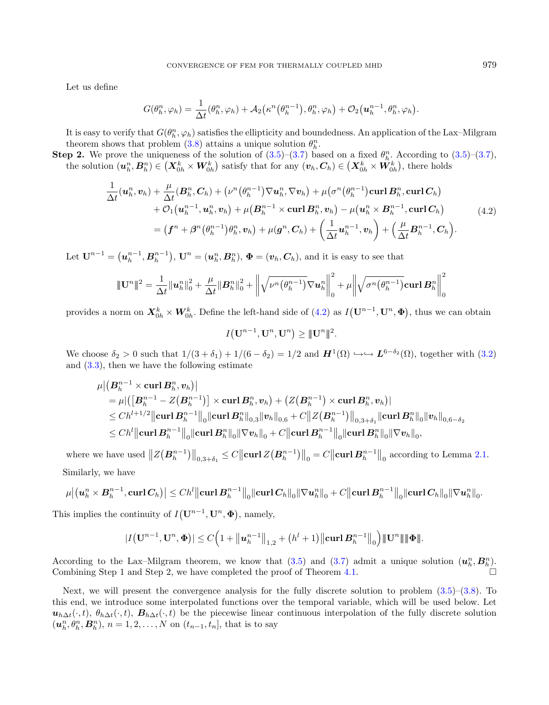Let us define

<span id="page-10-0"></span>
$$
G(\theta_h^n, \varphi_h) = \frac{1}{\Delta t}(\theta_h^n, \varphi_h) + \mathcal{A}_2(\kappa^n(\theta_h^{n-1}), \theta_h^n, \varphi_h) + \mathcal{O}_2(\boldsymbol{u}_h^{n-1}, \theta_h^n, \varphi_h).
$$

It is easy to verify that  $G(\theta_h^n, \varphi_h)$  satisfies the ellipticity and boundedness. An application of the Lax–Milgram theorem shows that problem [\(3.8\)](#page-6-0) attains a unique solution  $\theta_h^n$ .

**Step 2.** We prove the uniqueness of the solution of  $(3.5)-(3.7)$  $(3.5)-(3.7)$  $(3.5)-(3.7)$  based on a fixed  $\theta_h^n$ . According to  $(3.5)-(3.7)$ , the solution  $(\boldsymbol{u}_h^n, B_h^n) \in (X_{0h}^k \times W_{0h}^k)$  satisfy that for any  $(v_h, C_h) \in (X_{0h}^k \times W_{0h}^k)$ , there holds

$$
\frac{1}{\Delta t}(\boldsymbol{u}_h^n, \boldsymbol{v}_h) + \frac{\mu}{\Delta t}(\boldsymbol{B}_h^n, \boldsymbol{C}_h) + (\nu^n(\theta_h^{n-1})\nabla \boldsymbol{u}_h^n, \nabla \boldsymbol{v}_h) + \mu(\sigma^n(\theta_h^{n-1})\operatorname{curl} \boldsymbol{B}_h^n, \operatorname{curl} \boldsymbol{C}_h) + \mathcal{O}_1(\boldsymbol{u}_h^{n-1}, \boldsymbol{u}_h^n, \boldsymbol{v}_h) + \mu(\boldsymbol{B}_h^{n-1} \times \operatorname{curl} \boldsymbol{B}_h^n, \boldsymbol{v}_h) - \mu(\boldsymbol{u}_h^n \times \boldsymbol{B}_h^{n-1}, \operatorname{curl} \boldsymbol{C}_h) = (\boldsymbol{f}^n + \boldsymbol{\beta}^n(\theta_h^{n-1})\theta_h^n, \boldsymbol{v}_h) + \mu(\boldsymbol{g}^n, \boldsymbol{C}_h) + \left(\frac{1}{\Delta t}\boldsymbol{u}_h^{n-1}, \boldsymbol{v}_h\right) + \left(\frac{\mu}{\Delta t}\boldsymbol{B}_h^{n-1}, \boldsymbol{C}_h\right).
$$
\n(4.2)

Let  $\mathbf{U}^{n-1} = (\boldsymbol{u}_h^{n-1}, \boldsymbol{B}_h^{n-1}), \mathbf{U}^n = (\boldsymbol{u}_h^n, \boldsymbol{B}_h^n), \boldsymbol{\Phi} = (\boldsymbol{v}_h, \boldsymbol{C}_h)$ , and it is easy to see that

$$
\|\mathbf{U}^{n}\|^{2} = \frac{1}{\Delta t} \|\mathbf{u}_{h}^{n}\|_{0}^{2} + \frac{\mu}{\Delta t} \|\mathbf{B}_{h}^{n}\|_{0}^{2} + \left\|\sqrt{\nu^{n}(\theta_{h}^{n-1})}\nabla \mathbf{u}_{h}^{n}\right\|_{0}^{2} + \mu \left\|\sqrt{\sigma^{n}(\theta_{h}^{n-1})}\mathbf{curl}\,\mathbf{B}_{h}^{n}\right\|_{0}^{2}
$$

provides a norm on  $X_{0h}^k \times W_{0h}^k$ . Define the left-hand side of  $(4.2)$  as  $I(\mathbf{U}^{n-1}, \mathbf{U}^n, \pmb{\Phi})$ , thus we can obtain

 $I\big(\mathbf{U}^{n-1},\mathbf{U}^{n},\mathbf{U}^{n}\big)\geq \|\mathbf{U}^{n}\|^{2}.$ 

We choose  $\delta_2 > 0$  such that  $1/(3 + \delta_1) + 1/(6 - \delta_2) = 1/2$  and  $\mathbf{H}^1(\Omega) \hookrightarrow \mathbf{L}^{6-\delta_2}(\Omega)$ , together with  $(3.2)$ and  $(3.3)$ , then we have the following estimate

$$
\begin{aligned} & \mu \big \lvert \big( \boldsymbol{B}_h^{n-1} \times \bold{curl} \, \boldsymbol{B}_h^n, \boldsymbol{v}_h \big) \big \rvert \\ & = \mu \lvert \big( \big[ \boldsymbol{B}_h^{n-1} - Z \big( \boldsymbol{B}_h^{n-1} \big) \big] \times \bold{curl} \, \boldsymbol{B}_h^n, \boldsymbol{v}_h \big) + \big( Z \big( \boldsymbol{B}_h^{n-1} \big) \times \bold{curl} \, \boldsymbol{B}_h^n, \boldsymbol{v}_h \big) \rvert \\ & \leq C h^{l+1/2} \big\lVert \bold{curl} \, \boldsymbol{B}_h^{n-1} \big\rVert_0 \lVert \bold{curl} \, \boldsymbol{B}_h^n \rVert_{0,3} \lVert \boldsymbol{v}_h \rVert_{0,6} + C \big\lVert Z \big( \boldsymbol{B}_h^{n-1} \big) \big\rVert_{0,3+\delta_1} \lVert \bold{curl} \, \boldsymbol{B}_h^n \rVert_0 \lVert \boldsymbol{v}_h \rVert_{0,6-\delta_2} \\ & \leq C h^l \big\lVert \bold{curl} \, \boldsymbol{B}_h^{n-1} \big\rVert_0 \lVert \bold{curl} \, \boldsymbol{B}_h^n \rVert_0 \lVert \nabla \boldsymbol{v}_h \rVert_0 + C \big\lVert \bold{curl} \, \boldsymbol{B}_h^{n-1} \big\rVert_0 \lVert \bold{curl} \, \boldsymbol{B}_h^n \rVert_0 \lVert \nabla \boldsymbol{v}_h \rVert_0, \end{aligned}
$$

where we have used  $||Z(\boldsymbol{B}_h^{n-1})||_{0,3+\delta_1} \leq C||\textbf{curl }Z(\boldsymbol{B}_h^{n-1})||_0 = C||\textbf{curl } \boldsymbol{B}_h^{n-1}||_0$  according to Lemma [2.1.](#page-4-2) Similarly, we have

$$
\mu \big | \big ( \bm{u}_h^n \times \bm{B}_h^{n-1}, \textbf{curl}\, \bm{C}_h \big ) \big | \leq C h^l \big \| \textbf{curl}\, \bm{B}_h^{n-1} \big \|_0 \|\textbf{curl}\, \bm{C}_h\|_0 \| \nabla \bm{u}_h^n\|_0 + C \big \| \textbf{curl}\, \bm{B}_h^{n-1} \big \|_0 \|\textbf{curl}\, \bm{C}_h\|_0 \| \nabla \bm{u}_h^n\|_0.
$$

This implies the continuity of  $I(\mathbf{U}^{n-1}, \mathbf{U}^n, \boldsymbol{\Phi})$ , namely,

$$
|I(\mathbf{U}^{n-1},\mathbf{U}^n,\mathbf{\Phi})| \leq C\Big(1+\big\|\mathbf{u}_h^{n-1}\big\|_{1,2}+(h^l+1)\big\|\mathbf{curl}\,\mathbf{B}_h^{n-1}\big\|_0\Big)\|\mathbf{U}^n\|\|\mathbf{\Phi}\|.
$$

According to the Lax–Milgram theorem, we know that  $(3.5)$  and  $(3.7)$  admit a unique solution  $(u_h^n, B_h^n)$ . Combining Step 1 and Step 2, we have completed the proof of Theorem [4.1.](#page-9-1)

Next, we will present the convergence analysis for the fully discrete solution to problem  $(3.5)$ – $(3.8)$ . To this end, we introduce some interpolated functions over the temporal variable, which will be used below. Let  $\mathbf{u}_{h\Delta t}(\cdot,t), \theta_{h\Delta t}(\cdot,t), \mathbf{B}_{h\Delta t}(\cdot,t)$  be the piecewise linear continuous interpolation of the fully discrete solution  $(\boldsymbol{u}_h^n, \theta_h^n, \boldsymbol{B}_h^n)$ ,  $n = 1, 2, ..., N$  on  $(t_{n-1}, t_n]$ , that is to say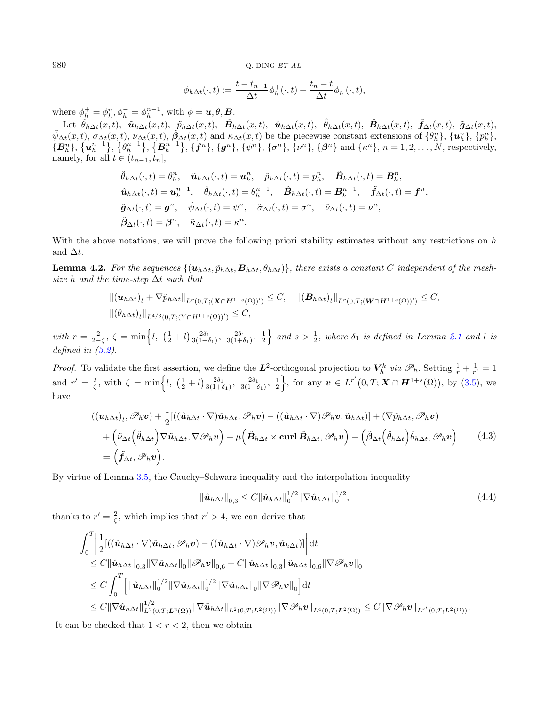980 Q. DING  $ETAL$ .

$$
\phi_{h\Delta t}(\cdot,t) := \frac{t - t_{n-1}}{\Delta t} \phi_h^+(\cdot,t) + \frac{t_n - t}{\Delta t} \phi_h^-(\cdot,t),
$$

where  $\phi_h^+ = \phi_h^n, \phi_h^- = \phi_h^{n-1}$ , with  $\phi = \mathbf{u}, \theta, \mathbf{B}$ .

<span id="page-11-2"></span>Let  $\tilde{\theta}_{h} = \varphi_h, \varphi_h = \varphi_h$ , when  $\varphi = \boldsymbol{a}, \upsilon, \boldsymbol{\Sigma}$ .<br>Let  $\tilde{\theta}_{h\Delta t}(x, t)$ ,  $\tilde{\boldsymbol{u}}_{h\Delta t}(x, t)$ ,  $\tilde{\boldsymbol{B}}_{h\Delta t}(x, t)$ ,  $\hat{\boldsymbol{u}}_{h\Delta t}(x, t)$ ,  $\hat{\boldsymbol{b}}_{h\Delta t}(x, t)$ ,  $\tilde{\boldsymbol{B}}_{h\Delta t}(x, t)$ ,  $\tilde{\boldsymbol{g}}_{\Delta t}(x, t)$ ,  $\til$  $\tilde{\psi}_{\Delta t}(x,t), \tilde{\sigma}_{\Delta t}(x,t), \tilde{\nu}_{\Delta t}(x,t), \tilde{\beta}_{\Delta t}(x,t)$  and  $\tilde{\kappa}_{\Delta t}(x,t)$  be the piecewise constant extensions of  $\{\theta_h^n\}, \{\boldsymbol{u}_h^n\}, \{\boldsymbol{p}_h^n\},$  $\{B_{h}^{n}\}, \{\mathbf{u}_{h}^{n-1}\}, \{\mathbf{B}_{h}^{n-1}\}, \{\mathbf{f}^{n}\}, \{\mathbf{g}^{n}\}, \{\psi^{n}\}, \{\sigma^{n}\}, \{\nu^{n}\}, \{\beta^{n}\}\$  and  $\{\kappa^{n}\}, n = 1, 2, ..., N$ , respectively, namely, for all  $t \in (t_{n-1}, t_n]$ ,

$$
\tilde{\theta}_{h\Delta t}(\cdot,t) = \theta_h^n, \quad \tilde{\mathbf{u}}_{h\Delta t}(\cdot,t) = \mathbf{u}_h^n, \quad \tilde{p}_{h\Delta t}(\cdot,t) = p_h^n, \quad \tilde{\mathbf{B}}_{h\Delta t}(\cdot,t) = \mathbf{B}_h^n, \n\hat{\mathbf{u}}_{h\Delta t}(\cdot,t) = \mathbf{u}_h^{n-1}, \quad \hat{\theta}_{h\Delta t}(\cdot,t) = \theta_h^{n-1}, \quad \hat{\mathbf{B}}_{h\Delta t}(\cdot,t) = \mathbf{B}_h^{n-1}, \quad \tilde{\mathbf{f}}_{\Delta t}(\cdot,t) = \mathbf{f}^n, \n\tilde{\mathbf{g}}_{\Delta t}(\cdot,t) = \mathbf{g}^n, \quad \tilde{\psi}_{\Delta t}(\cdot,t) = \psi^n, \quad \tilde{\sigma}_{\Delta t}(\cdot,t) = \sigma^n, \quad \tilde{\nu}_{\Delta t}(\cdot,t) = \nu^n, \n\tilde{\beta}_{\Delta t}(\cdot,t) = \beta^n, \quad \tilde{\kappa}_{\Delta t}(\cdot,t) = \kappa^n.
$$

With the above notations, we will prove the following priori stability estimates without any restrictions on  $h$ and  $\Delta t$ .

<span id="page-11-0"></span>**Lemma 4.2.** For the sequences  $\{(\boldsymbol{u}_{h\Delta t}, \tilde{p}_{h\Delta t}, \boldsymbol{B}_{h\Delta t}, \theta_{h\Delta t})\}$ , there exists a constant C independent of the meshsize h and the time-step  $\Delta t$  such that

$$
\|(\boldsymbol{u}_{h\Delta t})_t + \nabla \tilde{p}_{h\Delta t}\|_{L^r(0,T;(\boldsymbol{X}\cap\boldsymbol{H}^{1+s}(\Omega))')} \leq C, \quad \|(\boldsymbol{B}_{h\Delta t})_t\|_{L^r(0,T;(\boldsymbol{W}\cap\boldsymbol{H}^{1+s}(\Omega))')} \leq C, \|(\boldsymbol{\theta}_{h\Delta t})_t\|_{L^{4/3}(0,T;(\boldsymbol{Y}\cap\boldsymbol{H}^{1+s}(\Omega))')} \leq C,
$$

with  $r = \frac{2}{2-\zeta}$ ,  $\zeta = \min\left\{l, \left(\frac{1}{2}+l\right) \frac{2\delta_1}{3(1+\delta_1)}, \frac{2\delta_1}{3(1+\delta_1)}, \frac{1}{2}\right\}$  and  $s > \frac{1}{2}$ , where  $\delta_1$  is defined in Lemma [2.1](#page-4-2) and l is defined in [\(3.2\)](#page-6-2).

*Proof.* To validate the first assertion, we define the  $L^2$ -orthogonal projection to  $V_h^k$  via  $\mathscr{P}_h$ . Setting  $\frac{1}{r} + \frac{1}{r'} = 1$ and  $r' = \frac{2}{\zeta}$ , with  $\zeta = \min\Big\{l, \left(\frac{1}{2} + l\right) \frac{2\delta_1}{3(1+\delta_1)}, \frac{2\delta_1}{3(1+\delta_1)}, \frac{1}{2}\Big\}$ , for any  $v \in L^{r'}(0,T; X \cap H^{1+s}(\Omega))$ , by [\(3.5\)](#page-6-0), we have

$$
((\boldsymbol{u}_{h\Delta t})_t, \mathscr{P}_h \boldsymbol{v}) + \frac{1}{2} [((\hat{\boldsymbol{u}}_{h\Delta t} \cdot \nabla) \tilde{\boldsymbol{u}}_{h\Delta t}, \mathscr{P}_h \boldsymbol{v}) - ((\hat{\boldsymbol{u}}_{h\Delta t} \cdot \nabla) \mathscr{P}_h \boldsymbol{v}, \tilde{\boldsymbol{u}}_{h\Delta t})] + (\nabla \tilde{p}_{h\Delta t}, \mathscr{P}_h \boldsymbol{v}) + (\tilde{\nu}_{\Delta t} (\hat{\theta}_{h\Delta t}) \nabla \tilde{\boldsymbol{u}}_{h\Delta t}, \nabla \mathscr{P}_h \boldsymbol{v}) + \mu (\hat{\boldsymbol{B}}_{h\Delta t} \times \operatorname{curl} \tilde{\boldsymbol{B}}_{h\Delta t}, \mathscr{P}_h \boldsymbol{v}) - (\tilde{\boldsymbol{\beta}}_{\Delta t} (\hat{\theta}_{h\Delta t}) \tilde{\theta}_{h\Delta t}, \mathscr{P}_h \boldsymbol{v})
$$
(4.3)  
= (\tilde{\boldsymbol{f}}\_{\Delta t}, \mathscr{P}\_h \boldsymbol{v}).

By virtue of Lemma [3.5,](#page-8-4) the Cauchy–Schwarz inequality and the interpolation inequality

<span id="page-11-1"></span>
$$
\|\hat{\mathbf{u}}_{h\Delta t}\|_{0,3} \le C \|\hat{\mathbf{u}}_{h\Delta t}\|_{0}^{1/2} \|\nabla \hat{\mathbf{u}}_{h\Delta t}\|_{0}^{1/2},\tag{4.4}
$$

thanks to  $r' = \frac{2}{\zeta}$ , which implies that  $r' > 4$ , we can derive that

$$
\int_{0}^{T} \left| \frac{1}{2} [((\hat{\boldsymbol{u}}_{h\Delta t} \cdot \nabla) \tilde{\boldsymbol{u}}_{h\Delta t}, \mathscr{P}_{h} \boldsymbol{v}) - ((\hat{\boldsymbol{u}}_{h\Delta t} \cdot \nabla) \mathscr{P}_{h} \boldsymbol{v}, \tilde{\boldsymbol{u}}_{h\Delta t})] \right| dt
$$
\n
$$
\leq C \|\hat{\boldsymbol{u}}_{h\Delta t}\|_{0,3} \|\nabla \tilde{\boldsymbol{u}}_{h\Delta t}\|_{0} \|\mathscr{P}_{h} \boldsymbol{v}\|_{0,6} + C \|\hat{\boldsymbol{u}}_{h\Delta t}\|_{0,3} \|\tilde{\boldsymbol{u}}_{h\Delta t}\|_{0,6} \|\nabla \mathscr{P}_{h} \boldsymbol{v}\|_{0}
$$
\n
$$
\leq C \int_{0}^{T} \left[ \|\hat{\boldsymbol{u}}_{h\Delta t}\|_{0}^{1/2} \|\nabla \hat{\boldsymbol{u}}_{h\Delta t}\|_{0}^{1/2} \|\nabla \tilde{\boldsymbol{u}}_{h\Delta t}\|_{0} \|\nabla \mathscr{P}_{h} \boldsymbol{v}\|_{0} \right] dt
$$
\n
$$
\leq C \|\nabla \hat{\boldsymbol{u}}_{h\Delta t}\|_{L^{2}(0,T;L^{2}(\Omega))}^{1/2} \|\nabla \tilde{\boldsymbol{u}}_{h\Delta t}\|_{L^{2}(0,T;L^{2}(\Omega))} \|\nabla \mathscr{P}_{h} \boldsymbol{v}\|_{L^{4}(0,T;L^{2}(\Omega))} \leq C \|\nabla \mathscr{P}_{h} \boldsymbol{v}\|_{L^{r'}(0,T;L^{2}(\Omega))}.
$$

It can be checked that  $1 < r < 2$ , then we obtain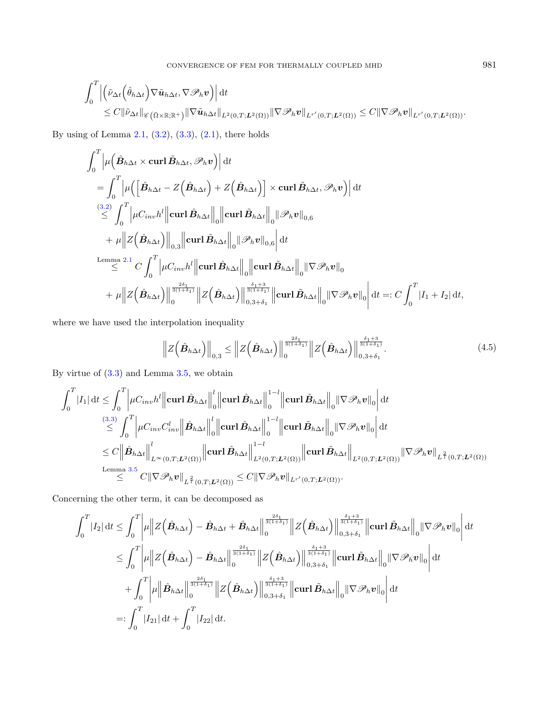$$
\int_0^T \Big|\Big(\tilde{\nu}_{\Delta t}(\hat{\theta}_{h\Delta t})\nabla \tilde{\boldsymbol{u}}_{h\Delta t}, \nabla \mathscr{P}_h \boldsymbol{v}\Big)\Big| dt \n\leq C \|\tilde{\nu}_{\Delta t}\|_{\mathscr{C}(\bar{\Omega}\times\mathbb{R};\mathbb{R}^+)} \|\nabla \tilde{\boldsymbol{u}}_{h\Delta t}\|_{L^2(0,T;L^2(\Omega))} \|\nabla \mathscr{P}_h \boldsymbol{v}\|_{L^{r'}(0,T;L^2(\Omega))} \leq C \|\nabla \mathscr{P}_h \boldsymbol{v}\|_{L^{r'}(0,T;L^2(\Omega))}.
$$

By using of Lemma [2.1,](#page-4-2)  $(3.2)$ ,  $(3.3)$ ,  $(2.1)$ , there holds

<span id="page-12-0"></span>
$$
\int_0^T \left| \mu \left( \hat{B}_{h\Delta t} \times \text{curl} \, \tilde{B}_{h\Delta t}, \mathscr{P}_h \mathbf{v} \right) \right| dt
$$
\n
$$
= \int_0^T \left| \mu \left( \left[ \hat{B}_{h\Delta t} - Z \left( \hat{B}_{h\Delta t} \right) + Z \left( \hat{B}_{h\Delta t} \right) \right] \times \text{curl} \, \tilde{B}_{h\Delta t}, \mathscr{P}_h \mathbf{v} \right) \right| dt
$$
\n
$$
\stackrel{(3.2)}{\leq} \int_0^T \left| \mu C_{inv} h^l \right| \left| \text{curl} \, \hat{B}_{h\Delta t} \right|_0 \left\| \text{curl} \, \tilde{B}_{h\Delta t} \right\|_0 \left\| \mathscr{P}_h \mathbf{v} \right\|_{0,6}
$$
\n
$$
+ \mu \left\| Z \left( \hat{B}_{h\Delta t} \right) \right\|_{0,3} \left\| \text{curl} \, \tilde{B}_{h\Delta t} \right\|_0 \left\| \mathscr{P}_h \mathbf{v} \right\|_{0,6} dt
$$
\n
$$
\stackrel{\text{Lemma 2.1}}{\leq} C \int_0^T \left| \mu C_{inv} h^l \right| \left| \text{curl} \, \hat{B}_{h\Delta t} \right\|_0 \left\| \text{curl} \, \tilde{B}_{h\Delta t} \right\|_0 \left\| \nabla \mathscr{P}_h \mathbf{v} \right\|_0
$$
\n
$$
+ \mu \left\| Z \left( \hat{B}_{h\Delta t} \right) \right\|_0^{\frac{2\delta_1}{3(1+\delta_1)}} \left\| Z \left( \hat{B}_{h\Delta t} \right) \right\|_{0,3+\delta_1}^{\frac{\delta_1+3}{\delta_1+\delta_1}} \left\| \text{curl} \, \tilde{B}_{h\Delta t} \right\|_0 \left\| \nabla \mathscr{P}_h \mathbf{v} \right\|_0 \right| dt =: C \int_0^T \left| I_1 + I_2 \right| dt,
$$

where we have used the interpolation inequality

$$
\left\|Z\left(\hat{\boldsymbol{B}}_{h\Delta t}\right)\right\|_{0,3} \leq \left\|Z\left(\hat{\boldsymbol{B}}_{h\Delta t}\right)\right\|_{0}^{\frac{2\delta_{1}}{3(1+\delta_{1})}}\left\|Z\left(\hat{\boldsymbol{B}}_{h\Delta t}\right)\right\|_{0,3+\delta_{1}}^{\frac{\delta_{1}+3}{3(1+\delta_{1})}}.
$$
\n(4.5)

By virtue of [\(3.3\)](#page-6-3) and Lemma [3.5,](#page-8-4) we obtain

$$
\int_{0}^{T} |I_{1}| dt \leq \int_{0}^{T} \left| \mu C_{inv} h^{l} \right| \left| \operatorname{curl} \hat{B}_{h\Delta t} \right| \Big|_{0}^{l} \left| \operatorname{curl} \hat{B}_{h\Delta t} \right| \Big|_{0}^{1-l} \left| \operatorname{curl} \tilde{B}_{h\Delta t} \right| \Big|_{0} \left| \nabla \mathscr{P}_{h} v \right| \Big|_{0} dt
$$
\n
$$
\stackrel{(3.3)}{\leq} \int_{0}^{T} \left| \mu C_{inv} C_{inv}^{l} \right| \left| \hat{B}_{h\Delta t} \right| \Big|_{0}^{l} \left| \operatorname{curl} \hat{B}_{h\Delta t} \right| \Big|_{0}^{1-l} \left| \operatorname{curl} \tilde{B}_{h\Delta t} \right| \Big|_{0} \left| \nabla \mathscr{P}_{h} v \right| \Big|_{0} dt
$$
\n
$$
\leq C \left\| \hat{B}_{h\Delta t} \right\| \Big|_{L^{\infty}(0,T;L^{2}(\Omega))} \left\| \operatorname{curl} \hat{B}_{h\Delta t} \right\|_{L^{2}(0,T;L^{2}(\Omega))} \left\| \operatorname{curl} \tilde{B}_{h\Delta t} \right\|_{L^{2}(0,T;L^{2}(\Omega))} \left\| \operatorname{curl} \tilde{B}_{h\Delta t} \right\|_{L^{2}(0,T;L^{2}(\Omega))} \left\| \nabla \mathscr{P}_{h} v \right\|_{L^{\frac{2}{l}}(0,T;L^{2}(\Omega))}
$$
\n
$$
\leq C \left\| \nabla \mathscr{P}_{h} v \right\|_{L^{\frac{2}{l}}(0,T;L^{2}(\Omega))} \leq C \left\| \nabla \mathscr{P}_{h} v \right\|_{L^{r'}(0,T;L^{2}(\Omega))}.
$$

Concerning the other term, it can be decomposed as

$$
\int_0^T |I_2| dt \leq \int_0^T \left| \mu \right| \left| Z(\hat{B}_{h\Delta t}) - \hat{B}_{h\Delta t} + \hat{B}_{h\Delta t} \right|_0^{\frac{2\delta_1}{3(1+\delta_1)}} \left| Z(\hat{B}_{h\Delta t}) \right|_{0,3+\delta_1}^{\frac{\delta_1+3}{3(1+\delta_1)}} \left| \operatorname{curl} \tilde{B}_{h\Delta t} \right|_0 \left| \nabla \mathcal{P}_h \mathbf{v} \right|_0 \right| dt
$$
  
\n
$$
\leq \int_0^T \left| \mu \left| Z(\hat{B}_{h\Delta t}) - \hat{B}_{h\Delta t} \right|_{0}^{\frac{2\delta_1}{3(1+\delta_1)}} \left| Z(\hat{B}_{h\Delta t}) \right|_{0,3+\delta_1}^{\frac{\delta_1+3}{3(1+\delta_1)}} \left| \operatorname{curl} \tilde{B}_{h\Delta t} \right|_0 \left| \nabla \mathcal{P}_h \mathbf{v} \right|_0 \right| dt
$$
  
\n
$$
+ \int_0^T \left| \mu \left\| \hat{B}_{h\Delta t} \right\|_0^{\frac{2\delta_1}{3(1+\delta_1)}} \left| Z(\hat{B}_{h\Delta t}) \right|_{0,3+\delta_1}^{\frac{\delta_1+3}{3(1+\delta_1)}} \left| \operatorname{curl} \tilde{B}_{h\Delta t} \right|_0 \left| \nabla \mathcal{P}_h \mathbf{v} \right|_0 \right| dt
$$
  
\n
$$
=:\int_0^T |I_{21}| dt + \int_0^T |I_{22}| dt.
$$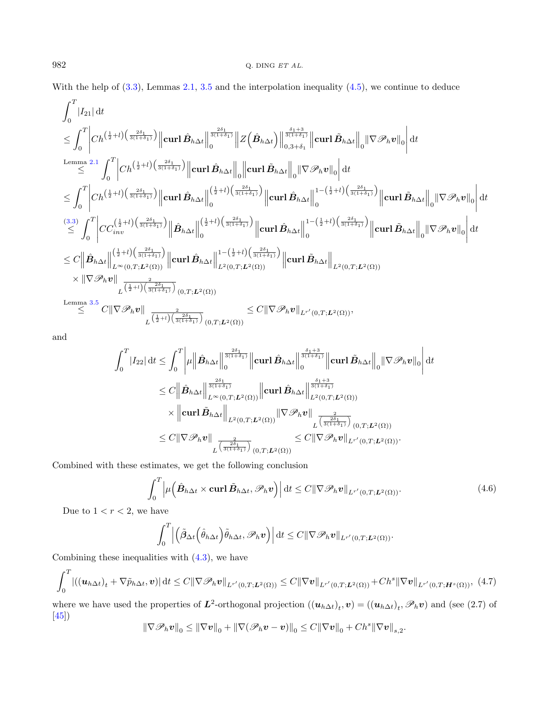With the help of  $(3.3)$ , Lemmas [2.1,](#page-4-2) [3.5](#page-8-4) and the interpolation inequality  $(4.5)$ , we continue to deduce

$$
\begin{array}{l} \displaystyle \int_{0}^{T}|I_{21}|\,dt \\\displaystyle \leq \int_{0}^{T}\bigg|Ch^{\left(\frac{1}{2}+l\right)\left(\frac{2\delta_{1}}{3(1+\delta_{1})}\right)}\bigg\|\mathbf{curl}\,\hat{\mathbf{B}}_{h\Delta t}\bigg\|_{0}^{\frac{2\delta_{1}}{3(1+\delta_{1})}}\bigg\|Z\left(\hat{\mathbf{B}}_{h\Delta t}\right)\bigg\|_{0,3+\delta_{1}}^{\frac{\delta_{1}+3}{3(1+\delta_{1})}}\bigg\|\mathbf{curl}\,\tilde{\mathbf{B}}_{h\Delta t}\bigg\|_{0}^{1}|\nabla \mathscr{P}_{h}v\|_{0}\bigg|\,dt \\ \displaystyle \leq \int_{0}^{T}\bigg|Ch^{\left(\frac{1}{2}+l\right)\left(\frac{2\delta_{1}}{3(1+\delta_{1})}\right)}\bigg\|\mathbf{curl}\,\hat{\mathbf{B}}_{h\Delta t}\bigg\|_{0}\bigg\|\mathbf{curl}\,\tilde{\mathbf{B}}_{h\Delta t}\bigg\|_{0}^{1}|\nabla \mathscr{P}_{h}v\|_{0}\bigg|\,dt \\ \displaystyle \leq \int_{0}^{T}\bigg|Ch^{\left(\frac{1}{2}+l\right)\left(\frac{2\delta_{1}}{3(1+\delta_{1})}\right)}\bigg\|\mathbf{curl}\,\hat{\mathbf{B}}_{h\Delta t}\bigg\|_{0}^{\left(\frac{1}{2}+l\right)\left(\frac{2\delta_{1}}{3(1+\delta_{1})}\right)}\bigg\|\mathbf{curl}\,\hat{\mathbf{B}}_{h\Delta t}\bigg\|_{0}^{1-(\frac{1}{2}+l)\left(\frac{2\delta_{1}}{3(1+\delta_{1})}\right)}\bigg\|\mathbf{curl}\,\hat{\mathbf{B}}_{h\Delta t}\bigg\|_{0}^{1-(\frac{1}{2}+l)\left(\frac{2\delta_{1}}{3(1+\delta_{1})}\right)}\bigg\|\mathbf{curl}\,\hat{\mathbf{B}}_{h\Delta t}\bigg\|_{0}^{1-(\frac{1}{2}+l)\left(\frac{2\delta_{1}}{3(1+\delta_{1})}\right)}\bigg\|\mathbf{curl}\,\hat{\mathbf{B}}_{h\Delta t}\bigg\|_{0}^{1-(\frac{1}{2}+l)\left(\
$$

and

<span id="page-13-0"></span>
$$
\int_0^T |I_{22}| \, \mathrm{d}t \leq \int_0^T \left| \mu \right| \left| \hat{B}_{h\Delta t} \right|_0^{\frac{2\delta_1}{3(1+\delta_1)}} \left\| \operatorname{curl} \hat{B}_{h\Delta t} \right\|_0^{\frac{\delta_1+3}{3(1+\delta_1)}} \left\| \operatorname{curl} \tilde{B}_{h\Delta t} \right\|_0 \left\| \nabla \mathscr{P}_h \mathbf{v} \right\|_0 \, \mathrm{d}t
$$
\n
$$
\leq C \left\| \hat{B}_{h\Delta t} \right\|_{L^{\infty}(0,T;L^2(\Omega))}^{\frac{2\delta_1}{3(1+\delta_1)}} \left\| \operatorname{curl} \hat{B}_{h\Delta t} \right\|_{L^2(0,T;L^2(\Omega))}^{\frac{\delta_1+3}{3(1+\delta_1)}}
$$
\n
$$
\times \left\| \operatorname{curl} \tilde{B}_{h\Delta t} \right\|_{L^2(0,T;L^2(\Omega))} \left\| \nabla \mathscr{P}_h \mathbf{v} \right\|_{L^{\frac{2}{3(1+\delta_1)}}(\mathbf{0},T;L^2(\Omega))}
$$
\n
$$
\leq C \|\nabla \mathscr{P}_h \mathbf{v} \right\|_{L^{\frac{2}{3(1+\delta_1)}}(\mathbf{0},T;L^2(\Omega))} \leq C \|\nabla \mathscr{P}_h \mathbf{v} \|_{L^{r'}(\mathbf{0},T;L^2(\Omega))}.
$$

Combined with these estimates, we get the following conclusion

<span id="page-13-1"></span>
$$
\int_0^T \left| \mu\left(\hat{B}_{h\Delta t} \times \operatorname{curl} \tilde{B}_{h\Delta t}, \mathscr{P}_h v \right) \right| dt \le C \|\nabla \mathscr{P}_h v\|_{L^{r'}(0,T;L^2(\Omega))}.
$$
\n(4.6)

.

Due to  $1 < r < 2$ , we have

$$
\int_0^T \left| \left( \tilde{\beta}_{\Delta t} \left( \hat{\theta}_{h\Delta t} \right) \tilde{\theta}_{h\Delta t}, \mathscr{P}_h \boldsymbol{v} \right) \right| dt \leq C \|\nabla \mathscr{P}_h \boldsymbol{v}\|_{L^{r'}(0,T;\boldsymbol{L}^2(\Omega))}.
$$

Combining these inequalities with  $(4.3)$ , we have

$$
\int_0^T \left| \left( (\boldsymbol{u}_{h\Delta t})_t + \nabla \tilde{p}_{h\Delta t}, \boldsymbol{v} \right) \right| dt \le C \|\nabla \mathscr{P}_h \boldsymbol{v} \|_{L^{r'}(0,T;L^2(\Omega))} \le C \|\nabla \boldsymbol{v} \|_{L^{r'}(0,T;L^2(\Omega))} + Ch^s \|\nabla \boldsymbol{v} \|_{L^{r'}(0,T;H^s(\Omega))}, \tag{4.7}
$$

where we have used the properties of  $L^2$ -orthogonal projection  $((u_{h\Delta t})_t, v) = ((u_{h\Delta t})_t, \mathscr{P}_h v)$  and (see (2.7) of [\[45\]](#page-35-12))

$$
\|\nabla \mathscr{P}_h \boldsymbol{v}\|_0 \le \|\nabla \boldsymbol{v}\|_0 + \|\nabla (\mathscr{P}_h \boldsymbol{v} - \boldsymbol{v})\|_0 \le C\|\nabla \boldsymbol{v}\|_0 + Ch^s \|\nabla \boldsymbol{v}\|_{s,2}
$$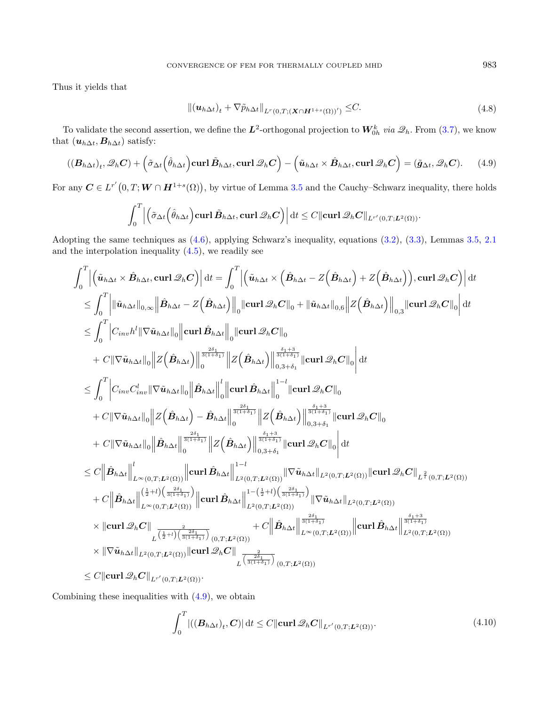<span id="page-14-1"></span>Thus it yields that

<span id="page-14-0"></span>
$$
\left\| \left(\mathbf{u}_{h\Delta t}\right)_{t} + \nabla \tilde{p}_{h\Delta t} \right\|_{L^{r}(0,T;(\mathbf{X}\cap\mathbf{H}^{1+s}(\Omega))')} \leq C. \tag{4.8}
$$

To validate the second assertion, we define the  $L^2$ -orthogonal projection to  $W_{0h}^k$  via  $\mathscr{Q}_h$ . From  $(3.7)$ , we know that  $(\boldsymbol{u}_{h\Delta t}, \boldsymbol{B}_{h\Delta t})$  satisfy:

$$
((\boldsymbol{B}_{h\Delta t})_t, \mathscr{Q}_h \boldsymbol{C}) + \left(\tilde{\sigma}_{\Delta t}\left(\hat{\theta}_{h\Delta t}\right) \operatorname{curl} \tilde{\boldsymbol{B}}_{h\Delta t}, \operatorname{curl} \mathscr{Q}_h \boldsymbol{C}\right) - \left(\tilde{\boldsymbol{u}}_{h\Delta t} \times \hat{\boldsymbol{B}}_{h\Delta t}, \operatorname{curl} \mathscr{Q}_h \boldsymbol{C}\right) = (\tilde{\boldsymbol{g}}_{\Delta t}, \mathscr{Q}_h \boldsymbol{C}). \tag{4.9}
$$

For any  $C \in L^{r'}(0,T; W \cap H^{1+s}(\Omega))$ , by virtue of Lemma [3.5](#page-8-4) and the Cauchy–Schwarz inequality, there holds

$$
\int_0^T \left| \left( \tilde{\sigma}_{\Delta t} \left( \hat{\theta}_{h\Delta t} \right) \mathbf{curl} \,\tilde{\mathbf{B}}_{h\Delta t}, \mathbf{curl} \,\mathcal{Q}_h \mathbf{C} \right) \right| dt \leq C \|\mathbf{curl} \,\mathcal{Q}_h \mathbf{C} \|_{L^{r'}(0,T;L^2(\Omega))}.
$$

Adopting the same techniques as [\(4.6\)](#page-13-0), applying Schwarz's inequality, equations [\(3.2\)](#page-6-2), [\(3.3\)](#page-6-3), Lemmas [3.5,](#page-8-4) [2.1](#page-4-2) and the interpolation inequality  $(4.5)$ , we readily see

$$
\begin{split} &\int_0^T \Big|\Big(\tilde{\mathbf{u}}_{h\Delta t}\times \hat{\mathbf{B}}_{h\Delta t},\text{curl}\,\mathcal{Q}_h C\Big)\Big|\,\mathrm{d} t = \int_0^T \Big|\Big(\tilde{\mathbf{u}}_{h\Delta t}\times \Big(\hat{\mathbf{B}}_{h\Delta t}-Z\Big(\hat{\mathbf{B}}_{h\Delta t}\Big)+Z\Big(\hat{\mathbf{B}}_{h\Delta t}\Big)\Big),\text{curl}\,\mathcal{Q}_h C\Big|\Big|\,\mathrm{d} t \\ &\leq \int_0^T \Big|\|\tilde{\mathbf{u}}_{h\Delta t}\|_{0,\infty}\Big|\|\hat{\mathbf{B}}_{h\Delta t}-Z\Big(\hat{\mathbf{B}}_{h\Delta t}\Big)\Big|\Big_{0}\|\text{curl}\,\mathcal{Q}_h C\|_{0}+\|\tilde{\mathbf{u}}_{h\Delta t}\|_{0,\infty}\Big|Z\Big(\hat{\mathbf{B}}_{h\Delta t}\Big)\Big|\Big_{0,3}\|\text{curl}\,\mathcal{Q}_h C\|_{0}\Big|\,\mathrm{d} t \\ &\leq \int_0^T \Big|C_{inv}h^l\|\nabla \tilde{\mathbf{u}}_{h\Delta t}\|_{0}\Big\|\mathcal{Z}\Big(\hat{\mathbf{B}}_{h\Delta t}\Big)\Big\|_{0}^{\frac{2\delta+1}{3(1+\delta_1)}}\Big|\mathcal{Z}\Big(\hat{\mathbf{B}}_{h\Delta t}\Big)\Big|\Big|\frac{\delta_{1+\delta_1}}{8(1+\delta_1)}\|\text{curl}\,\mathcal{Q}_h C\|_{0}\Big|\,\mathrm{d} t \\ &\leq \int_0^T \Big|C_{inv}C_{inv}^l\|\nabla \tilde{\mathbf{u}}_{h\Delta t}\|_{0}\Big\|\hat{\mathbf{B}}_{h\Delta t}\Big\|_{0}^{\frac{l}{3(1+\delta_1)}}\Big|\mathcal{Z}\Big(\hat{\mathbf{B}}_{h\Delta t}\Big)\Big|\Big|\frac{\delta_{1+\delta_1}}{8(1+\delta_1)}\|\text{curl}\,\mathcal{Q}_h C\|_{0} \\ &+C\|\nabla \tilde{\mathbf{u}}_{h\Delta t}\|_{0}\Big\|\mathcal{Z}\Big(\hat{\mathbf{B}}_{h\Delta t}\Big)\Big|\Big|\frac{\delta_{1+\delta_1}}{8(1+\delta_1)}\Big\|\mathcal{Z}\Big(\hat{\mathbf
$$

Combining these inequalities with [\(4.9\)](#page-14-0), we obtain

$$
\int_0^T |((\mathbf{B}_{h\Delta t})_t, \mathbf{C})| \, \mathrm{d}t \le C \|\mathbf{curl} \, \mathcal{Q}_h \mathbf{C}\|_{L^{r'}(0,T; \mathbf{L}^2(\Omega))}.
$$
\n(4.10)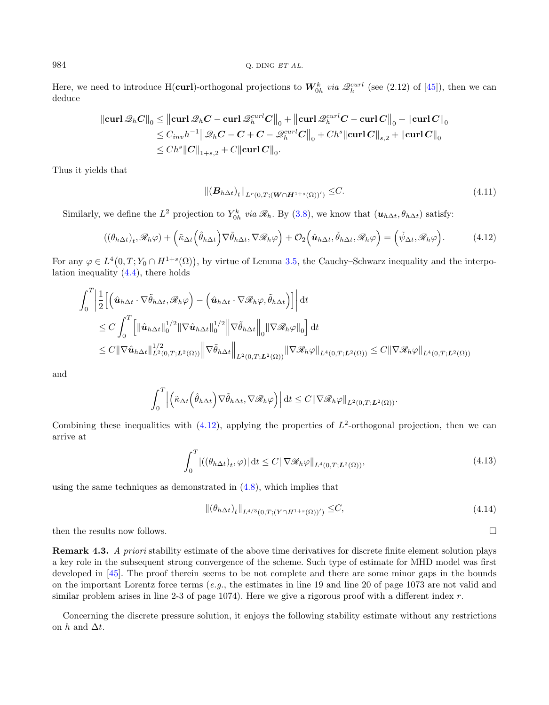$984$  Q. DING ET AL.

Here, we need to introduce H(curl)-orthogonal projections to  $W_{0h}^k$  via  $\mathscr{Q}_h^{curl}$  (see (2.12) of [\[45\]](#page-35-12)), then we can deduce

$$
\begin{aligned} \left\| \mathbf{curl}\, \mathscr{Q}_h \boldsymbol{C} \right\|_0 &\leq \left\| \mathbf{curl}\, \mathscr{Q}_h \boldsymbol{C} - \mathbf{curl}\, \mathscr{Q}_h^{curl} \boldsymbol{C} \right\|_0 + \left\| \mathbf{curl}\, \mathscr{Q}_h^{curl} \boldsymbol{C} - \mathbf{curl}\, \boldsymbol{C} \right\|_0 + \left\| \mathbf{curl}\, \boldsymbol{C} \right\|_0 \\ &\leq C_{inv} h^{-1} \big\| \mathscr{Q}_h \boldsymbol{C} - \boldsymbol{C} + \boldsymbol{C} - \mathscr{Q}_h^{curl} \boldsymbol{C} \big\|_0 + C h^{s} \|\mathbf{curl}\, \boldsymbol{C} \big\|_{s,2} + \left\| \mathbf{curl}\, \boldsymbol{C} \right\|_0 \\ &\leq C h^{s} \|\boldsymbol{C} \big\|_{1+s,2} + C \|\mathbf{curl}\, \boldsymbol{C} \big\|_0 . \end{aligned}
$$

Thus it yields that

<span id="page-15-0"></span>
$$
\|(\boldsymbol{B}_{h\Delta t})_t\|_{L^r(0,T;(\boldsymbol{W}\cap\boldsymbol{H}^{1+s}(\Omega))')}\leq C.\tag{4.11}
$$

Similarly, we define the  $L^2$  projection to  $Y_{0h}^k$  via  $\mathscr{R}_h$ . By [\(3.8\)](#page-6-0), we know that  $(\boldsymbol{u}_{h\Delta t}, \theta_{h\Delta t})$  satisfy:

$$
((\theta_{h\Delta t})_t, \mathscr{R}_h \varphi) + (\tilde{\kappa}_{\Delta t} (\hat{\theta}_{h\Delta t}) \nabla \tilde{\theta}_{h\Delta t}, \nabla \mathscr{R}_h \varphi) + \mathcal{O}_2(\hat{\mathbf{u}}_{h\Delta t}, \tilde{\theta}_{h\Delta t}, \mathscr{R}_h \varphi) = (\tilde{\psi}_{\Delta t}, \mathscr{R}_h \varphi).
$$
(4.12)

For any  $\varphi \in L^4(0,T; Y_0 \cap H^{1+s}(\Omega)),$  by virtue of Lemma [3.5,](#page-8-4) the Cauchy–Schwarz inequality and the interpolation inequality  $(4.4)$ , there holds

$$
\int_0^T \left| \frac{1}{2} \left[ \left( \hat{\mathbf{u}}_{h\Delta t} \cdot \nabla \tilde{\theta}_{h\Delta t}, \mathcal{R}_h \varphi \right) - \left( \hat{\mathbf{u}}_{h\Delta t} \cdot \nabla \mathcal{R}_h \varphi, \tilde{\theta}_{h\Delta t} \right) \right] \right| dt
$$
\n
$$
\leq C \int_0^T \left[ \left\| \hat{\mathbf{u}}_{h\Delta t} \right\|_0^{1/2} \left\| \nabla \hat{\mathbf{u}}_{h\Delta t} \right\|_0^{1/2} \left\| \nabla \tilde{\theta}_{h\Delta t} \right\|_0 \left\| \nabla \mathcal{R}_h \varphi \right\|_0 \right] dt
$$
\n
$$
\leq C \left\| \nabla \hat{\mathbf{u}}_{h\Delta t} \right\|_{L^2(0,T;L^2(\Omega))}^{1/2} \left\| \nabla \tilde{\theta}_{h\Delta t} \right\|_{L^2(0,T;L^2(\Omega))} \left\| \nabla \mathcal{R}_h \varphi \right\|_{L^4(0,T;L^2(\Omega))} \leq C \left\| \nabla \mathcal{R}_h \varphi \right\|_{L^4(0,T;L^2(\Omega))}
$$

and

$$
\int_0^T \left| \left( \tilde{\kappa}_{\Delta t} \left( \hat{\theta}_{h\Delta t} \right) \nabla \tilde{\theta}_{h\Delta t}, \nabla \mathscr{R}_h \varphi \right) \right| dt \leq C \|\nabla \mathscr{R}_h \varphi\|_{L^2(0,T;L^2(\Omega))}.
$$

Combining these inequalities with  $(4.12)$ , applying the properties of  $L^2$ -orthogonal projection, then we can arrive at

$$
\int_0^T |((\theta_{h\Delta t})_t, \varphi)| \, \mathrm{d}t \le C \|\nabla \mathcal{R}_h \varphi\|_{L^4(0,T;L^2(\Omega))},\tag{4.13}
$$

<span id="page-15-1"></span>using the same techniques as demonstrated in  $(4.8)$ , which implies that

$$
\|(\theta_{h\Delta t})_t\|_{L^{4/3}(0,T;(Y\cap H^{1+s}(\Omega))')}\leq C,\tag{4.14}
$$

then the results now follows.  $\square$ 

Remark 4.3. A priori stability estimate of the above time derivatives for discrete finite element solution plays a key role in the subsequent strong convergence of the scheme. Such type of estimate for MHD model was first developed in [\[45\]](#page-35-12). The proof therein seems to be not complete and there are some minor gaps in the bounds on the important Lorentz force terms  $(e,q)$ , the estimates in line 19 and line 20 of page 1073 are not valid and similar problem arises in line 2-3 of page 1074). Here we give a rigorous proof with a different index  $r$ .

Concerning the discrete pressure solution, it enjoys the following stability estimate without any restrictions on  $h$  and  $\Delta t$ .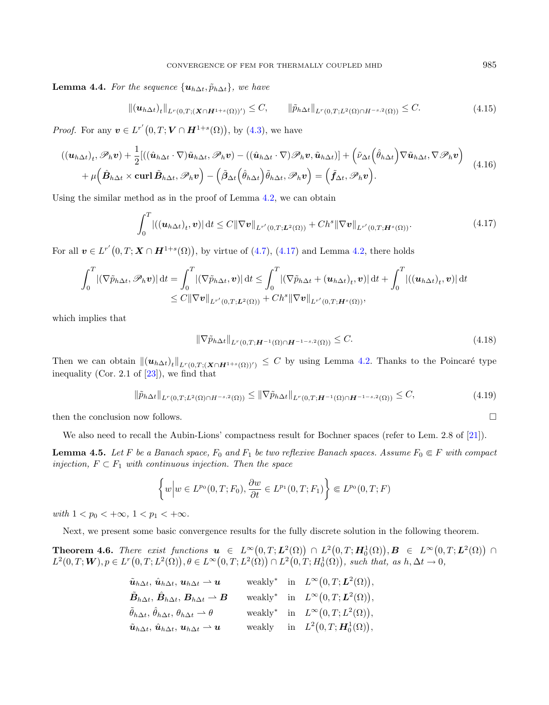**Lemma 4.4.** For the sequence  $\{u_{h\Delta t}, \tilde{p}_{h\Delta t}\}\$ , we have

$$
\|(\boldsymbol{u}_{h\Delta t})_t\|_{L^r(0,T;(\boldsymbol{X}\cap\boldsymbol{H}^{1+s}(\Omega))')}\leq C,\qquad \|\tilde{p}_{h\Delta t}\|_{L^r(0,T;L^2(\Omega)\cap H^{-s,2}(\Omega))}\leq C.
$$
\n(4.15)

*Proof.* For any  $v \in L^{r'}(0,T;V \cap H^{1+s}(\Omega))$ , by [\(4.3\)](#page-11-0), we have

$$
((\boldsymbol{u}_{h\Delta t})_t, \mathscr{P}_h \boldsymbol{v}) + \frac{1}{2} [((\hat{\boldsymbol{u}}_{h\Delta t} \cdot \nabla) \tilde{\boldsymbol{u}}_{h\Delta t}, \mathscr{P}_h \boldsymbol{v}) - ((\hat{\boldsymbol{u}}_{h\Delta t} \cdot \nabla) \mathscr{P}_h \boldsymbol{v}, \tilde{\boldsymbol{u}}_{h\Delta t})] + (\tilde{\nu}_{\Delta t} (\hat{\theta}_{h\Delta t}) \nabla \tilde{\boldsymbol{u}}_{h\Delta t}, \nabla \mathscr{P}_h \boldsymbol{v}) + \mu (\hat{\boldsymbol{B}}_{h\Delta t} \times \operatorname{curl} \tilde{\boldsymbol{B}}_{h\Delta t}, \mathscr{P}_h \boldsymbol{v}) - (\tilde{\beta}_{\Delta t} (\hat{\theta}_{h\Delta t}) \tilde{\theta}_{h\Delta t}, \mathscr{P}_h \boldsymbol{v}) = (\tilde{\boldsymbol{f}}_{\Delta t}, \mathscr{P}_h \boldsymbol{v}).
$$
\n(4.16)

Using the similar method as in the proof of Lemma [4.2,](#page-11-2) we can obtain

$$
\int_0^T \left| \left( (\boldsymbol{u}_{h\Delta t})_t, \boldsymbol{v} \right) \right| \mathrm{d}t \le C \|\nabla \boldsymbol{v}\|_{L^{r'}(0,T;\boldsymbol{L}^2(\Omega))} + Ch^s \|\nabla \boldsymbol{v}\|_{L^{r'}(0,T;\boldsymbol{H}^s(\Omega))}.
$$
\n(4.17)

For all  $v \in L^{r'}(0,T; \mathbf{X} \cap \mathbf{H}^{1+s}(\Omega)),$  by virtue of  $(4.7), (4.17)$  $(4.7), (4.17)$  $(4.7), (4.17)$  and Lemma [4.2,](#page-11-2) there holds

$$
\int_0^T |(\nabla \tilde{p}_{h\Delta t}, \mathscr{P}_h \mathbf{v})| dt = \int_0^T |(\nabla \tilde{p}_{h\Delta t}, \mathbf{v})| dt \leq \int_0^T |(\nabla \tilde{p}_{h\Delta t} + (\mathbf{u}_{h\Delta t})_t, \mathbf{v})| dt + \int_0^T |((\mathbf{u}_{h\Delta t})_t, \mathbf{v})| dt
$$
  
\n
$$
\leq C ||\nabla \mathbf{v}||_{L^{r'}(0,T;L^2(\Omega))} + Ch^s ||\nabla \mathbf{v}||_{L^{r'}(0,T;H^s(\Omega))},
$$

which implies that

$$
\|\nabla \tilde{p}_{h\Delta t}\|_{L^r(0,T;\mathbf{H}^{-1}(\Omega)\cap\mathbf{H}^{-1-s,2}(\Omega))} \leq C. \tag{4.18}
$$

Then we can obtain  $\|(u_{h\Delta t})_t\|_{L^r(0,T;(X\cap H^{1+s}(\Omega))')}\leq C$  by using Lemma [4.2.](#page-11-2) Thanks to the Poincaré type inequality (Cor. 2.1 of  $[23]$ ), we find that

$$
\|\tilde{p}_{h\Delta t}\|_{L^r(0,T;L^2(\Omega)\cap H^{-s,2}(\Omega))} \le \|\nabla \tilde{p}_{h\Delta t}\|_{L^r(0,T;H^{-1}(\Omega)\cap H^{-1-s,2}(\Omega))} \le C,\tag{4.19}
$$

then the conclusion now follows.  $\Box$ 

We also need to recall the Aubin-Lions' compactness result for Bochner spaces (refer to Lem. 2.8 of [\[21\]](#page-35-0)).

**Lemma 4.5.** Let F be a Banach space,  $F_0$  and  $F_1$  be two reflexive Banach spaces. Assume  $F_0 \n\in F$  with compact injection,  $F \subset F_1$  with continuous injection. Then the space

$$
\left\{ w \Big| w \in L^{p_0}(0,T;F_0), \frac{\partial w}{\partial t} \in L^{p_1}(0,T;F_1) \right\} \Subset L^{p_0}(0,T;F)
$$

with  $1 < p_0 < +\infty$ ,  $1 < p_1 < +\infty$ .

Next, we present some basic convergence results for the fully discrete solution in the following theorem.

<span id="page-16-2"></span>**Theorem 4.6.** There exist functions  $u \in L^{\infty}(0,T; L^{2}(\Omega)) \cap L^{2}(0,T; H_{0}^{1}(\Omega)), B \in L^{\infty}(0,T; L^{2}(\Omega)) \cap L^{2}(\Omega)$  $L^2(0,T; \mathbf{W}), p \in L^r(0,T; L^2(\Omega)), \theta \in L^{\infty}(0,T; L^2(\Omega)) \cap L^2(0,T; H_0^1(\Omega)),$  such that, as  $h, \Delta t \to 0$ ,

| $\tilde{\boldsymbol{u}}_{h\Delta t},\,\hat{\boldsymbol{u}}_{h\Delta t},\,\boldsymbol{u}_{h\Delta t} \rightharpoonup \boldsymbol{u}$ |  | weakly <sup>*</sup> in $L^{\infty}(0,T;\mathbf{L}^2(\Omega)),$ |
|-------------------------------------------------------------------------------------------------------------------------------------|--|----------------------------------------------------------------|
| $\tilde{\bm{B}}_{h\Delta t},\,\hat{\bm{B}}_{h\Delta t},\,\bm{B}_{h\Delta t}\rightharpoonup \bm{B}$                                  |  | weakly* in $L^{\infty}(0,T;\mathbf{L}^2(\Omega)),$             |
| $\tilde{\theta}_{h\Delta t}, \, \hat{\theta}_{h\Delta t}, \, \theta_{h\Delta t} \rightharpoonup \theta$                             |  | weakly* in $L^{\infty}(0,T;L^2(\Omega)),$                      |
| $\tilde{\boldsymbol{u}}_{h\Delta t},\,\hat{\boldsymbol{u}}_{h\Delta t},\,\boldsymbol{u}_{h\Delta t} \rightharpoonup \boldsymbol{u}$ |  | weakly in $L^2(0,T; \mathbf{H}_0^1(\Omega)),$                  |

<span id="page-16-1"></span><span id="page-16-0"></span>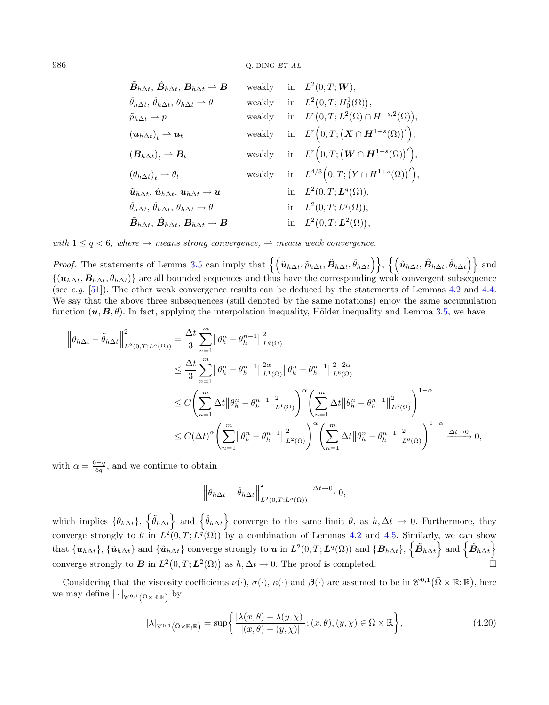| $\hat{\bm{B}}_{h\Delta t},\,\hat{\bm{B}}_{h\Delta t},\,\bm{B}_{h\Delta t}\rightharpoonup\bm{B}$                       | weakly | in $L^2(0,T; \mathbf{W}),$                                                |
|-----------------------------------------------------------------------------------------------------------------------|--------|---------------------------------------------------------------------------|
| $\ddot{\theta}_{h\Delta t}, \ddot{\theta}_{h\Delta t}, \theta_{h\Delta t} \rightharpoonup \theta$                     | weakly | in $L^2(0,T;H_0^1(\Omega)),$                                              |
| $\tilde{p}_{h\Delta t} \rightharpoonup p$                                                                             | weakly | in $L^r(0,T;L^2(\Omega) \cap H^{-s,2}(\Omega)),$                          |
| $(\boldsymbol{u}_{h\Delta t})_t \rightarrow \boldsymbol{u}_t$                                                         | weakly | in $L^r\big(0,T; \big(X\cap H^{1+s}(\Omega)\big)'\big),$                  |
| $(\boldsymbol{B}_{h\Delta t})_t \rightharpoonup \boldsymbol{B}_t$                                                     | weakly | in $L^r\big(0,T;(\boldsymbol{W}\cap \boldsymbol{H}^{1+s}(\Omega))'\big),$ |
| $(\theta_{h\Delta t})_t \rightharpoonup \theta_t$                                                                     | weakly | in $L^{4/3}(0,T; (Y \cap H^{1+s}(\Omega))')$ ,                            |
| $\tilde{\boldsymbol{u}}_{h\Delta t},\,\hat{\boldsymbol{u}}_{h\Delta t},\,\boldsymbol{u}_{h\Delta t}\to\boldsymbol{u}$ |        | in $L^2(0,T;\mathbf{L}^q(\Omega)),$                                       |
| $\tilde{\theta}_{h\Delta t}, \hat{\theta}_{h\Delta t}, \theta_{h\Delta t} \rightarrow \theta$                         |        | in $L^2(0,T;L^q(\Omega)),$                                                |
| $\hat{\bm{B}}_{h\Delta t},\,\hat{\bm{B}}_{h\Delta t},\,\bm{B}_{h\Delta t}\rightarrow\bm{B}$                           |        | in $L^2(0,T;\mathbf{L}^2(\Omega)),$                                       |

with  $1 \leq q < 6$ , where  $\rightarrow$  means strong convergence,  $\rightarrow$  means weak convergence.

*Proof.* The statements of Lemma [3.5](#page-8-4) can imply that  $\{(\tilde{u}_{h\Delta t}, \tilde{p}_{h\Delta t}, \tilde{B}_{h\Delta t}, \tilde{\theta}_{h\Delta t})\}, \{(\hat{u}_{h\Delta t}, \hat{B}_{h\Delta t}, \hat{\theta}_{h\Delta t})\}$  and  $\{(\bm{u}_{h\Delta t},\bm{B}_{h\Delta t},\theta_{h\Delta t})\}$  are all bounded sequences and thus have the corresponding weak convergent subsequence (see e.g. [\[51\]](#page-35-29)). The other weak convergence results can be deduced by the statements of Lemmas [4.2](#page-11-2) and [4.4.](#page-15-1) We say that the above three subsequences (still denoted by the same notations) enjoy the same accumulation function  $(\mathbf{u}, \mathbf{B}, \theta)$ . In fact, applying the interpolation inequality, Hölder inequality and Lemma [3.5,](#page-8-4) we have

$$
\|\theta_{h\Delta t} - \tilde{\theta}_{h\Delta t}\|_{L^{2}(0,T;L^{q}(\Omega))}^{2} = \frac{\Delta t}{3} \sum_{n=1}^{m} \|\theta_{h}^{n} - \theta_{h}^{n-1}\|_{L^{q}(\Omega)}^{2}
$$
\n
$$
\leq \frac{\Delta t}{3} \sum_{n=1}^{m} \|\theta_{h}^{n} - \theta_{h}^{n-1}\|_{L^{1}(\Omega)}^{2\alpha} \|\theta_{h}^{n} - \theta_{h}^{n-1}\|_{L^{6}(\Omega)}^{2-2\alpha}
$$
\n
$$
\leq C \left(\sum_{n=1}^{m} \Delta t \|\theta_{h}^{n} - \theta_{h}^{n-1}\|_{L^{1}(\Omega)}^{2}\right)^{\alpha} \left(\sum_{n=1}^{m} \Delta t \|\theta_{h}^{n} - \theta_{h}^{n-1}\|_{L^{6}(\Omega)}^{2}\right)^{1-\alpha}
$$
\n
$$
\leq C(\Delta t)^{\alpha} \left(\sum_{n=1}^{m} \|\theta_{h}^{n} - \theta_{h}^{n-1}\|_{L^{2}(\Omega)}^{2}\right)^{\alpha} \left(\sum_{n=1}^{m} \Delta t \|\theta_{h}^{n} - \theta_{h}^{n-1}\|_{L^{6}(\Omega)}^{2}\right)^{1-\alpha} \xrightarrow{\Delta t \to 0} 0,
$$

with  $\alpha = \frac{6-q}{5q}$ , and we continue to obtain

<span id="page-17-0"></span>
$$
\left\|\theta_{h\Delta t} - \hat{\theta}_{h\Delta t}\right\|_{L^2(0,T;L^q(\Omega))}^2 \xrightarrow{\Delta t \to 0} 0,
$$

which implies  $\{\hat{\theta}_{h\Delta t}\}\$  and  $\{\hat{\theta}_{h\Delta t}\}\$ converge to the same limit  $\theta$ , as  $h, \Delta t \to 0$ . Furthermore, they converge strongly to  $\theta$  in  $L^2(0,T;L^q(\Omega))$  by a combination of Lemmas [4.2](#page-11-2) and [4.5.](#page-16-1) Similarly, we can show that  $\{\boldsymbol{u}_{h\Delta t}\}$ ,  $\{\tilde{\boldsymbol{u}}_{h\Delta t}\}$  and  $\{\hat{\boldsymbol{u}}_{h\Delta t}\}$  converge strongly to  $\boldsymbol{u}$  in  $L^2(0,T;\boldsymbol{L}^q(\Omega))$  and  $\{\boldsymbol{B}_{h\Delta t}\}$ ,  $\{\tilde{\boldsymbol{B}}_{h\Delta t}\}$  and  $\{\hat{\boldsymbol{B}}_{h\Delta t}\}$ converge strongly to **B** in  $L^2(0,T; L^2(\Omega))$  as  $h, \Delta t \to 0$ . The proof is completed.

Considering that the viscosity coefficients  $\nu(\cdot)$ ,  $\sigma(\cdot)$ ,  $\kappa(\cdot)$  and  $\beta(\cdot)$  are assumed to be in  $\mathscr{C}^{0,1}(\bar{\Omega}\times\mathbb{R};\mathbb{R})$ , here we may define  $|\cdot|_{\mathscr{C}^{0,1}(\bar{\Omega}\times\mathbb{R};\mathbb{R})}$  by

$$
|\lambda|_{\mathscr{C}^{0,1}\left(\bar{\Omega}\times\mathbb{R};\mathbb{R}\right)} = \sup\left\{\frac{|\lambda(x,\theta) - \lambda(y,\chi)|}{|(x,\theta) - (y,\chi)|}; (x,\theta), (y,\chi) \in \bar{\Omega} \times \mathbb{R}\right\},\tag{4.20}
$$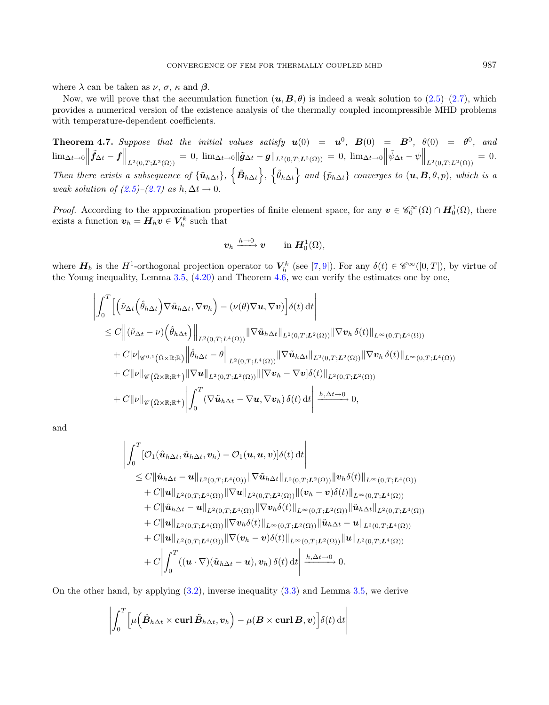where  $\lambda$  can be taken as  $\nu$ ,  $\sigma$ ,  $\kappa$  and  $\beta$ .

Now, we will prove that the accumulation function  $(u, B, \theta)$  is indeed a weak solution to [\(2.5\)](#page-4-0)–[\(2.7\)](#page-4-0), which provides a numerical version of the existence analysis of the thermally coupled incompressible MHD problems with temperature-dependent coefficients.

<span id="page-18-0"></span>**Theorem 4.7.** Suppose that the initial values satisfy  $u(0) = u^0$ ,  $B(0) = B^0$ ,  $\theta(0) = \theta^0$ , and  $\lim_{\Delta t\to 0} \left\|\tilde{f}_{\Delta t}-f\right\|_{L^2(0,T;L^2(\Omega))} = 0, \lim_{\Delta t\to 0} \left\|\tilde{g}_{\Delta t}-g\right\|_{L^2(0,T;L^2(\Omega))} = 0, \lim_{\Delta t\to 0} \left\|\tilde{\psi}_{\Delta t}-\psi\right\|_{L^2(0,T;L^2(\Omega))} = 0.$ Then there exists a subsequence of  ${\{\tilde{\bm{u}}_{h\Delta t}\}}$ ,  ${\{\tilde{\theta}_{h\Delta t}\}}$  and  ${\{\tilde{p}_{h\Delta t}\}}$  converges to  $(\bm{u}, \bm{B}, \theta, p)$ , which is a weak solution of  $(2.5)-(2.7)$  $(2.5)-(2.7)$  $(2.5)-(2.7)$  as  $h, \Delta t \rightarrow 0$ .

*Proof.* According to the approximation properties of finite element space, for any  $v \in \mathscr{C}_0^{\infty}(\Omega) \cap H_0^1(\Omega)$ , there exists a function  $v_h = H_h v \in V_h^k$  such that

$$
\boldsymbol{v}_h \xrightarrow{h \to 0} \boldsymbol{v} \qquad \text{in } \boldsymbol{H}^1_0(\Omega),
$$

where  $H_h$  is the  $H^1$ -orthogonal projection operator to  $V_h^k$  (see [\[7,](#page-34-17)[9\]](#page-34-18)). For any  $\delta(t) \in \mathscr{C}^{\infty}([0,T])$ , by virtue of the Young inequality, Lemma [3.5,](#page-8-4) [\(4.20\)](#page-17-0) and Theorem [4.6,](#page-16-2) we can verify the estimates one by one,

$$
\begin{split}\n&\left|\int_{0}^{T}\left[\left(\tilde{\nu}_{\Delta t}\left(\hat{\theta}_{h\Delta t}\right)\nabla\tilde{\mathbf{u}}_{h\Delta t},\nabla\mathbf{v}_{h}\right)-\left(\nu(\theta)\nabla\mathbf{u},\nabla\mathbf{v}\right)\right]\delta(t)\,\mathrm{d}t\right| \\
&\leq C\left\|\left(\tilde{\nu}_{\Delta t}-\nu\right)\left(\hat{\theta}_{h\Delta t}\right)\right\|_{L^{2}(0,T;L^{4}(\Omega))}\|\nabla\tilde{\mathbf{u}}_{h\Delta t}\|_{L^{2}(0,T;L^{2}(\Omega))}\|\nabla\mathbf{v}_{h}\,\delta(t)\|_{L^{\infty}(0,T;L^{4}(\Omega))} \\
&+C|\nu|_{\mathscr{C}^{0,1}\left(\bar{\Omega}\times\mathbb{R};\mathbb{R}\right)}\left\|\hat{\theta}_{h\Delta t}-\theta\right\|_{L^{2}(0,T;L^{4}(\Omega))}\|\nabla\tilde{\mathbf{u}}_{h\Delta t}\|_{L^{2}(0,T;L^{2}(\Omega))}\|\nabla\mathbf{v}_{h}\,\delta(t)\|_{L^{\infty}(0,T;L^{4}(\Omega))} \\
&+C\|\nu\|_{\mathscr{C}\left(\bar{\Omega}\times\mathbb{R};\mathbb{R}^{+}\right)}\|\nabla\mathbf{u}\|_{L^{2}(0,T;L^{2}(\Omega))}\|\nabla\mathbf{v}_{h}-\nabla\mathbf{v}\,\delta(t)\|_{L^{2}(0,T;L^{2}(\Omega))} \\
&+C\|\nu\|_{\mathscr{C}\left(\bar{\Omega}\times\mathbb{R};\mathbb{R}^{+}\right)}\left|\int_{0}^{T}\left(\nabla\tilde{\mathbf{u}}_{h\Delta t}-\nabla\mathbf{u},\nabla\mathbf{v}_{h}\right)\delta(t)\,\mathrm{d}t\right|\xrightarrow{h,\Delta t\to 0}0,\n\end{split}
$$

and

$$
\begin{split}\n&\left|\int_{0}^{T} [\mathcal{O}_{1}(\hat{\mathbf{u}}_{h\Delta t}, \tilde{\mathbf{u}}_{h\Delta t}, \mathbf{v}_{h}) - \mathcal{O}_{1}(\mathbf{u}, \mathbf{u}, \mathbf{v})] \delta(t) dt \right| \\
&\leq C \|\hat{\mathbf{u}}_{h\Delta t} - \mathbf{u}\|_{L^{2}(0,T;L^{4}(\Omega))} \|\nabla \tilde{\mathbf{u}}_{h\Delta t}\|_{L^{2}(0,T;L^{2}(\Omega))} \|\mathbf{v}_{h} \delta(t)\|_{L^{\infty}(0,T;L^{4}(\Omega))} \\
&+ C \|\mathbf{u}\|_{L^{2}(0,T;L^{4}(\Omega))} \|\nabla \mathbf{u}\|_{L^{2}(0,T;L^{2}(\Omega))} \|(\mathbf{v}_{h} - \mathbf{v}) \delta(t)\|_{L^{\infty}(0,T;L^{4}(\Omega))} \\
&+ C \|\hat{\mathbf{u}}_{h\Delta t} - \mathbf{u}\|_{L^{2}(0,T;L^{4}(\Omega))} \|\nabla \mathbf{v}_{h} \delta(t)\|_{L^{\infty}(0,T;L^{2}(\Omega))} \|\tilde{\mathbf{u}}_{h\Delta t}\|_{L^{2}(0,T;L^{4}(\Omega))} \\
&+ C \|\mathbf{u}\|_{L^{2}(0,T;L^{4}(\Omega))} \|\nabla \mathbf{v}_{h} \delta(t)\|_{L^{\infty}(0,T;L^{2}(\Omega))} \|\tilde{\mathbf{u}}_{h\Delta t} - \mathbf{u}\|_{L^{2}(0,T;L^{4}(\Omega))} \\
&+ C \|\mathbf{u}\|_{L^{2}(0,T;L^{4}(\Omega))} \|\nabla (\mathbf{v}_{h} - \mathbf{v}) \delta(t)\|_{L^{\infty}(0,T;L^{2}(\Omega))} \|\mathbf{u}\|_{L^{2}(0,T;L^{4}(\Omega))} \\
&+ C \left|\int_{0}^{T} ((\mathbf{u} \cdot \nabla)(\tilde{\mathbf{u}}_{h\Delta t} - \mathbf{u}), \mathbf{v}_{h}) \delta(t) dt \right| \xrightarrow{h, \Delta t \to 0} 0.\n\end{split}
$$

On the other hand, by applying [\(3.2\)](#page-6-2), inverse inequality [\(3.3\)](#page-6-3) and Lemma [3.5,](#page-8-4) we derive

$$
\left| \int_0^T \left[ \mu\Big( \hat{\boldsymbol{B}}_{h\Delta t} \times \boldsymbol{\mathrm{curl}} \, \tilde{\boldsymbol{B}}_{h\Delta t}, \boldsymbol{v}_h \right) - \mu(\boldsymbol{B} \times \boldsymbol{\mathrm{curl}} \, \boldsymbol{B}, \boldsymbol{v}) \right] \delta(t) \, \mathrm{d}t \right|
$$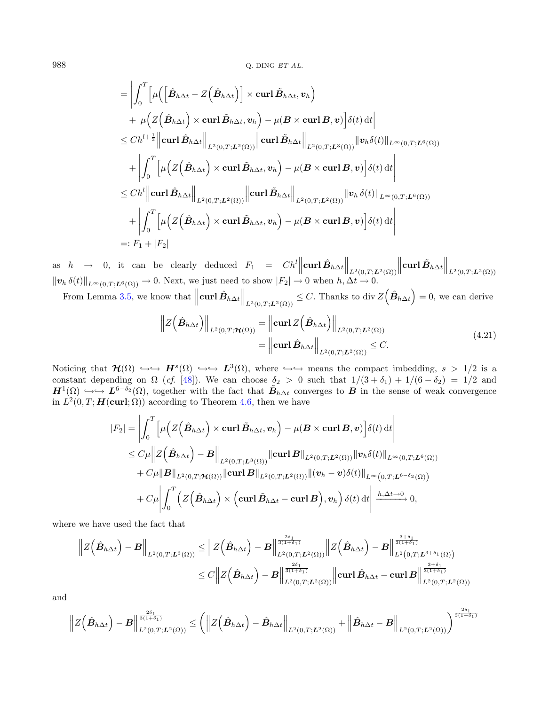$$
\begin{split}\n&= \left| \int_0^T \left[ \mu \left( \left[ \hat{\mathbf{B}}_{h\Delta t} - Z \left( \hat{\mathbf{B}}_{h\Delta t} \right) \right] \times \textbf{curl} \, \tilde{\mathbf{B}}_{h\Delta t}, \mathbf{v}_h \right) \right. \\
&\left. + \mu \Big( Z \Big( \hat{\mathbf{B}}_{h\Delta t} \Big) \times \textbf{curl} \, \tilde{\mathbf{B}}_{h\Delta t}, \mathbf{v}_h \Big) - \mu (\mathbf{B} \times \textbf{curl} \, \mathbf{B}, \mathbf{v}) \Big] \delta(t) \, \mathrm{d}t \right| \\
&\leq Ch^{l + \frac{1}{2}} \left\| \textbf{curl} \, \hat{\mathbf{B}}_{h\Delta t} \right\|_{L^2(0,T;L^2(\Omega))} \left\| \textbf{curl} \, \tilde{\mathbf{B}}_{h\Delta t} \right\|_{L^2(0,T;L^3(\Omega))} \left\| \mathbf{v}_h \delta(t) \right\|_{L^{\infty}(0,T;L^6(\Omega))} \\
&+ \left| \int_0^T \left[ \mu \Big( Z \Big( \hat{\mathbf{B}}_{h\Delta t} \Big) \times \textbf{curl} \, \tilde{\mathbf{B}}_{h\Delta t}, \mathbf{v}_h \Big) - \mu (\mathbf{B} \times \textbf{curl} \, \mathbf{B}, \mathbf{v}) \Big] \delta(t) \, \mathrm{d}t \right| \\
&\leq Ch^l \left\| \textbf{curl} \, \hat{\mathbf{B}}_{h\Delta t} \right\|_{L^2(0,T;L^2(\Omega))} \left\| \textbf{curl} \, \tilde{\mathbf{B}}_{h\Delta t} \right\|_{L^2(0,T;L^2(\Omega))} \left\| \mathbf{v}_h \, \delta(t) \right\|_{L^{\infty}(0,T;L^6(\Omega))} \\
&+ \left| \int_0^T \left[ \mu \Big( Z \Big( \hat{\mathbf{B}}_{h\Delta t} \Big) \times \textbf{curl} \, \tilde{\mathbf{B}}_{h\Delta t}, \mathbf{v}_h \Big) - \mu (\mathbf{B} \times \textbf{curl} \, \mathbf{B}, \mathbf{v}) \Big] \delta(t) \, \mathrm{d}t \right| \\
&=: F_1 + |
$$

as  $h \rightarrow 0$ , it can be clearly deduced  $F_1 = Ch^l \left\| \text{curl } \hat{B}_{h\Delta t} \right\|_{L^2(0,T;L^2(\Omega))}$  $\left\|\operatorname{curl} \tilde{B}_{h\Delta t}\right\|_{L^2(0,T;{\boldsymbol{L}}^2(\Omega))}$  $||\mathbf{v}_h \,\delta(t)||_{L^{\infty}(0,T;\mathbf{L}^6(\Omega))} \to 0.$  Next, we just need to show  $|F_2| \to 0$  when  $h, \Delta t \to 0.$ 

From Lemma [3.5,](#page-8-4) we know that  $\left\|\text{curl}\,\hat{B}_{h\Delta t}\right\|_{L^2(0,T;\mathbf{L}^2(\Omega))} \leq C$ . Thanks to div  $Z(\hat{B}_{h\Delta t}) = 0$ , we can derive

<span id="page-19-0"></span>
$$
\|Z(\hat{\mathbf{B}}_{h\Delta t})\|_{L^{2}(0,T;\mathcal{H}(\Omega))} = \left\|\operatorname{curl} Z(\hat{\mathbf{B}}_{h\Delta t})\right\|_{L^{2}(0,T;\mathbf{L}^{2}(\Omega))}
$$
  
\n
$$
= \left\|\operatorname{curl}\hat{\mathbf{B}}_{h\Delta t}\right\|_{L^{2}(0,T;\mathbf{L}^{2}(\Omega))} \leq C.
$$
\n(4.21)

Noticing that  $\mathcal{H}(\Omega) \hookrightarrow \hookrightarrow H^s(\Omega) \hookrightarrow L^3(\Omega)$ , where  $\hookrightarrow \hookrightarrow$  means the compact imbedding,  $s > 1/2$  is a constant depending on  $\Omega$  (cf. [\[48\]](#page-35-10)). We can choose  $\delta_2 > 0$  such that  $1/(3 + \delta_1) + 1/(6 - \delta_2) = 1/2$  and  $H^1(\Omega) \hookrightarrow \longrightarrow L^{6-\delta_2}(\Omega)$ , together with the fact that  $\tilde{B}_{h\Delta t}$  converges to B in the sense of weak convergence in  $L^2(0,T; \mathbf{H}(\mathbf{curl}; \Omega))$  according to Theorem [4.6,](#page-16-2) then we have

$$
|F_2| = \left| \int_0^T \left[ \mu \Big( Z(\hat{\mathbf{B}}_{h\Delta t}) \times \operatorname{curl} \tilde{\mathbf{B}}_{h\Delta t}, \mathbf{v}_h \Big) - \mu (\mathbf{B} \times \operatorname{curl} \mathbf{B}, \mathbf{v}) \right] \delta(t) dt \right|
$$
  
\n
$$
\leq C \mu \left\| Z(\hat{\mathbf{B}}_{h\Delta t}) - \mathbf{B} \right\|_{L^2(0,T;L^3(\Omega))} \left\| \operatorname{curl} \mathbf{B} \right\|_{L^2(0,T;L^2(\Omega))} \left\| \mathbf{v}_h \delta(t) \right\|_{L^{\infty}(0,T;L^6(\Omega))}
$$
  
\n
$$
+ C \mu \| \mathbf{B} \|_{L^2(0,T;H(\Omega))} \left\| \operatorname{curl} \mathbf{B} \right\|_{L^2(0,T;L^2(\Omega))} \left\| (\mathbf{v}_h - \mathbf{v}) \delta(t) \right\|_{L^{\infty}(0,T;L^{6-\delta_2}(\Omega))}
$$
  
\n
$$
+ C \mu \left| \int_0^T \left( Z(\hat{\mathbf{B}}_{h\Delta t}) \times (\operatorname{curl} \tilde{\mathbf{B}}_{h\Delta t} - \operatorname{curl} \mathbf{B}), \mathbf{v}_h \right) \delta(t) dt \right| \xrightarrow{h, \Delta t \to 0} 0,
$$

where we have used the fact that

$$
\|Z(\hat{B}_{h\Delta t})-B\|_{L^{2}(0,T;L^{3}(\Omega))} \leq \|Z(\hat{B}_{h\Delta t})-B\|_{L^{2}(0,T;L^{2}(\Omega))}^{\frac{2\delta_{1}}{3(1+\delta_{1})}}\|Z(\hat{B}_{h\Delta t})-B\|_{L^{2}(0,T;L^{3+\delta_{1}}(\Omega))}^{\frac{3+\delta_{1}}{3(1+\delta_{1})}}\n\leq C\|Z(\hat{B}_{h\Delta t})-B\|_{L^{2}(0,T;L^{2}(\Omega))}^{\frac{2\delta_{1}}{3(1+\delta_{1})}}\| \text{curl }\hat{B}_{h\Delta t}-\text{curl }B\|_{L^{2}(0,T;L^{2}(\Omega))}^{\frac{3+\delta_{1}}{3(1+\delta_{1})}}
$$

and

$$
\left\|Z\left(\hat{B}_{h\Delta t}\right)-B\right\|^{\frac{2\delta_{1}}{3(1+\delta_{1})}}_{L^{2}(0,T;L^{2}(\Omega))} \leq \left(\left\|Z\left(\hat{B}_{h\Delta t}\right)-\hat{B}_{h\Delta t}\right\|_{L^{2}(0,T;L^{2}(\Omega))}+\left\|\hat{B}_{h\Delta t}-B\right\|_{L^{2}(0,T;L^{2}(\Omega))}\right)^{\frac{2\delta_{1}}{3(1+\delta_{1})}}
$$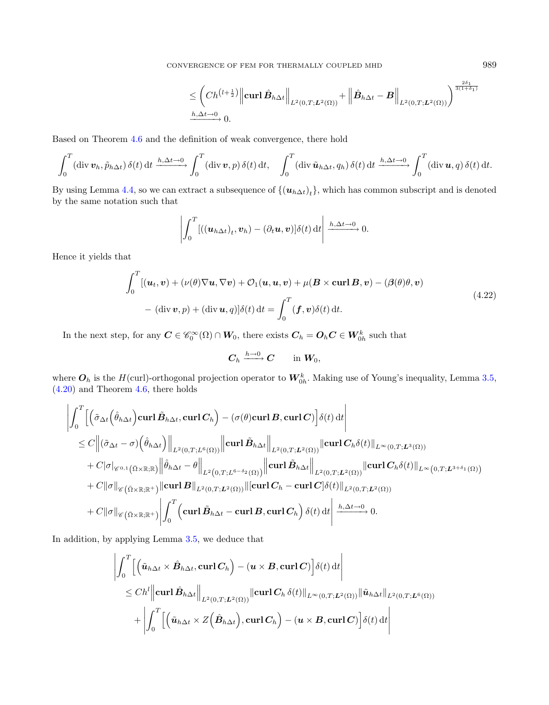CONVERGENCE OF FEM FOR THERMALLY COUPLED MHD 989

<span id="page-20-0"></span>
$$
\leq \left(Ch^{(l+\frac{1}{2})}\middle\|\operatorname{curl}\hat{B}_{h\Delta t}\right\|_{L^{2}(0,T;\mathbf{L}^{2}(\Omega))}+\left\|\hat{B}_{h\Delta t}-\mathbf{B}\right\|_{L^{2}(0,T;\mathbf{L}^{2}(\Omega))}\right)^{\frac{2\delta_{1}}{3(1+\delta_{1})}}
$$
  
 $\xrightarrow{h,\Delta t\to 0} 0.$ 

Based on Theorem [4.6](#page-16-2) and the definition of weak convergence, there hold

$$
\int_0^T (\operatorname{div} \boldsymbol{v}_h, \tilde{p}_{h\Delta t}) \,\delta(t) \,\mathrm{d}t \xrightarrow{h, \Delta t \to 0} \int_0^T (\operatorname{div} \boldsymbol{v}, p) \,\delta(t) \,\mathrm{d}t, \quad \int_0^T (\operatorname{div} \tilde{\boldsymbol{u}}_{h\Delta t}, q_h) \,\delta(t) \,\mathrm{d}t \xrightarrow{h, \Delta t \to 0} \int_0^T (\operatorname{div} \boldsymbol{u}, q) \,\delta(t) \,\mathrm{d}t.
$$

By using Lemma [4.4,](#page-15-1) so we can extract a subsequence of  $\{(\bm{u}_{h\Delta t})_t\}$ , which has common subscript and is denoted by the same notation such that

$$
\left|\int_0^T [((\boldsymbol{u}_{h\Delta t})_t, \boldsymbol{v}_h) - (\partial_t \boldsymbol{u}, \boldsymbol{v})] \delta(t) dt \right| \xrightarrow{h, \Delta t \to 0} 0.
$$

Hence it yields that

$$
\int_0^T \left[ (\boldsymbol{u}_t, \boldsymbol{v}) + (\nu(\theta) \nabla \boldsymbol{u}, \nabla \boldsymbol{v}) + \mathcal{O}_1(\boldsymbol{u}, \boldsymbol{u}, \boldsymbol{v}) + \mu(\boldsymbol{B} \times \mathbf{curl} \boldsymbol{B}, \boldsymbol{v}) - (\boldsymbol{\beta}(\theta)\theta, \boldsymbol{v}) \right]
$$
\n
$$
- (\text{div} \, \boldsymbol{v}, p) + (\text{div} \, \boldsymbol{u}, q) [\delta(t) \, \text{dt} = \int_0^T (\boldsymbol{f}, \boldsymbol{v}) \delta(t) \, \text{dt}.
$$
\n(4.22)

In the next step, for any  $C \in \mathscr{C}_0^{\infty}(\Omega) \cap W_0$ , there exists  $C_h = O_h C \in W_{0h}^k$  such that

$$
\boldsymbol{C}_h \xrightarrow{h \to 0} \boldsymbol{C} \qquad \text{in } \boldsymbol{W}_0,
$$

where  $O_h$  is the  $H(\text{curl})$ -orthogonal projection operator to  $W_{0h}^k$ . Making use of Young's inequality, Lemma [3.5,](#page-8-4) [\(4.20\)](#page-17-0) and Theorem [4.6,](#page-16-2) there holds

$$
\begin{split}\n&\left|\int_{0}^{T}\left[\left(\tilde{\sigma}_{\Delta t}\left(\hat{\theta}_{h\Delta t}\right)\mathbf{curl}\,\tilde{B}_{h\Delta t},\mathbf{curl}\,C_{h}\right)-\left(\sigma(\theta)\mathbf{curl}\,B,\mathbf{curl}\,C\right)\right]\delta(t)\,\mathrm{d}t\right| \\
&\leq C\left\|(\tilde{\sigma}_{\Delta t}-\sigma)\left(\hat{\theta}_{h\Delta t}\right)\right\|_{L^{2}(0,T;L^{6}(\Omega))}\left\|\mathbf{curl}\,\tilde{B}_{h\Delta t}\right\|_{L^{2}(0,T;L^{2}(\Omega))}\left\|\mathbf{curl}\,C_{h}\delta(t)\right\|_{L^{\infty}(0,T;L^{3}(\Omega))} \\
&+C\left|\sigma\right|_{\mathscr{C}^{0,1}\left(\bar{\Omega}\times\mathbb{R};\mathbb{R}\right)}\left\|\hat{\theta}_{h\Delta t}-\theta\right\|_{L^{2}\left(0,T;L^{6-\delta_{2}}(\Omega)\right)}\left\|\mathbf{curl}\,\tilde{B}_{h\Delta t}\right\|_{L^{2}(0,T;L^{2}(\Omega))}\left\|\mathbf{curl}\,C_{h}\delta(t)\right\|_{L^{\infty}(0,T;L^{3+\delta_{1}}(\Omega))} \\
&+C\left\|\sigma\right\|_{\mathscr{C}\left(\bar{\Omega}\times\mathbb{R};\mathbb{R}^{+}\right)}\left\|\mathbf{curl}\,B\right\|_{L^{2}(0,T;L^{2}(\Omega))}\left\|\left[\mathbf{curl}\,C_{h}-\mathbf{curl}\,C\right]\delta(t)\right\|_{L^{2}(0,T;L^{2}(\Omega))} \\
&+C\left\|\sigma\right\|_{\mathscr{C}\left(\bar{\Omega}\times\mathbb{R};\mathbb{R}^{+}\right)}\left|\int_{0}^{T}\left(\mathbf{curl}\,\tilde{B}_{h\Delta t}-\mathbf{curl}\,B,\mathbf{curl}\,C_{h}\right)\delta(t)\,\mathrm{d}t\right|\xrightarrow{h,\Delta t\to 0} 0.\n\end{split}
$$

In addition, by applying Lemma [3.5,](#page-8-4) we deduce that

$$
\left| \int_0^T \left[ \left( \tilde{\boldsymbol{u}}_{h\Delta t} \times \hat{\boldsymbol{B}}_{h\Delta t}, \operatorname{curl} \boldsymbol{C}_h \right) - (\boldsymbol{u} \times \boldsymbol{B}, \operatorname{curl} \boldsymbol{C}) \right] \delta(t) dt \right|
$$
  
\n
$$
\leq C h^l \left\| \operatorname{curl} \hat{\boldsymbol{B}}_{h\Delta t} \right\|_{L^2(0,T;L^2(\Omega))} \left\| \operatorname{curl} \boldsymbol{C}_h \, \delta(t) \right\|_{L^\infty(0,T;L^2(\Omega))} \left\| \tilde{\boldsymbol{u}}_{h\Delta t} \right\|_{L^2(0,T;L^6(\Omega))}
$$
  
\n
$$
+ \left| \int_0^T \left[ \left( \tilde{\boldsymbol{u}}_{h\Delta t} \times \mathbb{Z} \left( \hat{\boldsymbol{B}}_{h\Delta t} \right), \operatorname{curl} \boldsymbol{C}_h \right) - (\boldsymbol{u} \times \boldsymbol{B}, \operatorname{curl} \boldsymbol{C}) \right] \delta(t) dt \right|
$$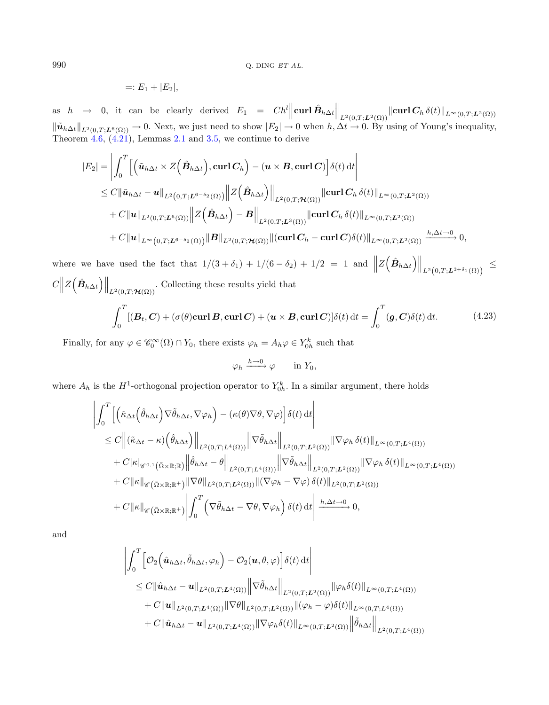<span id="page-21-0"></span>
$$
=:E_1+|E_2|,
$$

as  $h \rightarrow 0$ , it can be clearly derived  $E_1 = Ch^l \left\| \mathbf{curl} \hat{B}_{h\Delta t} \right\|_{L^2(0,T;\mathbf{L}^2(\Omega))} \left\| \mathbf{curl} \, \mathbf{C}_h \, \delta(t) \right\|_{L^{\infty}(0,T;\mathbf{L}^2(\Omega))}$  $\|\tilde{\bm{u}}_{h\Delta t}\|_{L^2(0,T;\bm{L}^6(\Omega))} \to 0.$  Next, we just need to show  $|E_2| \to 0$  when  $h, \Delta t \to 0.$  By using of Young's inequality, Theorem  $4.6, (4.21)$  $4.6, (4.21)$  $4.6, (4.21)$ , Lemmas [2.1](#page-4-2) and [3.5,](#page-8-4) we continue to derive

$$
|E_2| = \left| \int_0^T \left[ \left( \tilde{\boldsymbol{u}}_{h\Delta t} \times Z\left(\hat{\boldsymbol{B}}_{h\Delta t} \right), \operatorname{curl} \boldsymbol{C}_h \right) - (\boldsymbol{u} \times \boldsymbol{B}, \operatorname{curl} \boldsymbol{C}) \right] \delta(t) dt \right|
$$
  
\n
$$
\leq C \|\tilde{\boldsymbol{u}}_{h\Delta t} - \boldsymbol{u}\|_{L^2(0,T;\boldsymbol{L}^{6-\delta_2}(\Omega))} \|Z\left(\hat{\boldsymbol{B}}_{h\Delta t}\right)\|_{L^2(0,T;\mathcal{H}(\Omega))} \|\operatorname{curl} \boldsymbol{C}_h \delta(t)\|_{L^{\infty}(0,T;\boldsymbol{L}^2(\Omega))}
$$
  
\n
$$
+ C \|\boldsymbol{u}\|_{L^2(0,T;\boldsymbol{L}^6(\Omega))} \|Z\left(\hat{\boldsymbol{B}}_{h\Delta t}\right) - \boldsymbol{B} \Big\|_{L^2(0,T;\boldsymbol{L}^3(\Omega))} \|\operatorname{curl} \boldsymbol{C}_h \delta(t)\|_{L^{\infty}(0,T;\boldsymbol{L}^2(\Omega))}
$$
  
\n
$$
+ C \|\boldsymbol{u}\|_{L^{\infty}(0,T;\boldsymbol{L}^{6-\delta_2}(\Omega))} \|\boldsymbol{B}\|_{L^2(0,T;\mathcal{H}(\Omega))} \|(\operatorname{curl} \boldsymbol{C}_h - \operatorname{curl} \boldsymbol{C}) \delta(t)\|_{L^{\infty}(0,T;\boldsymbol{L}^2(\Omega))} \xrightarrow{h, \Delta t \to 0} 0,
$$

where we have used the fact that  $1/(3+\delta_1) + 1/(6-\delta_2) + 1/2 = 1$  and  $||Z(\hat{B}_{h\Delta t})||_{L^2(0,T;L^{3+\delta_1}(\Omega))} \le$  $C \big\| Z \left( \hat{B}_{h\Delta t} \right) \big\|_{L^2(0,T;\mathcal{H}(\Omega))}$ . Collecting these results yield that

$$
\int_0^T [(B_t, C) + (\sigma(\theta) \operatorname{curl} B, \operatorname{curl} C) + (\boldsymbol{u} \times B, \operatorname{curl} C)] \delta(t) dt = \int_0^T (g, C) \delta(t) dt.
$$
 (4.23)

Finally, for any  $\varphi \in \mathscr{C}_0^{\infty}(\Omega) \cap Y_0$ , there exists  $\varphi_h = A_h \varphi \in Y_{0h}^k$  such that

$$
\varphi_h \xrightarrow{h \to 0} \varphi \qquad \text{in } Y_0,
$$

where  $A_h$  is the  $H^1$ -orthogonal projection operator to  $Y_{0h}^k$ . In a similar argument, there holds

$$
\begin{split}\n&\left|\int_{0}^{T}\left[\left(\tilde{\kappa}_{\Delta t}\left(\hat{\theta}_{h\Delta t}\right)\nabla\tilde{\theta}_{h\Delta t},\nabla\varphi_{h}\right)-\left(\kappa(\theta)\nabla\theta,\nabla\varphi\right)\right]\delta(t)\,\mathrm{d}t\right| \\
&\leq C\left\|\left(\tilde{\kappa}_{\Delta t}-\kappa\right)\left(\hat{\theta}_{h\Delta t}\right)\right\|_{L^{2}(0,T;L^{4}(\Omega))}\left\|\nabla\tilde{\theta}_{h\Delta t}\right\|_{L^{2}(0,T;L^{2}(\Omega))}\left\|\nabla\varphi_{h}\,\delta(t)\right\|_{L^{\infty}(0,T;L^{4}(\Omega))} \\
&+C|\kappa|_{\mathscr{C}^{0,1}\left(\bar{\Omega}\times\mathbb{R};\mathbb{R}\right)}\left\|\hat{\theta}_{h\Delta t}-\theta\right\|_{L^{2}(0,T;L^{4}(\Omega))}\left\|\nabla\tilde{\theta}_{h\Delta t}\right\|_{L^{2}(0,T;L^{2}(\Omega))}\left\|\nabla\varphi_{h}\,\delta(t)\right\|_{L^{\infty}(0,T;L^{4}(\Omega))} \\
&+C\|\kappa\|_{\mathscr{C}\left(\bar{\Omega}\times\mathbb{R};\mathbb{R}^{+}\right)}\left\|\nabla\theta\right\|_{L^{2}(0,T;L^{2}(\Omega))}\left\|\left(\nabla\varphi_{h}-\nabla\varphi\right)\delta(t)\right\|_{L^{2}(0,T;L^{2}(\Omega))} \\
&+C\|\kappa\|_{\mathscr{C}\left(\bar{\Omega}\times\mathbb{R};\mathbb{R}^{+}\right)}\left\|\int_{0}^{T}\left(\nabla\tilde{\theta}_{h\Delta t}-\nabla\theta,\nabla\varphi_{h}\right)\delta(t)\,\mathrm{d}t\right\|\xrightarrow{h,\Delta t\to 0}0,\n\end{split}
$$

and

$$
\left| \int_0^T \left[ \mathcal{O}_2 \left( \hat{\boldsymbol{u}}_{h\Delta t}, \tilde{\theta}_{h\Delta t}, \varphi_h \right) - \mathcal{O}_2(\boldsymbol{u}, \theta, \varphi) \right] \delta(t) dt \right|
$$
  
\n
$$
\leq C \|\hat{\boldsymbol{u}}_{h\Delta t} - \boldsymbol{u}\|_{L^2(0,T;L^4(\Omega))} \|\nabla \tilde{\theta}_{h\Delta t}\|_{L^2(0,T;L^2(\Omega))} \|\varphi_h \delta(t)\|_{L^\infty(0,T;L^4(\Omega))}
$$
  
\n
$$
+ C \|\boldsymbol{u}\|_{L^2(0,T;L^4(\Omega))} \|\nabla \theta\|_{L^2(0,T;L^2(\Omega))} \|(\varphi_h - \varphi) \delta(t)\|_{L^\infty(0,T;L^4(\Omega))}
$$
  
\n
$$
+ C \|\hat{\boldsymbol{u}}_{h\Delta t} - \boldsymbol{u}\|_{L^2(0,T;L^4(\Omega))} \|\nabla \varphi_h \delta(t)\|_{L^\infty(0,T;L^2(\Omega))} \|\tilde{\theta}_{h\Delta t}\|_{L^2(0,T;L^4(\Omega))}
$$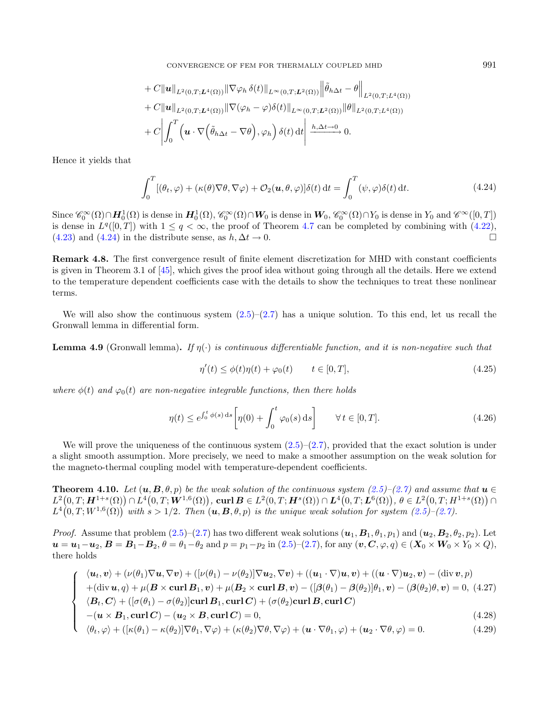<span id="page-22-0"></span>+ C
$$
\|\mathbf{u}\|_{L^{2}(0,T;L^{4}(\Omega))}\|\nabla\varphi_{h}\delta(t)\|_{L^{\infty}(0,T;L^{2}(\Omega))}\|\tilde{\theta}_{h\Delta t}-\theta\|_{L^{2}(0,T;L^{4}(\Omega))}
$$
  
+ C $\|\mathbf{u}\|_{L^{2}(0,T;L^{4}(\Omega))}\|\nabla(\varphi_{h}-\varphi)\delta(t)\|_{L^{\infty}(0,T;L^{2}(\Omega))}\|\theta\|_{L^{2}(0,T;L^{4}(\Omega))}$   
+ C $\left|\int_{0}^{T}\left(\mathbf{u}\cdot\nabla\left(\tilde{\theta}_{h\Delta t}-\nabla\theta\right),\varphi_{h}\right)\delta(t)\,\mathrm{d}t\right|\xrightarrow{h,\Delta t\to 0} 0.$ 

Hence it yields that

$$
\int_0^T [(\theta_t, \varphi) + (\kappa(\theta)\nabla\theta, \nabla\varphi) + \mathcal{O}_2(\mathbf{u}, \theta, \varphi)] \delta(t) dt = \int_0^T (\psi, \varphi) \delta(t) dt.
$$
 (4.24)

Since  $\mathscr{C}_0^{\infty}(\Omega) \cap H_0^1(\Omega)$  is dense in  $H_0^1(\Omega)$ ,  $\mathscr{C}_0^{\infty}(\Omega) \cap W_0$  is dense in  $W_0$ ,  $\mathscr{C}_0^{\infty}(\Omega) \cap Y_0$  is dense in  $Y_0$  and  $\mathscr{C}^{\infty}([0,T])$ is dense in  $L^q([0,T])$  with  $1 \leq q < \infty$ , the proof of Theorem [4.7](#page-18-0) can be completed by combining with  $(4.22)$ ,  $(4.23)$  and  $(4.24)$  in the distribute sense, as  $h, \Delta t \to 0$ .

Remark 4.8. The first convergence result of finite element discretization for MHD with constant coefficients is given in Theorem 3.1 of [\[45\]](#page-35-12), which gives the proof idea without going through all the details. Here we extend to the temperature dependent coefficients case with the details to show the techniques to treat these nonlinear terms.

We will also show the continuous system  $(2.5)-(2.7)$  $(2.5)-(2.7)$  $(2.5)-(2.7)$  has a unique solution. To this end, let us recall the Gronwall lemma in differential form.

<span id="page-22-2"></span>**Lemma 4.9** (Gronwall lemma). If  $\eta(\cdot)$  is continuous differentiable function, and it is non-negative such that

$$
\eta'(t) \le \phi(t)\eta(t) + \varphi_0(t) \qquad t \in [0, T], \tag{4.25}
$$

where  $\phi(t)$  and  $\varphi_0(t)$  are non-negative integrable functions, then there holds

$$
\eta(t) \le e^{\int_0^t \phi(s) ds} \left[ \eta(0) + \int_0^t \varphi_0(s) ds \right] \qquad \forall t \in [0, T]. \tag{4.26}
$$

We will prove the uniqueness of the continuous system  $(2.5)-(2.7)$  $(2.5)-(2.7)$  $(2.5)-(2.7)$ , provided that the exact solution is under a slight smooth assumption. More precisely, we need to make a smoother assumption on the weak solution for the magneto-thermal coupling model with temperature-dependent coefficients.

<span id="page-22-1"></span>**Theorem 4.10.** Let  $(u, B, \theta, p)$  be the weak solution of the continuous system [\(2.5\)](#page-4-0)–[\(2.7\)](#page-4-0) and assume that  $u \in$  $L^2\big(0,T;\bm{H}^{1+s}(\Omega) \big)\cap L^4\big(0,T;\bm{W}^{1,6}(\Omega) \big), \, \boldsymbol{\mathrm{curl}}\,\bm{B} \in L^2(0,T;\bm{H}^s(\Omega))\cap \bm{L}^4\big(0,T;\bm{L}^6(\Omega) \big),\, \theta \in L^2\big(0,T;H^{1+s}(\Omega) \big)\cap L^4\big(0,T;\bm{H}^{1+s}(\Omega) \big),$  $L^4(0,T;W^{1,6}(\Omega))$  with  $s>1/2$ . Then  $(u, B, \theta, p)$  is the unique weak solution for system  $(2.5)-(2.7)$  $(2.5)-(2.7)$  $(2.5)-(2.7)$ .

*Proof.* Assume that problem  $(2.5)-(2.7)$  $(2.5)-(2.7)$  $(2.5)-(2.7)$  has two different weak solutions  $(\boldsymbol{u}_1, \boldsymbol{B}_1, \theta_1, p_1)$  and  $(\boldsymbol{u}_2, \boldsymbol{B}_2, \theta_2, p_2)$ . Let  $u = u_1 - u_2, B = B_1 - B_2, \theta = \theta_1 - \theta_2$  and  $p = p_1 - p_2$  in  $(2.5)-(2.7)$  $(2.5)-(2.7)$  $(2.5)-(2.7)$ , for any  $(v, C, \varphi, q) \in (X_0 \times W_0 \times Y_0 \times Q),$ there holds

$$
\begin{cases}\n\langle \boldsymbol{u}_t, \boldsymbol{v} \rangle + (\nu(\theta_1) \nabla \boldsymbol{u}, \nabla \boldsymbol{v}) + ([\nu(\theta_1) - \nu(\theta_2)] \nabla \boldsymbol{u}_2, \nabla \boldsymbol{v}) + ((\boldsymbol{u}_1 \cdot \nabla) \boldsymbol{u}, \boldsymbol{v}) + ((\boldsymbol{u} \cdot \nabla) \boldsymbol{u}_2, \boldsymbol{v}) - (\text{div } \boldsymbol{v}, p) \\
+ (\text{div } \boldsymbol{u}, q) + \mu (\boldsymbol{B} \times \text{curl } \boldsymbol{B}_1, \boldsymbol{v}) + \mu (\boldsymbol{B}_2 \times \text{curl } \boldsymbol{B}, \boldsymbol{v}) - ([\beta(\theta_1) - \beta(\theta_2)] \theta_1, \boldsymbol{v}) - (\beta(\theta_2) \theta, \boldsymbol{v}) = 0, (4.27) \\
\langle \boldsymbol{B}_t, \boldsymbol{C} \rangle + ([\sigma(\theta_1) - \sigma(\theta_2)] \text{curl } \boldsymbol{B}_1, \text{curl } \boldsymbol{C}) + (\sigma(\theta_2) \text{curl } \boldsymbol{B}, \text{curl } \boldsymbol{C}) \\
-(\boldsymbol{u} \times \boldsymbol{B}_1, \text{curl } \boldsymbol{C}) - (\boldsymbol{u}_2 \times \boldsymbol{B}, \text{curl } \boldsymbol{C}) = 0, \\
\langle \theta_t, \varphi \rangle + ([\kappa(\theta_1) - \kappa(\theta_2)] \nabla \theta_1, \nabla \varphi) + (\kappa(\theta_2) \nabla \theta, \nabla \varphi) + (\boldsymbol{u} \cdot \nabla \theta_1, \varphi) + (\boldsymbol{u}_2 \cdot \nabla \theta, \varphi) = 0. \n\end{cases} (4.28)
$$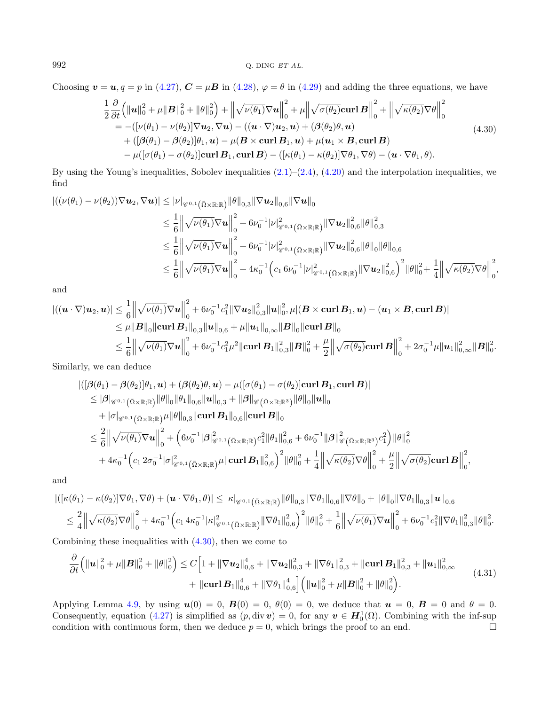Choosing  $\mathbf{v} = \mathbf{u}, q = p$  in [\(4.27\)](#page-22-1),  $\mathbf{C} = \mu \mathbf{B}$  in [\(4.28\)](#page-22-1),  $\varphi = \theta$  in [\(4.29\)](#page-22-1) and adding the three equations, we have

<span id="page-23-0"></span>
$$
\frac{1}{2} \frac{\partial}{\partial t} \left( \|\mathbf{u}\|_{0}^{2} + \mu \| \mathbf{B} \|_{0}^{2} + \|\theta \|_{0}^{2} \right) + \left( \|\sqrt{\nu(\theta_{1})} \nabla \mathbf{u} \|_{0}^{2} + \mu \|\sqrt{\sigma(\theta_{2})} \mathbf{curl} \mathbf{B} \right)_{0}^{2} + \left( \|\sqrt{\kappa(\theta_{2})} \nabla \theta \|_{0}^{2} \right) \n= -\left( [\nu(\theta_{1}) - \nu(\theta_{2})] \nabla \mathbf{u}_{2}, \nabla \mathbf{u} \right) - \left( (\mathbf{u} \cdot \nabla) \mathbf{u}_{2}, \mathbf{u} \right) + \left( \beta(\theta_{2}) \theta, \mathbf{u} \right) \n+ \left( [\beta(\theta_{1}) - \beta(\theta_{2})] \theta_{1}, \mathbf{u} \right) - \mu (\mathbf{B} \times \mathbf{curl} \mathbf{B}_{1}, \mathbf{u}) + \mu (\mathbf{u}_{1} \times \mathbf{B}, \mathbf{curl} \mathbf{B}) \n- \mu ([\sigma(\theta_{1}) - \sigma(\theta_{2})] \mathbf{curl} \mathbf{B}_{1}, \mathbf{curl} \mathbf{B}) - \left( [\kappa(\theta_{1}) - \kappa(\theta_{2})] \nabla \theta_{1}, \nabla \theta \right) - (\mathbf{u} \cdot \nabla \theta_{1}, \theta).
$$
\n(4.30)

By using the Young's inequalities, Sobolev inequalities  $(2.1)$ – $(2.4)$ ,  $(4.20)$  and the interpolation inequalities, we find

$$
\begin{split} |((\nu(\theta_1)-\nu(\theta_2))\nabla \mathbf{u}_2,\nabla \mathbf{u})| &\leq |\nu|_{\mathscr{C}^{0,1}(\bar{\Omega}\times\mathbb{R};\mathbb{R})} \|\theta\|_{0,3} \|\nabla \mathbf{u}_2\|_{0,6} \|\nabla \mathbf{u}\|_{0} \\ &\leq \frac{1}{6} \left\| \sqrt{\nu(\theta_1)} \nabla \mathbf{u} \right\|_{0}^{2} + 6\nu_0^{-1} |\nu|_{\mathscr{C}^{0,1}(\bar{\Omega}\times\mathbb{R};\mathbb{R})}^{2} \|\nabla \mathbf{u}_2\|_{0,6}^{2} \|\theta\|_{0,3}^{2} \\ &\leq \frac{1}{6} \left\| \sqrt{\nu(\theta_1)} \nabla \mathbf{u} \right\|_{0}^{2} + 6\nu_0^{-1} |\nu|_{\mathscr{C}^{0,1}(\bar{\Omega}\times\mathbb{R};\mathbb{R})}^{2} \|\nabla \mathbf{u}_2\|_{0,6}^{2} \|\theta\|_{0} \|\theta\|_{0,6} \\ &\leq \frac{1}{6} \left\| \sqrt{\nu(\theta_1)} \nabla \mathbf{u} \right\|_{0}^{2} + 4\kappa_0^{-1} \left( c_1 6\nu_0^{-1} |\nu|_{\mathscr{C}^{0,1}(\bar{\Omega}\times\mathbb{R};\mathbb{R})}^{2} \|\nabla \mathbf{u}_2\|_{0,6}^{2} \right)^{2} \|\theta\|_{0}^{2} + \frac{1}{4} \left\| \sqrt{\kappa(\theta_2)} \nabla \theta \right\|_{0}^{2}, \end{split}
$$

and

$$
\begin{aligned} |((\boldsymbol{u}\cdot\nabla)\boldsymbol{u}_{2},\boldsymbol{u})| &\leq \frac{1}{6}\Big\|\sqrt{\nu(\theta_{1})}\nabla\boldsymbol{u}\Big\|_{0}^{2}+6\nu_{0}^{-1}c_{1}^{2}\|\nabla\boldsymbol{u}_{2}\|_{0,3}^{2}\|\boldsymbol{u}\|_{0}^{2}, \mu|(\boldsymbol{B}\times\boldsymbol{\mathrm{curl}}\,\boldsymbol{B}_{1},\boldsymbol{u})-(\boldsymbol{u}_{1}\times\boldsymbol{B},\boldsymbol{\mathrm{curl}}\,\boldsymbol{B})|\\ &\leq \mu\|\boldsymbol{B}\|_{0}\|\boldsymbol{\mathrm{curl}}\,\boldsymbol{B}_{1}\|_{0,3}\|\boldsymbol{u}\|_{0,6}+\mu\|\boldsymbol{u}_{1}\|_{0,\infty}\|\boldsymbol{B}\|_{0}\|\boldsymbol{\mathrm{curl}}\,\boldsymbol{B}\|_{0}\\ &\leq \frac{1}{6}\Big\|\sqrt{\nu(\theta_{1})}\nabla\boldsymbol{u}\Big\|_{0}^{2}+6\nu_{0}^{-1}c_{1}^{2}\mu^{2}\|\boldsymbol{\mathrm{curl}}\,\boldsymbol{B}_{1}\|_{0,3}^{2}\|\boldsymbol{B}\|_{0}^{2}+\frac{\mu}{2}\Big\|\sqrt{\sigma(\theta_{2})}\boldsymbol{\mathrm{curl}}\,\boldsymbol{B}\Big\|_{0}^{2}+2\sigma_{0}^{-1}\mu\|\boldsymbol{u}_{1}\|_{0,\infty}^{2}\|\boldsymbol{B}\|_{0}^{2}.\end{aligned}
$$

Similarly, we can deduce

$$
\begin{split} &\left|\left(\left[\bm{\beta}(\theta_{1})-\bm{\beta}(\theta_{2})\right]\theta_{1},\bm{u}\right) + (\bm{\beta}(\theta_{2})\theta,\bm{u}) - \mu([\sigma(\theta_{1})-\sigma(\theta_{2})]\mathbf{curl}\,\bm{B}_{1},\mathbf{curl}\,\bm{B})\right|\right.\\ &\left.\leq |\bm{\beta}|_{\mathscr{C}^{0,1}\left(\bar{\Omega}\times\mathbb{R};\mathbb{R}\right)}\|\theta\|_{0}\|\theta_{1}\|_{0,6}\|\bm{u}\|_{0,3} + \|\bm{\beta}\|_{\mathscr{C}\left(\bar{\Omega}\times\mathbb{R};\mathbb{R}^{3}\right)}\|\theta\|_{0}\|\bm{u}\|_{0} \\ &\quad + |\sigma|_{\mathscr{C}^{0,1}\left(\bar{\Omega}\times\mathbb{R};\mathbb{R}\right)}\mu\|\theta\|_{0,3}\|\mathbf{curl}\,\bm{B}_{1}\|_{0,6}\|\mathbf{curl}\,\bm{B}\|_{0} \\ &\leq \frac{2}{6}\left\|\sqrt{\nu(\theta_{1})}\nabla\bm{u}\right\|_{0}^{2} + \left(6\nu_{0}^{-1}|\bm{\beta}|_{\mathscr{C}^{0,1}\left(\bar{\Omega}\times\mathbb{R};\mathbb{R}\right)}c_{1}^{2}\|\theta_{1}\|_{0,6}^{2} + 6\nu_{0}^{-1}\|\bm{\beta}\|_{\mathscr{C}\left(\bar{\Omega}\times\mathbb{R};\mathbb{R}^{3}\right)}^{2}c_{1}^{2}\right)\|\theta\|_{0}^{2} \\ &\quad + 4\kappa_{0}^{-1}\left(c_{1}2\sigma_{0}^{-1}|\sigma|_{\mathscr{C}^{0,1}\left(\bar{\Omega}\times\mathbb{R};\mathbb{R}\right)}\mu\|\mathbf{curl}\,\bm{B}_{1}\|_{0,6}^{2}\right)^{2}\|\theta\|_{0}^{2} + \frac{1}{4}\left\|\sqrt{\kappa(\theta_{2})}\nabla\theta\right\|_{0}^{2} + \frac{\mu}{2}\left\|\sqrt{\sigma(\theta_{2})}\mathbf{curl}\,\bm{B}\right\|_{0}^{2}, \end{split}
$$

and

$$
\begin{split} |([\kappa(\theta_1) - \kappa(\theta_2)] \nabla \theta_1, \nabla \theta) + (\mathbf{u} \cdot \nabla \theta_1, \theta)| \leq |\kappa|_{\mathscr{C}^{0,1}(\bar{\Omega} \times \mathbb{R}; \mathbb{R})} \|\theta\|_{0,3} \|\nabla \theta_1\|_{0,6} \|\nabla \theta\|_{0} + \|\theta\|_{0} \|\nabla \theta_1\|_{0,3} \|\mathbf{u}\|_{0,6} \\ \leq & \frac{2}{4} \left\| \sqrt{\kappa(\theta_2)} \nabla \theta \right\|_{0}^{2} + 4 \kappa_0^{-1} \left( c_1 4 \kappa_0^{-1} |\kappa|_{\mathscr{C}^{0,1}(\bar{\Omega} \times \mathbb{R}; \mathbb{R})} \|\nabla \theta_1\|_{0,6}^2 \right)^2 \|\theta\|_{0}^{2} + \frac{1}{6} \left\| \sqrt{\nu(\theta_1)} \nabla \mathbf{u} \right\|_{0}^{2} + 6 \nu_0^{-1} c_1^2 \|\nabla \theta_1\|_{0,3}^2 \|\theta\|_{0}^2. \end{split}
$$

Combining these inequalities with  $(4.30)$ , then we come to

$$
\frac{\partial}{\partial t} \left( \|\mathbf{u}\|_{0}^{2} + \mu \|B\|_{0}^{2} + \|\theta\|_{0}^{2} \right) \leq C \Big[ 1 + \|\nabla \mathbf{u}_{2}\|_{0,6}^{4} + \|\nabla \mathbf{u}_{2}\|_{0,3}^{2} + \|\nabla \theta_{1}\|_{0,3}^{2} + \|\mathbf{curl}\,\mathbf{B}_{1}\|_{0,3}^{2} + \|\mathbf{u}_{1}\|_{0,\infty}^{2} + \|\mathbf{curl}\,\mathbf{B}_{1}\|_{0,6}^{4} + \|\nabla \theta_{1}\|_{0,6}^{4} \Big] \Big( \|\mathbf{u}\|_{0}^{2} + \mu \|B\|_{0}^{2} + \|\theta\|_{0}^{2} \Big). \tag{4.31}
$$

Applying Lemma [4.9,](#page-22-2) by using  $u(0) = 0$ ,  $B(0) = 0$ ,  $\theta(0) = 0$ , we deduce that  $u = 0$ ,  $B = 0$  and  $\theta = 0$ . Consequently, equation [\(4.27\)](#page-22-1) is simplified as  $(p, div \mathbf{v}) = 0$ , for any  $\mathbf{v} \in \mathbf{H}_{0}^{1}(\Omega)$ . Combining with the inf-sup condition with continuous form, then we deduce  $p = 0$ , which brings the proof to an end.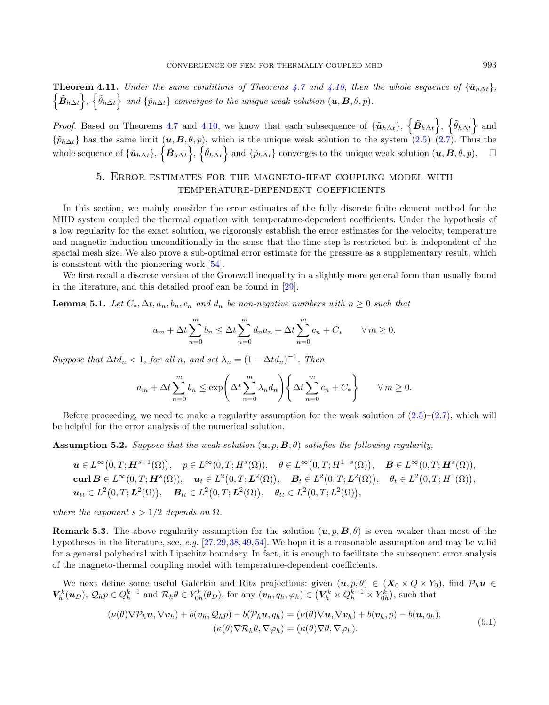**Theorem 4.11.** Under the same conditions of Theorems [4.7](#page-18-0) and [4.10,](#page-22-1) then the whole sequence of  $\{\tilde{\mathbf{u}}_{h\Delta t}\}$ ,  $\{\tilde{B}_{h\Delta t}\}, \{\tilde{\theta}_{h\Delta t}\}$  and  $\{\tilde{p}_{h\Delta t}\}$  converges to the unique weak solution  $(\boldsymbol{u}, \boldsymbol{B}, \theta, p)$ .

*Proof.* Based on Theorems [4.7](#page-18-0) and [4.10,](#page-22-1) we know that each subsequence of  ${\{\tilde{\bm{u}}_{h\Delta t}\}}$ ,  ${\{\tilde{\bm{\beta}}_{h\Delta t}\}}$ ,  ${\{\tilde{\theta}_{h\Delta t}\}}$  and  $\{\tilde{p}_{h\Delta t}\}\$  has the same limit  $(u, B, \theta, p)$ , which is the unique weak solution to the system  $(2.5)-(2.7)$  $(2.5)-(2.7)$  $(2.5)-(2.7)$ . Thus the whole sequence of  $\{\tilde{\bm u}_{h\Delta t}\}, \{\tilde{\bm\theta}_{h\Delta t}\}$  and  $\{\tilde{p}_{h\Delta t}\}$  converges to the unique weak solution  $(\bm u, \bm B, \theta, p)$ .

## <span id="page-24-3"></span>5. Error estimates for the magneto-heat coupling model with temperature-dependent coefficients

<span id="page-24-0"></span>In this section, we mainly consider the error estimates of the fully discrete finite element method for the MHD system coupled the thermal equation with temperature-dependent coefficients. Under the hypothesis of a low regularity for the exact solution, we rigorously establish the error estimates for the velocity, temperature and magnetic induction unconditionally in the sense that the time step is restricted but is independent of the spacial mesh size. We also prove a sub-optimal error estimate for the pressure as a supplementary result, which is consistent with the pioneering work [\[54\]](#page-36-0).

We first recall a discrete version of the Gronwall inequality in a slightly more general form than usually found in the literature, and this detailed proof can be found in [\[29\]](#page-35-30).

**Lemma 5.1.** Let  $C_*, \Delta t, a_n, b_n, c_n$  and  $d_n$  be non-negative numbers with  $n \geq 0$  such that

$$
a_m + \Delta t \sum_{n=0}^{m} b_n \le \Delta t \sum_{n=0}^{m} d_n a_n + \Delta t \sum_{n=0}^{m} c_n + C_* \quad \forall m \ge 0.
$$

Suppose that  $\Delta t d_n < 1$ , for all n, and set  $\lambda_n = (1 - \Delta t d_n)^{-1}$ . Then

<span id="page-24-2"></span>
$$
a_m + \Delta t \sum_{n=0}^{m} b_n \le \exp\left(\Delta t \sum_{n=0}^{m} \lambda_n d_n\right) \left\{\Delta t \sum_{n=0}^{m} c_n + C_*\right\} \qquad \forall \, m \ge 0.
$$

Before proceeding, we need to make a regularity assumption for the weak solution of  $(2.5)$ – $(2.7)$ , which will be helpful for the error analysis of the numerical solution.

<span id="page-24-1"></span>**Assumption 5.2.** Suppose that the weak solution  $(u, p, B, \theta)$  satisfies the following regularity,

$$
\mathbf{u} \in L^{\infty}(0,T; \mathbf{H}^{s+1}(\Omega)), \quad p \in L^{\infty}(0,T; H^{s}(\Omega)), \quad \theta \in L^{\infty}(0,T; H^{1+s}(\Omega)), \quad \mathbf{B} \in L^{\infty}(0,T; \mathbf{H}^{s}(\Omega)),
$$
  
\n
$$
\mathbf{curl}\,\mathbf{B} \in L^{\infty}(0,T; \mathbf{H}^{s}(\Omega)), \quad \mathbf{u}_{t} \in L^{2}(0,T; \mathbf{L}^{2}(\Omega)), \quad \mathbf{B}_{t} \in L^{2}(0,T; \mathbf{L}^{2}(\Omega)), \quad \theta_{t} \in L^{2}(0,T; H^{1}(\Omega)),
$$
  
\n
$$
\mathbf{u}_{tt} \in L^{2}(0,T; \mathbf{L}^{2}(\Omega)), \quad \mathbf{B}_{tt} \in L^{2}(0,T; \mathbf{L}^{2}(\Omega)), \quad \theta_{tt} \in L^{2}(0,T; L^{2}(\Omega)),
$$

where the exponent  $s > 1/2$  depends on  $\Omega$ .

**Remark 5.3.** The above regularity assumption for the solution  $(u, p, B, \theta)$  is even weaker than most of the hypotheses in the literature, see, e.g. [\[27,](#page-35-8)[29,](#page-35-30)[38,](#page-35-26)[49,](#page-35-31)[54\]](#page-36-0). We hope it is a reasonable assumption and may be valid for a general polyhedral with Lipschitz boundary. In fact, it is enough to facilitate the subsequent error analysis of the magneto-thermal coupling model with temperature-dependent coefficients.

We next define some useful Galerkin and Ritz projections: given  $(u, p, \theta) \in (X_0 \times Q \times Y_0)$ , find  $\mathcal{P}_h u \in$  $V_h^k(\boldsymbol{u}_D), \mathcal{Q}_h p \in Q_h^{k-1}$  and  $\mathcal{R}_h \theta \in Y_{0h}^k(\theta_D)$ , for any  $(\boldsymbol{v}_h, q_h, \varphi_h) \in (V_h^k \times Q_h^{k-1} \times Y_{0h}^k)$ , such that

$$
(\nu(\theta)\nabla\mathcal{P}_h\boldsymbol{u}, \nabla\boldsymbol{v}_h) + b(\boldsymbol{v}_h, \mathcal{Q}_h p) - b(\mathcal{P}_h\boldsymbol{u}, q_h) = (\nu(\theta)\nabla\boldsymbol{u}, \nabla\boldsymbol{v}_h) + b(\boldsymbol{v}_h, p) - b(\boldsymbol{u}, q_h),
$$
  

$$
(\kappa(\theta)\nabla\mathcal{R}_h\theta, \nabla\varphi_h) = (\kappa(\theta)\nabla\theta, \nabla\varphi_h).
$$
 (5.1)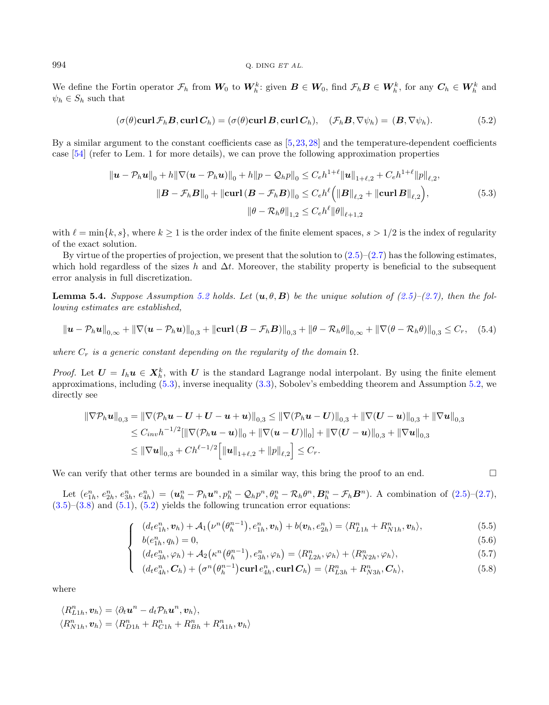We define the Fortin operator  $\mathcal{F}_h$  from  $W_0$  to  $W_h^k$ : given  $B \in W_0$ , find  $\mathcal{F}_h B \in W_h^k$ , for any  $C_h \in W_h^k$  and  $\psi_h \in S_h$  such that

<span id="page-25-0"></span>
$$
(\sigma(\theta)\operatorname{curl}\mathcal{F}_h\mathbf{B},\operatorname{curl}\mathbf{C}_h)=(\sigma(\theta)\operatorname{curl}\mathbf{B},\operatorname{curl}\mathbf{C}_h),\quad(\mathcal{F}_h\mathbf{B},\nabla\psi_h)=(\mathbf{B},\nabla\psi_h). \tag{5.2}
$$

By a similar argument to the constant coefficients case as [\[5,](#page-34-19)[23,](#page-35-22)[28\]](#page-35-25) and the temperature-dependent coefficients case [\[54\]](#page-36-0) (refer to Lem. 1 for more details), we can prove the following approximation properties

<span id="page-25-2"></span>
$$
\|\mathbf{u} - \mathcal{P}_h \mathbf{u}\|_0 + h \|\nabla (\mathbf{u} - \mathcal{P}_h \mathbf{u})\|_0 + h \|p - \mathcal{Q}_h p\|_0 \le C_e h^{1+\ell} \|\mathbf{u}\|_{1+\ell,2} + C_e h^{1+\ell} \|p\|_{\ell,2},
$$
  

$$
\|\mathbf{B} - \mathcal{F}_h \mathbf{B}\|_0 + \|\mathbf{curl}(\mathbf{B} - \mathcal{F}_h \mathbf{B})\|_0 \le C_e h^{\ell} \left( \|\mathbf{B}\|_{\ell,2} + \|\mathbf{curl} \mathbf{B}\|_{\ell,2} \right),
$$
  

$$
\|\theta - \mathcal{R}_h \theta\|_{1,2} \le C_e h^{\ell} \|\theta\|_{\ell+1,2}
$$
 (5.3)

with  $\ell = \min\{k, s\}$ , where  $k \ge 1$  is the order index of the finite element spaces,  $s > 1/2$  is the index of regularity of the exact solution.

By virtue of the properties of projection, we present that the solution to  $(2.5)-(2.7)$  $(2.5)-(2.7)$  $(2.5)-(2.7)$  has the following estimates, which hold regardless of the sizes h and  $\Delta t$ . Moreover, the stability property is beneficial to the subsequent error analysis in full discretization.

**Lemma 5.4.** Suppose Assumption [5.2](#page-24-1) holds. Let  $(\mathbf{u}, \theta, \mathbf{B})$  be the unique solution of  $(2.5)-(2.7)$  $(2.5)-(2.7)$  $(2.5)-(2.7)$ , then the following estimates are established,

$$
\|\mathbf{u} - \mathcal{P}_h \mathbf{u}\|_{0,\infty} + \|\nabla (\mathbf{u} - \mathcal{P}_h \mathbf{u})\|_{0,3} + \|\mathbf{curl} (\mathbf{B} - \mathcal{F}_h \mathbf{B})\|_{0,3} + \|\theta - \mathcal{R}_h \theta\|_{0,\infty} + \|\nabla (\theta - \mathcal{R}_h \theta)\|_{0,3} \leq C_r, \quad (5.4)
$$

where  $C_r$  is a generic constant depending on the regularity of the domain  $\Omega$ .

*Proof.* Let  $U = I_h u \in X_h^k$ , with U is the standard Lagrange nodal interpolant. By using the finite element approximations, including  $(5.3)$ , inverse inequality  $(3.3)$ , Sobolev's embedding theorem and Assumption [5.2,](#page-24-1) we directly see

$$
\|\nabla \mathcal{P}_h \mathbf{u}\|_{0,3} = \|\nabla (\mathcal{P}_h \mathbf{u} - \mathbf{U} + \mathbf{U} - \mathbf{u} + \mathbf{u})\|_{0,3} \le \|\nabla (\mathcal{P}_h \mathbf{u} - \mathbf{U})\|_{0,3} + \|\nabla (\mathbf{U} - \mathbf{u})\|_{0,3} + \|\nabla \mathbf{u}\|_{0,3}
$$
  
\n
$$
\le C_{inv} h^{-1/2} [\|\nabla (\mathcal{P}_h \mathbf{u} - \mathbf{u})\|_0 + \|\nabla (\mathbf{u} - \mathbf{U})\|_0] + \|\nabla (\mathbf{U} - \mathbf{u})\|_{0,3} + \|\nabla \mathbf{u}\|_{0,3}
$$
  
\n
$$
\le \|\nabla \mathbf{u}\|_{0,3} + Ch^{\ell-1/2} \Big[ \|\mathbf{u}\|_{1+\ell,2} + \|\mathbf{p}\|_{\ell,2} \Big] \le C_r.
$$

We can verify that other terms are bounded in a similar way, this bring the proof to an end.  $\square$ 

Let  $(e_{1h}^n, e_{2h}^n, e_{3h}^n, e_{4h}^n) = (\mathbf{u}_h^n - \mathcal{P}_h \mathbf{u}^n, p_h^n - \mathcal{Q}_h p^n, \theta_h^n - \mathcal{R}_h \theta^n, \mathbf{B}_h^n - \mathcal{F}_h \mathbf{B}^n)$ . A combination of  $(2.5)-(2.7)$  $(2.5)-(2.7)$  $(2.5)-(2.7)$ ,  $(3.5)$ – $(3.8)$  and  $(5.1)$ ,  $(5.2)$  yields the following truncation error equations:

$$
(d_t e_{1h}^n, \mathbf{v}_h) + \mathcal{A}_1(\nu^n(\theta_h^{n-1}), e_{1h}^n, \mathbf{v}_h) + b(\mathbf{v}_h, e_{2h}^n) = \langle R_{L1h}^n + R_{N1h}^n, \mathbf{v}_h \rangle, \tag{5.5}
$$

$$
b(e_{1h}^n, q_h) = 0,\t\t(5.6)
$$

$$
(d_t e_{3h}^n, \varphi_h) + \mathcal{A}_2(\kappa^n(\theta_h^{n-1}), e_{3h}^n, \varphi_h) = \langle R_{L2h}^n, \varphi_h \rangle + \langle R_{N2h}^n, \varphi_h \rangle, \tag{5.7}
$$

$$
\begin{cases}\n(a_t c_{3h}^n, \varphi_h) + \varphi_2(\varphi_h - \varphi_h) + (a_t c_{2h}^n, \varphi_h) + (a_t c_{2h}^n, \varphi_h) + (a_t c_{2h}^n, \varphi_h) \\
(d_t e_{4h}^n, C_h) + (\sigma^n (\theta_h^{n-1}) \text{curl } e_{4h}^n, \text{curl } C_h) = \langle R_{L3h}^n + R_{N3h}^n, C_h \rangle,\n\end{cases} (5.8)
$$

where

$$
\langle R_{L1h}^{n}, \mathbf{v}_h \rangle = \langle \partial_t \mathbf{u}^n - d_t \mathcal{P}_h \mathbf{u}^n, \mathbf{v}_h \rangle,
$$
  

$$
\langle R_{N1h}^{n}, \mathbf{v}_h \rangle = \langle R_{D1h}^{n} + R_{C1h}^{n} + R_{Bh}^{n} + R_{A1h}^{n}, \mathbf{v}_h \rangle
$$

 $\Gamma$  $\int$ 

<span id="page-25-1"></span>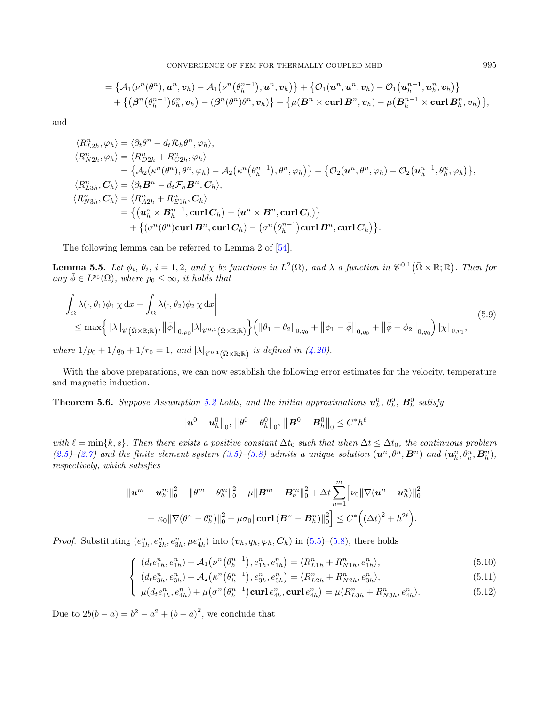$$
=\{\mathcal{A}_1(\nu^n(\theta^n),\boldsymbol{u}^n,\boldsymbol{v}_h)-\mathcal{A}_1(\nu^n(\theta^{n-1}_h),\boldsymbol{u}^n,\boldsymbol{v}_h)\}+\{\mathcal{O}_1(\boldsymbol{u}^n,\boldsymbol{u}^n,\boldsymbol{v}_h)-\mathcal{O}_1(\boldsymbol{u}^{n-1}_h,\boldsymbol{u}^n_h,\boldsymbol{v}_h)\}\\+\big\{ \big(\boldsymbol{\beta}^n\big(\theta^{n-1}_h\big)\theta^{n}_h,\boldsymbol{v}_h\big)-(\boldsymbol{\beta}^n(\theta^n)\theta^n,\boldsymbol{v}_h)\big\}+\big\{ \mu(\boldsymbol{B}^n\times\boldsymbol{\mathrm{curl}}\,\boldsymbol{B}^n,\boldsymbol{v}_h)-\mu\big(\boldsymbol{B}^{n-1}_h\times\boldsymbol{\mathrm{curl}}\,\boldsymbol{B}^n_h,\boldsymbol{v}_h\big)\big\},
$$

and

$$
\langle R_{L2h}^{n}, \varphi_h \rangle = \langle \partial_t \theta^n - d_t R_h \theta^n, \varphi_h \rangle,
$$
  
\n
$$
\langle R_{N2h}^{n}, \varphi_h \rangle = \langle R_{D2h}^{n} + R_{C2h}^{n}, \varphi_h \rangle
$$
  
\n
$$
= \{ A_2(\kappa^n(\theta^n), \theta^n, \varphi_h) - A_2(\kappa^n(\theta_h^{n-1}), \theta^n, \varphi_h) \} + \{ \mathcal{O}_2(\mathbf{u}^n, \theta^n, \varphi_h) - \mathcal{O}_2(\mathbf{u}_h^{n-1}, \theta_h^n, \varphi_h) \},
$$
  
\n
$$
\langle R_{L3h}^{n}, \mathbf{C}_h \rangle = \langle \partial_t \mathbf{B}^n - d_t \mathcal{F}_h \mathbf{B}^n, \mathbf{C}_h \rangle,
$$
  
\n
$$
\langle R_{N3h}^{n}, \mathbf{C}_h \rangle = \langle R_{A2h}^{n} + R_{E1h}^{n}, \mathbf{C}_h \rangle
$$
  
\n
$$
= \{ (\mathbf{u}_h^n \times \mathbf{B}_h^{n-1}, \mathbf{curl} \mathbf{C}_h) - (\mathbf{u}^n \times \mathbf{B}^n, \mathbf{curl} \mathbf{C}_h) \}
$$
  
\n
$$
+ \{ (\sigma^n(\theta^n) \mathbf{curl} \mathbf{B}^n, \mathbf{curl} \mathbf{C}_h) - (\sigma^n(\theta_h^{n-1}) \mathbf{curl} \mathbf{B}^n, \mathbf{curl} \mathbf{C}_h) \}.
$$

The following lemma can be referred to Lemma 2 of [\[54\]](#page-36-0).

<span id="page-26-1"></span>**Lemma 5.5.** Let  $\phi_i$ ,  $\theta_i$ ,  $i = 1, 2$ , and  $\chi$  be functions in  $L^2(\Omega)$ , and  $\lambda$  a function in  $\mathscr{C}^{0,1}(\bar{\Omega} \times \mathbb{R}; \mathbb{R})$ . Then for any  $\bar{\phi} \in L^{p_0}(\Omega)$ , where  $p_0 \leq \infty$ , it holds that

$$
\left| \int_{\Omega} \lambda(\cdot,\theta_1) \phi_1 \chi \,dx - \int_{\Omega} \lambda(\cdot,\theta_2) \phi_2 \chi \,dx \right|
$$
\n
$$
\leq \max \left\{ \|\lambda\|_{\mathscr{C}(\Omega \times \mathbb{R};\mathbb{R})}, \|\bar{\phi}\|_{0,p_0} |\lambda|_{\mathscr{C}^{0,1}(\Omega \times \mathbb{R};\mathbb{R})} \right\} \left( \|\theta_1 - \theta_2\|_{0,q_0} + \|\phi_1 - \bar{\phi}\|_{0,q_0} + \|\bar{\phi} - \phi_2\|_{0,q_0} \right) \|\chi\|_{0,r_0},
$$
\n(5.9)

where  $1/p_0 + 1/q_0 + 1/r_0 = 1$ , and  $|\lambda|_{\mathscr{C}^{0,1}(\bar{\Omega}\times\mathbb{R};\mathbb{R})}$  is defined in [\(4.20\)](#page-17-0).

With the above preparations, we can now establish the following error estimates for the velocity, temperature and magnetic induction.

<span id="page-26-0"></span>**Theorem 5.6.** Suppose Assumption [5.2](#page-24-1) holds, and the initial approximations  $u_h^0$ ,  $\theta_h^0$ ,  $B_h^0$  satisfy

$$
\left\Vert \boldsymbol{u}^0 - \boldsymbol{u}_h^0 \right\Vert_0, \, \left\Vert \theta^0 - \theta_h^0 \right\Vert_0, \, \left\Vert \boldsymbol{B}^0 - \boldsymbol{B}_h^0 \right\Vert_0 \leq C^* h^\ell
$$

with  $\ell = \min\{k, s\}$ . Then there exists a positive constant  $\Delta t_0$  such that when  $\Delta t \leq \Delta t_0$ , the continuous problem  $(2.5)-(2.7)$  $(2.5)-(2.7)$  $(2.5)-(2.7)$  and the finite element system  $(3.5)-(3.8)$  $(3.5)-(3.8)$  $(3.5)-(3.8)$  admits a unique solution  $(\mathbf{u}^n, \theta^n, \mathbf{B}^n)$  and  $(\mathbf{u}_h^n, \theta_h^n, \mathbf{B}_h^n)$ , respectively, which satisfies

$$
\|u^{m}-u_{h}^{m}\|_{0}^{2}+\|\theta^{m}-\theta_{h}^{m}\|_{0}^{2}+\mu\|\mathcal{B}^{m}-\mathcal{B}_{h}^{m}\|_{0}^{2}+\Delta t\sum_{n=1}^{m}\Big[\nu_{0}\|\nabla(u^{n}-u_{h}^{n})\|_{0}^{2}+\kappa_{0}\|\nabla(\theta^{n}-\theta_{h}^{n})\|_{0}^{2}+\mu\sigma_{0}\|\textbf{curl}\,(\mathcal{B}^{n}-\mathcal{B}_{h}^{n})\|_{0}^{2}\Big]\leq C^{*}\Big((\Delta t)^{2}+h^{2\ell}\Big).
$$

*Proof.* Substituting  $(e_{1h}^n, e_{2h}^n, e_{3h}^n, \mu e_{4h}^n)$  into  $(\boldsymbol{v}_h, q_h, \varphi_h, \boldsymbol{C}_h)$  in [\(5.5\)](#page-25-2)–[\(5.8\)](#page-25-2), there holds

$$
\int \left( d_{t}e_{1h}^{n}, e_{1h}^{n} \right) + \mathcal{A}_{1} \left( \nu^{n} \left( \theta_{h}^{n-1} \right), e_{1h}^{n}, e_{1h}^{n} \right) = \langle R_{L1h}^{n} + R_{N1h}^{n}, e_{1h}^{n} \rangle, \left( d_{t}e_{1h}^{n}, e_{1h}^{n} \right) + \mathcal{A}_{2} \left( \kappa^{n} \left( \rho^{n-1} \right), e_{1h}^{n}, e_{1h}^{n} \right) = \langle R_{L1h}^{n} + R_{N1h}^{n}, e_{1h}^{n} \rangle, \tag{5.10}
$$

$$
\begin{cases}\n(d_t e_{3h}^n, e_{3h}^n) + \mathcal{A}_2(\kappa^n(\theta_h^{n-1}), e_{3h}^n, e_{3h}^n) = \langle R_{L2h}^n + R_{N2h}^n, e_{3h}^n \rangle, \\
\mu(d_t e_{4h}^n, e_{4h}^n) + \mu(\sigma^n(\theta_h^{n-1}) \text{curl } e_{4h}^n, \text{curl } e_{4h}^n) = \mu \langle R_{L3h}^n + R_{N3h}^n, e_{4h}^n \rangle.\n\end{cases} (5.11)
$$

$$
\mu(d_t e_{4h}^n, e_{4h}^n) + \mu(\sigma^n(\theta_h^{n-1})\operatorname{curl} e_{4h}^n, \operatorname{curl} e_{4h}^n) = \mu \langle R_{L3h}^n + R_{N3h}^n, e_{4h}^n \rangle. \tag{5.12}
$$

Due to  $2b(b - a) = b^2 - a^2 + (b - a)^2$ , we conclude that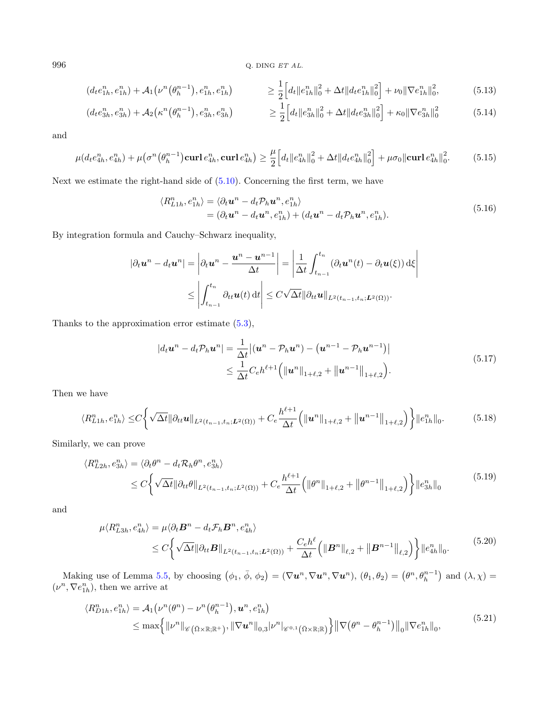996 Q. DING  $ETAL$ .

$$
(d_t e_{1h}^n, e_{1h}^n) + \mathcal{A}_1(\nu^n(\theta_h^{n-1}), e_{1h}^n, e_{1h}^n) \ge \frac{1}{2} \Big[ d_t \|e_{1h}^n\|_0^2 + \Delta t \|d_t e_{1h}^n\|_0^2 \Big] + \nu_0 \|\nabla e_{1h}^n\|_0^2, \tag{5.13}
$$

$$
(d_t e_{3h}^n, e_{3h}^n) + \mathcal{A}_2(\kappa^n(\theta_h^{n-1}), e_{3h}^n, e_{3h}^n) \ge \frac{1}{2} \Big[ d_t \|e_{3h}^n\|_0^2 + \Delta t \|d_t e_{3h}^n\|_0^2 \Big] + \kappa_0 \|\nabla e_{3h}^n\|_0^2 \tag{5.14}
$$

and

$$
\mu(d_t e_{4h}^n, e_{4h}^n) + \mu(\sigma^n(\theta_h^{n-1}) \textbf{curl} \, e_{4h}^n, \textbf{curl} \, e_{4h}^n) \ge \frac{\mu}{2} \Big[ d_t \| e_{4h}^n \|_0^2 + \Delta t \| d_t e_{4h}^n \|_0^2 \Big] + \mu \sigma_0 \|\textbf{curl} \, e_{4h}^n \|_0^2. \tag{5.15}
$$

Next we estimate the right-hand side of [\(5.10\)](#page-26-0). Concerning the first term, we have

$$
\langle R_{L1h}^n, e_{1h}^n \rangle = \langle \partial_t \mathbf{u}^n - d_t \mathcal{P}_h \mathbf{u}^n, e_{1h}^n \rangle
$$
  
=  $(\partial_t \mathbf{u}^n - d_t \mathbf{u}^n, e_{1h}^n) + (d_t \mathbf{u}^n - d_t \mathcal{P}_h \mathbf{u}^n, e_{1h}^n).$  (5.16)

By integration formula and Cauchy–Schwarz inequality,

<span id="page-27-0"></span>
$$
|\partial_t \mathbf{u}^n - d_t \mathbf{u}^n| = \left| \partial_t \mathbf{u}^n - \frac{\mathbf{u}^n - \mathbf{u}^{n-1}}{\Delta t} \right| = \left| \frac{1}{\Delta t} \int_{t_{n-1}}^{t_n} (\partial_t \mathbf{u}^n(t) - \partial_t \mathbf{u}(\xi)) d\xi \right|
$$
  

$$
\leq \left| \int_{t_{n-1}}^{t_n} \partial_{tt} \mathbf{u}(t) dt \right| \leq C \sqrt{\Delta t} ||\partial_{tt} \mathbf{u}||_{L^2(t_{n-1}, t_n; L^2(\Omega))}.
$$

Thanks to the approximation error estimate [\(5.3\)](#page-25-0),

$$
|d_t \mathbf{u}^n - d_t \mathcal{P}_h \mathbf{u}^n| = \frac{1}{\Delta t} |(\mathbf{u}^n - \mathcal{P}_h \mathbf{u}^n) - (\mathbf{u}^{n-1} - \mathcal{P}_h \mathbf{u}^{n-1})|
$$
  
 
$$
\leq \frac{1}{\Delta t} C_e h^{\ell+1} (||\mathbf{u}^n||_{1+\ell,2} + ||\mathbf{u}^{n-1}||_{1+\ell,2}). \tag{5.17}
$$

Then we have

$$
\langle R_{L1h}^{n}, e_{1h}^{n} \rangle \leq C \bigg\{ \sqrt{\Delta t} \|\partial_{tt} \mathbf{u}\|_{L^{2}(t_{n-1}, t_n; L^{2}(\Omega))} + C_{e} \frac{h^{\ell+1}}{\Delta t} \bigg( \|\mathbf{u}^{n}\|_{1+\ell,2} + \|\mathbf{u}^{n-1}\|_{1+\ell,2} \bigg) \bigg\} \|e_{1h}^{n}\|_{0}.
$$
 (5.18)

Similarly, we can prove

$$
\langle R_{L2h}^{n}, e_{3h}^{n} \rangle = \langle \partial_{t} \theta^{n} - d_{t} \mathcal{R}_{h} \theta^{n}, e_{3h}^{n} \rangle
$$
  
 
$$
\leq C \bigg\{ \sqrt{\Delta t} ||\partial_{tt} \theta||_{L^{2}(t_{n-1}, t_{n}; L^{2}(\Omega))} + C_{e} \frac{h^{\ell+1}}{\Delta t} \bigg( \|\theta^{n}\|_{1+\ell, 2} + \|\theta^{n-1}\|_{1+\ell, 2} \bigg) \bigg\} ||e_{3h}^{n}||_{0}
$$
(5.19)

and

$$
\mu \langle R_{L3h}^{n}, e_{4h}^{n} \rangle = \mu \langle \partial_t \mathbf{B}^{n} - d_t \mathcal{F}_h \mathbf{B}^{n}, e_{4h}^{n} \rangle
$$
  
\n
$$
\leq C \bigg\{ \sqrt{\Delta t} || \partial_{tt} \mathbf{B} ||_{L^2(t_{n-1}, t_n; \mathbf{L}^2(\Omega))} + \frac{C_e h^{\ell}}{\Delta t} \bigg( ||\mathbf{B}^{n}||_{\ell,2} + ||\mathbf{B}^{n-1}||_{\ell,2} \bigg) \bigg\} ||e_{4h}^{n}||_{0}.
$$
\n(5.20)

Making use of Lemma [5.5,](#page-26-1) by choosing  $(\phi_1, \bar{\phi}, \phi_2) = (\nabla u^n, \nabla u^n, \nabla u^n), (\theta_1, \theta_2) = (\theta^n, \theta_h^{n-1})$  and  $(\lambda, \chi) =$  $(\nu^n, \nabla e_{1h}^n)$ , then we arrive at

$$
\langle R_{D1h}^{n}, e_{1h}^{n} \rangle = A_1(\nu^{n}(\theta^{n}) - \nu^{n}(\theta_{h}^{n-1}), \mathbf{u}^{n}, e_{1h}^{n})
$$
  
\n
$$
\leq \max \left\{ \|\nu^{n}\|_{\mathscr{C}(\bar{\Omega} \times \mathbb{R}; \mathbb{R}^{+})}, \|\nabla \mathbf{u}^{n}\|_{0,3} |\nu^{n}|_{\mathscr{C}^{0,1}(\bar{\Omega} \times \mathbb{R}; \mathbb{R})} \right\} \|\nabla (\theta^{n} - \theta_{h}^{n-1})\|_{0} \|\nabla e_{1h}^{n}\|_{0}, \tag{5.21}
$$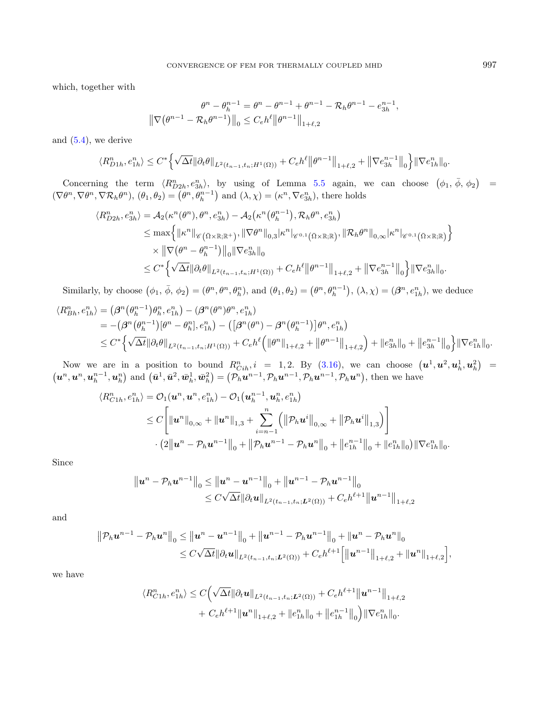which, together with

$$
\theta^{n} - \theta_{h}^{n-1} = \theta^{n} - \theta^{n-1} + \theta^{n-1} - \mathcal{R}_{h}\theta^{n-1} - e_{3h}^{n-1},
$$
  

$$
\|\nabla(\theta^{n-1} - \mathcal{R}_{h}\theta^{n-1})\|_{0} \leq C_{e}h^{\ell} \|\theta^{n-1}\|_{1+\ell,2}
$$

and [\(5.4\)](#page-25-2), we derive

$$
\langle R_{D1h}^n, e_{1h}^n \rangle \leq C^* \Big\{ \sqrt{\Delta t} \|\partial_t \theta\|_{L^2(t_{n-1}, t_n; H^1(\Omega))} + C_e h^\ell \big\| \theta^{n-1} \big\|_{1+\ell,2} + \big\| \nabla e_{3h}^{n-1} \big\|_0 \Big\} \|\nabla e_{1h}^n\|_0.
$$

Concerning the term  $\langle R_{D2h}^n, e_{3h}^n \rangle$ , by using of Lemma [5.5](#page-26-1) again, we can choose  $(\phi_1, \bar{\phi}, \phi_2)$  =  $(\nabla \theta^n, \nabla \theta^n, \nabla \mathcal{R}_h \theta^n), (\theta_1, \theta_2) = (\theta^n, \theta_h^{n-1})$  and  $(\lambda, \chi) = (\kappa^n, \nabla e_{3h}^n)$ , there holds

$$
\langle R_{D2h}^{n}, e_{3h}^{n} \rangle = A_{2}(\kappa^{n}(\theta^{n}), \theta^{n}, e_{3h}^{n}) - A_{2}(\kappa^{n}(\theta_{h}^{n-1}), \mathcal{R}_{h}\theta^{n}, e_{3h}^{n})
$$
  
\n
$$
\leq \max \{ \|\kappa^{n}\|_{\mathscr{C}(\bar{\Omega}\times\mathbb{R};\mathbb{R}^{+})}, \|\nabla\theta^{n}\|_{0,3}|\kappa^{n}|_{\mathscr{C}^{0,1}(\bar{\Omega}\times\mathbb{R};\mathbb{R})}, \|\mathcal{R}_{h}\theta^{n}\|_{0,\infty}|\kappa^{n}|_{\mathscr{C}^{0,1}(\bar{\Omega}\times\mathbb{R};\mathbb{R})} \}
$$
  
\n
$$
\times \|\nabla(\theta^{n}-\theta_{h}^{n-1})\|_{0}\|\nabla e_{3h}^{n}\|_{0}
$$
  
\n
$$
\leq C^{*} \Big\{\sqrt{\Delta t} \|\partial_{t}\theta\|_{L^{2}(t_{n-1},t_{n};H^{1}(\Omega))} + C_{e}h^{\ell} \|\theta^{n-1}\|_{1+\ell,2} + \|\nabla e_{3h}^{n-1}\|_{0}\Big\} \|\nabla e_{3h}^{n}\|_{0}.
$$

Similarly, by choose  $(\phi_1, \bar{\phi}, \phi_2) = (\theta^n, \theta^n, \theta_h^n)$ , and  $(\theta_1, \theta_2) = (\theta^n, \theta_h^{n-1})$ ,  $(\lambda, \chi) = (\beta^n, e_{1h}^n)$ , we deduce

$$
\langle R_{Bh}^{n}, e_{1h}^{n} \rangle = (\beta^{n} (\theta_{h}^{n-1}) \theta_{h}^{n}, e_{1h}^{n}) - (\beta^{n} (\theta^{n}) \theta^{n}, e_{1h}^{n})
$$
  
= -(\beta^{n} (\theta\_{h}^{n-1}) [\theta^{n} - \theta\_{h}^{n}], e\_{1h}^{n}) - ([\beta^{n} (\theta^{n}) - \beta^{n} (\theta\_{h}^{n-1})] \theta^{n}, e\_{1h}^{n})  

$$
\leq C^{*} \Big\{ \sqrt{\Delta t} ||\partial_{t} \theta||_{L^{2}(t_{n-1}, t_{n}; H^{1}(\Omega))} + C_{e} h^{\ell} \Big( ||\theta^{n}||_{1+\ell,2} + ||\theta^{n-1}||_{1+\ell,2} \Big) + ||e_{3h}^{n}||_{0} + ||e_{3h}^{n-1}||_{0} \Big\} ||\nabla e_{1h}^{n}||_{0}.
$$

Now we are in a position to bound  $R_{Cih}^n$ ,  $i = 1, 2$ . By  $(3.16)$ , we can choose  $(\mathbf{u}^1, \mathbf{u}^2, \mathbf{u}_h^1, \mathbf{u}_h^2) =$  $(\boldsymbol{u}^n, \boldsymbol{u}^n, \boldsymbol{u}^{n-1}_h, \boldsymbol{u}^n_h)$  and  $(\bar{\boldsymbol{u}}^1, \bar{\boldsymbol{u}}^2, \bar{\boldsymbol{w}}^1_h, \bar{\boldsymbol{w}}^2_h) = (\mathcal{P}_h \boldsymbol{u}^{n-1}, \mathcal{P}_h \boldsymbol{u}^{n-1}, \mathcal{P}_h \boldsymbol{u}^{n-1}, \mathcal{P}_h \boldsymbol{u}^n)$ , then we have

$$
\langle R_{C1h}^{n}, e_{1h}^{n} \rangle = \mathcal{O}_{1}(\boldsymbol{u}^{n}, \boldsymbol{u}^{n}, e_{1h}^{n}) - \mathcal{O}_{1}(\boldsymbol{u}_{h}^{n-1}, \boldsymbol{u}_{h}^{n}, e_{1h}^{n})
$$
  
\n
$$
\leq C \Bigg[ \|\boldsymbol{u}^{n}\|_{0,\infty} + \|\boldsymbol{u}^{n}\|_{1,3} + \sum_{i=n-1}^{n} \Big( \|\mathcal{P}_{h}\boldsymbol{u}^{i}\|_{0,\infty} + \|\mathcal{P}_{h}\boldsymbol{u}^{i}\|_{1,3} \Big) \Bigg] \cdot (2\|\boldsymbol{u}^{n} - \mathcal{P}_{h}\boldsymbol{u}^{n-1}\|_{0} + \|\mathcal{P}_{h}\boldsymbol{u}^{n-1} - \mathcal{P}_{h}\boldsymbol{u}^{n}\|_{0} + \|e_{1h}^{n-1}\|_{0} + \|e_{1h}^{n}\|_{0}) \|\nabla e_{1h}^{n}\|_{0}.\n\Bigg]
$$

Since

$$
||u^{n} - P_h u^{n-1}||_0 \le ||u^{n} - u^{n-1}||_0 + ||u^{n-1} - P_h u^{n-1}||_0
$$
  
\n
$$
\le C\sqrt{\Delta t} ||\partial_t u||_{L^2(t_{n-1}, t_n; L^2(\Omega))} + C_e h^{\ell+1} ||u^{n-1}||_{1+\ell, 2}
$$

and

$$
\|\mathcal{P}_h \mathbf{u}^{n-1} - \mathcal{P}_h \mathbf{u}^n\|_0 \leq \|\mathbf{u}^n - \mathbf{u}^{n-1}\|_0 + \|\mathbf{u}^{n-1} - \mathcal{P}_h \mathbf{u}^{n-1}\|_0 + \|\mathbf{u}^n - \mathcal{P}_h \mathbf{u}^n\|_0
$$
  

$$
\leq C\sqrt{\Delta t} \|\partial_t \mathbf{u}\|_{L^2(t_{n-1}, t_n; \mathbf{L}^2(\Omega))} + C_e h^{\ell+1} \Big[ \|\mathbf{u}^{n-1}\|_{1+\ell,2} + \|\mathbf{u}^n\|_{1+\ell,2} \Big],
$$

we have

$$
\langle R_{C1h}^{n}, e_{1h}^{n} \rangle \leq C \Big( \sqrt{\Delta t} ||\partial_t \mathbf{u}||_{L^2(t_{n-1}, t_n; \mathbf{L}^2(\Omega))} + C_e h^{\ell+1} ||\mathbf{u}^{n-1}||_{1+\ell, 2} + C_e h^{\ell+1} ||\mathbf{u}^{n}||_{1+\ell, 2} + ||e_{1h}^{n}||_0 + ||e_{1h}^{n-1}||_0 \Big) ||\nabla e_{1h}^{n}||_0.
$$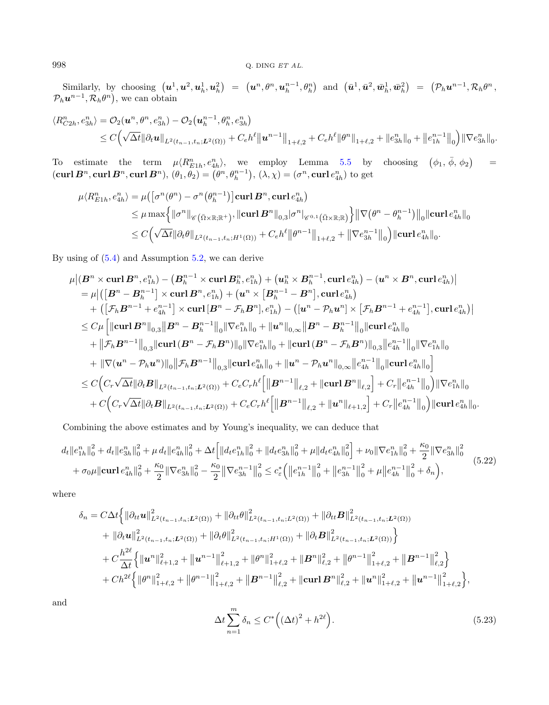$\text{Similarly, by choosing } \left(\boldsymbol{u}^1, \boldsymbol{u}^2, \boldsymbol{u}_h^1, \boldsymbol{u}_h^2\right) \ = \ \left(\boldsymbol{u}^n, \theta^n, \boldsymbol{u}_h^{n-1}, \theta_h^n\right) \ \ \text{and} \ \ \left(\bar{\boldsymbol{u}}^1, \bar{\boldsymbol{u}}^2, \bar{\boldsymbol{w}}_h^1, \bar{\boldsymbol{w}}_h^2\right) \ \ = \ \ \left(\mathcal{P}_h \boldsymbol{u}^{n-1}, \mathcal{R}_h \theta^n, \theta^n, \theta^n\right) \ \ \text{and} \ \ \left(\bar{\boldsymbol{u}}^1, \bar{\bold$  $\mathcal{P}_h \boldsymbol{u}^{n-1}, \mathcal{R}_h \theta^n$ , we can obtain

$$
\langle R_{C2h}^{n}, e_{3h}^{n} \rangle = \mathcal{O}_{2}(\mathbf{u}^{n}, \theta^{n}, e_{3h}^{n}) - \mathcal{O}_{2}(\mathbf{u}_{h}^{n-1}, \theta_{h}^{n}, e_{3h}^{n})
$$
  

$$
\leq C\left(\sqrt{\Delta t} \|\partial_{t}\mathbf{u}\|_{L^{2}(t_{n-1}, t_{n}; L^{2}(\Omega))} + C_{e}h^{\ell} \|\mathbf{u}^{n-1}\|_{1+\ell, 2} + C_{e}h^{\ell} \|\theta^{n}\|_{1+\ell, 2} + \|e_{3h}^{n}\|_{0} + \|e_{1h}^{n-1}\|_{0}\right) \|\nabla e_{3h}^{n}\|_{0}.
$$

To estimate the term  $\mu \langle R_{E1h}^n, e_{4h}^n \rangle$ , we employ Lemma [5.5](#page-26-1) by choosing  $(\phi_1, \bar{\phi}, \phi_2)$ =  $(\mathbf{curl}\,\bm{B}^n,\mathbf{curl}\,\bm{B}^n,\mathbf{curl}\,\bm{B}^n),\, (\theta_1,\theta_2)=\big(\theta^n,\theta^{n-1}_h\big),\, (\lambda,\chi)=(\sigma^n,\mathbf{curl}\,e^n_{4h})$  to get

$$
\mu \langle R_{E1h}^{n}, e_{4h}^{n} \rangle = \mu \Big( \big[ \sigma^{n}(\theta^{n}) - \sigma^{n}(\theta_{h}^{n-1}) \big] \mathbf{curl} \, \mathbf{B}^{n}, \mathbf{curl} \, e_{4h}^{n} \Big) \n\leq \mu \max \Big\{ \|\sigma^{n}\|_{\mathscr{C}(\Omega \times \mathbb{R}; \mathbb{R}^{+})}, \|\mathbf{curl} \, \mathbf{B}^{n}\|_{0,3} |\sigma^{n}|_{\mathscr{C}^{0,1}(\Omega \times \mathbb{R}; \mathbb{R})} \Big\} \big\| \nabla (\theta^{n} - \theta_{h}^{n-1}) \big\|_{0} \|\mathbf{curl} \, e_{4h}^{n}\|_{0} \n\leq C \Big( \sqrt{\Delta t} \| \partial_{t} \theta \|_{L^{2}(t_{n-1}, t_{n}; H^{1}(\Omega))} + C_{e} h^{\ell} \| \theta^{n-1} \|_{1+\ell,2} + \| \nabla e_{3h}^{n-1} \|_{0} \Big) \|\mathbf{curl} \, e_{4h}^{n}\|_{0}.
$$

By using of [\(5.4\)](#page-25-2) and Assumption [5.2,](#page-24-1) we can derive

<span id="page-29-0"></span>
$$
\begin{aligned} & \mu \big|\left( \bm{B}^n \times \bm{\mathrm{curl}} \, \bm{B}^n, e_{1h}^n \right) - \left( \bm{B}_h^{n-1} \times \bm{\mathrm{curl}} \, \bm{B}_h^n, e_{1h}^n \right) + \left( \bm{u}_h^n \times \bm{B}_h^{n-1}, \bm{\mathrm{curl}} \, e_{4h}^n \right) - (\bm{u}^n \times \bm{B}^n, \bm{\mathrm{curl}} \, e_{4h}^n) \big| \\ & = \mu \big| \big( \big[ \bm{B}^n - \bm{B}_h^{n-1} \big] \times \bm{\mathrm{curl}} \, \bm{B}^n, e_{1h}^n \big) + \left( \bm{u}^n \times \big[ \bm{B}_h^{n-1} - \bm{B}^n \big], \bm{\mathrm{curl}} \, e_{4h}^n \big) \right. \\ & \quad + \left( \big[ \mathcal{F}_h \bm{B}^{n-1} + e_{4h}^{n-1} \big] \times \bm{\mathrm{curl}} \, \big[ \bm{B}^n - \mathcal{F}_h \bm{B}^n \big], e_{1h}^n \right) - \left( \big[ \bm{u}^n - \mathcal{P}_h \bm{u}^n \big] \times \big[ \mathcal{F}_h \bm{B}^{n-1} + e_{4h}^{n-1} \big], \bm{\mathrm{curl}} \, e_{4h}^n \big] \right| \\ & \leq C \mu \left[ \|\bm{\mathrm{curl}} \, \bm{B}^n \big\|_{0,3} \big\| \bm{B}^n - \bm{B}_h^{n-1} \big\|_{0} \big\| \nabla e_{1h}^n \big\|_{0} + \big\| \bm{u}^n \big\|_{0,\infty} \big\| \bm{B}^n - \bm{B}_h^{n-1} \big\|_{0} \big\| \bm{\mathrm{curl}} \, e_{4h}^n \big\|_{0} \\ & \quad + \big\| \mathcal{F}_h \bm{B}^{n-1} \big\|_{0,3} \big\| \bm{\mathrm{curl}} \, (\bm{B}^n - \mathcal{F}_h \bm{B}^n) \big\|_{0} \big\| \nabla e_{1h}^n \big\|_{0} + \big\| \bm{\mathrm{curl}}
$$

Combining the above estimates and by Young's inequality, we can deduce that

<span id="page-29-1"></span>
$$
d_{t}||e_{1h}^{n}||_{0}^{2} + d_{t}||e_{3h}^{n}||_{0}^{2} + \mu d_{t}||e_{4h}^{n}||_{0}^{2} + \Delta t \Big[||d_{t}e_{1h}^{n}||_{0}^{2} + ||d_{t}e_{3h}^{n}||_{0}^{2} + \mu||d_{t}e_{4h}^{n}||_{0}^{2} \Big] + \nu_{0}||\nabla e_{1h}^{n}||_{0}^{2} + \frac{\kappa_{0}}{2}||\nabla e_{3h}^{n}||_{0}^{2} + \sigma_{0}\mu||\mathbf{curl}\,e_{4h}^{n}||_{0}^{2} + \frac{\kappa_{0}}{2}||\nabla e_{3h}^{n}||_{0}^{2} - \frac{\kappa_{0}}{2}||\nabla e_{3h}^{n}||_{0}^{2} \le c_{\varepsilon}^{*}\Big(\big||e_{1h}^{n-1}||_{0}^{2} + \big||e_{3h}^{n-1}||_{0}^{2} + \mu\big||e_{4h}^{n-1}||_{0}^{2} + \delta_{n}\Big),\tag{5.22}
$$

where

$$
\delta_n = C \Delta t \Big\{ \|\partial_{tt} \mathbf{u}\|_{L^2(t_{n-1},t_n;L^2(\Omega))}^2 + \|\partial_{tt} \theta\|_{L^2(t_{n-1},t_n;L^2(\Omega))}^2 + \|\partial_{tt} \mathbf{B}\|_{L^2(t_{n-1},t_n;L^2(\Omega))}^2
$$
  
+ 
$$
\|\partial_t \mathbf{u}\|_{L^2(t_{n-1},t_n;L^2(\Omega))}^2 + \|\partial_t \theta\|_{L^2(t_{n-1},t_n;H^1(\Omega))}^2 + \|\partial_t \mathbf{B}\|_{L^2(t_{n-1},t_n;L^2(\Omega))}^2 \Big\}
$$
  
+ 
$$
C \frac{h^{2\ell}}{\Delta t} \Big\{ \|\mathbf{u}^n\|_{\ell+1,2}^2 + \|\mathbf{u}^{n-1}\|_{\ell+1,2}^2 + \|\theta^n\|_{1+\ell,2}^2 + \|\mathbf{B}^n\|_{\ell,2}^2 + \|\theta^{n-1}\|_{1+\ell,2}^2 + \|\mathbf{B}^{n-1}\|_{\ell,2}^2 \Big\}
$$
  
+ 
$$
Ch^{2\ell} \Big\{ \|\theta^n\|_{1+\ell,2}^2 + \|\theta^{n-1}\|_{1+\ell,2}^2 + \|\mathbf{B}^{n-1}\|_{\ell,2}^2 + \|\mathbf{curl}\,\mathbf{B}^n\|_{\ell,2}^2 + \|\mathbf{u}^n\|_{1+\ell,2}^2 + \|\mathbf{u}^{n-1}\|_{1+\ell,2}^2 \Big\},
$$

and

$$
\Delta t \sum_{n=1}^{m} \delta_n \le C^* \left( (\Delta t)^2 + h^{2\ell} \right). \tag{5.23}
$$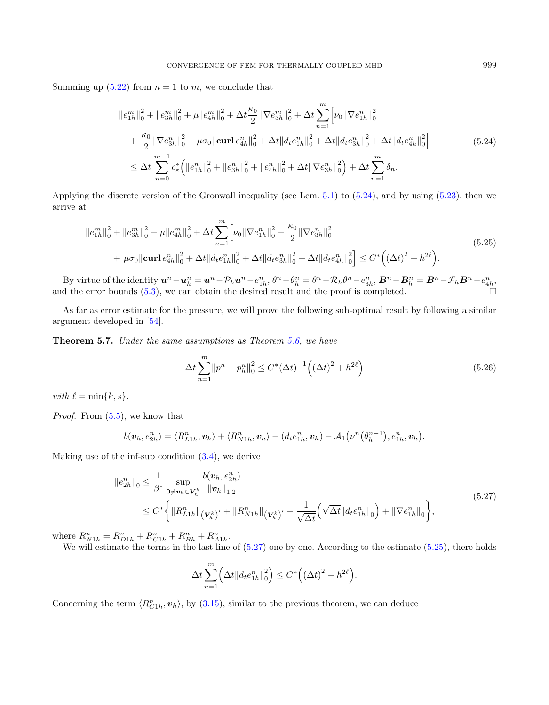<span id="page-30-2"></span>Summing up  $(5.22)$  from  $n = 1$  to m, we conclude that

<span id="page-30-0"></span>
$$
||e_{1h}^{m}||_{0}^{2} + ||e_{3h}^{m}||_{0}^{2} + \mu ||e_{4h}^{m}||_{0}^{2} + \Delta t \frac{\kappa_{0}}{2} ||\nabla e_{3h}^{m}||_{0}^{2} + \Delta t \sum_{n=1}^{m} \Big[ \nu_{0} ||\nabla e_{1h}^{n}||_{0}^{2} + \frac{\kappa_{0}}{2} ||\nabla e_{3h}^{n}||_{0}^{2} + \mu \sigma_{0} ||\text{curl} e_{4h}^{n}||_{0}^{2} + \Delta t ||d_{t}e_{1h}^{n}||_{0}^{2} + \Delta t ||d_{t}e_{3h}^{n}||_{0}^{2} + \Delta t ||d_{t}e_{4h}^{n}||_{0}^{2} \Big]
$$
  

$$
\leq \Delta t \sum_{n=0}^{m-1} c_{\varepsilon}^{*} (||e_{1h}^{n}||_{0}^{2} + ||e_{3h}^{n}||_{0}^{2} + ||e_{4h}^{n}||_{0}^{2} + \Delta t ||\nabla e_{3h}^{n}||_{0}^{2} + \Delta t \sum_{n=1}^{m} \delta_{n}.
$$
 (5.24)

Applying the discrete version of the Gronwall inequality (see Lem. [5.1\)](#page-24-3) to [\(5.24\)](#page-30-0), and by using [\(5.23\)](#page-29-1), then we arrive at

$$
||e_{1h}^{m}||_{0}^{2} + ||e_{3h}^{m}||_{0}^{2} + \mu ||e_{4h}^{m}||_{0}^{2} + \Delta t \sum_{n=1}^{m} \left[ \nu_{0} ||\nabla e_{1h}^{n}||_{0}^{2} + \frac{\kappa_{0}}{2} ||\nabla e_{3h}^{n}||_{0}^{2} + \mu \sigma_{0} ||\mathbf{curl} e_{4h}^{n}||_{0}^{2} + \Delta t ||d_{t} e_{1h}^{n}||_{0}^{2} + \Delta t ||d_{t} e_{3h}^{n}||_{0}^{2} + \Delta t ||d_{t} e_{4h}^{n}||_{0}^{2} \right] \leq C^{*} \left( (\Delta t)^{2} + h^{2\ell} \right).
$$
\n(5.25)

By virtue of the identity  $u^n - u_h^n = u^n - \mathcal{P}_h u^n - e_{1h}^n$ ,  $\theta^n - \theta_h^n = \theta^n - \mathcal{R}_h \theta^n - e_{3h}^n$ ,  $B^n - B_h^n = B^n - \mathcal{F}_h B^n - e_{4h}^n$ , and the error bounds [\(5.3\)](#page-25-0), we can obtain the desired result and the proof is completed.

As far as error estimate for the pressure, we will prove the following sub-optimal result by following a similar argument developed in [\[54\]](#page-36-0).

Theorem 5.7. Under the same assumptions as Theorem [5.6,](#page-26-0) we have

<span id="page-30-1"></span>
$$
\Delta t \sum_{n=1}^{m} ||p^n - p_h^n||_0^2 \le C^* (\Delta t)^{-1} \left( (\Delta t)^2 + h^{2\ell} \right)
$$
\n(5.26)

with  $\ell = \min\{k, s\}.$ 

Proof. From  $(5.5)$ , we know that

$$
b(\boldsymbol{v}_h, e^n_{2h}) = \langle R^n_{L1h}, \boldsymbol{v}_h \rangle + \langle R^n_{N1h}, \boldsymbol{v}_h \rangle - (d_t e^n_{1h}, \boldsymbol{v}_h) - A_1(\nu^n(\theta^{n-1}_h), e^n_{1h}, \boldsymbol{v}_h).
$$

Making use of the inf-sup condition [\(3.4\)](#page-6-0), we derive

$$
\|e_{2h}^{n}\|_{0} \leq \frac{1}{\beta^{*}} \sup_{\mathbf{0} \neq \mathbf{v}_{h} \in \mathbf{V}_{h}^{k}} \frac{b(\mathbf{v}_{h}, e_{2h}^{n})}{\|\mathbf{v}_{h}\|_{1,2}} \leq C^{*} \bigg\{ \|R_{L1h}^{n}\|_{(\mathbf{V}_{h}^{k})'} + \|R_{N1h}^{n}\|_{(\mathbf{V}_{h}^{k})'} + \frac{1}{\sqrt{\Delta t}} \Big(\sqrt{\Delta t} \|d_{t}e_{1h}^{n}\|_{0}\Big) + \|\nabla e_{1h}^{n}\|_{0} \bigg\},
$$
\n(5.27)

where  $R_{N1h}^n = R_{D1h}^n + R_{C1h}^n + R_{Bh}^n + R_{A1h}^n$ .

We will estimate the terms in the last line of  $(5.27)$  one by one. According to the estimate  $(5.25)$ , there holds

$$
\Delta t \sum_{n=1}^{m} \left( \Delta t \| d_t e_{1h}^n \|_0^2 \right) \leq C^* \left( \left( \Delta t \right)^2 + h^{2\ell} \right).
$$

Concerning the term  $\langle R_{Ch}^n, v_h \rangle$ , by [\(3.15\)](#page-9-3), similar to the previous theorem, we can deduce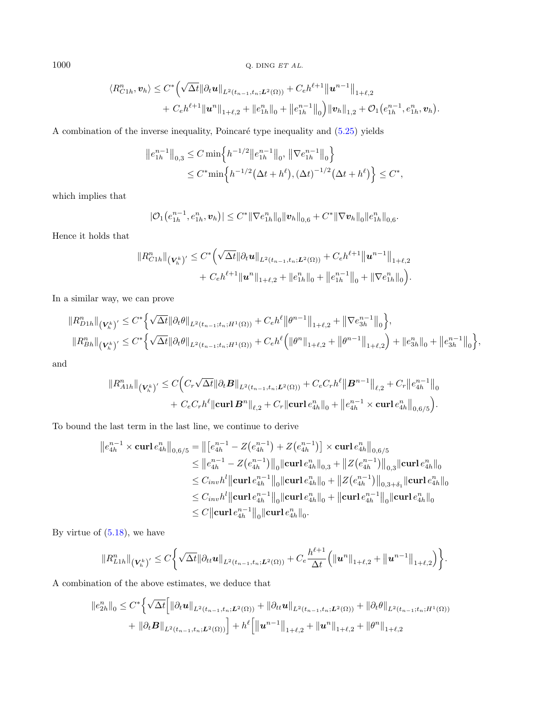1000  $Q.$  DING  $ETAL$ .

$$
\langle R_{C1h}^{n}, \mathbf{v}_{h} \rangle \leq C^{*} \Big( \sqrt{\Delta t} \|\partial_{t} \mathbf{u}\|_{L^{2}(t_{n-1}, t_{n};\mathbf{L}^{2}(\Omega))} + C_{e} h^{\ell+1} \big\| \mathbf{u}^{n-1} \big\|_{1+\ell,2} + C_{e} h^{\ell+1} \|\mathbf{u}^{n}\|_{1+\ell,2} + \|e_{1h}^{n}\|_{0} + \|e_{1h}^{n-1}\|_{0} \Big) \|\mathbf{v}_{h}\|_{1,2} + \mathcal{O}_{1}(e_{1h}^{n-1}, e_{1h}^{n}, \mathbf{v}_{h}).
$$

A combination of the inverse inequality, Poincaré type inequality and  $(5.25)$  yields

$$
||e_{1h}^{n-1}||_{0,3} \leq C \min\left\{ h^{-1/2} ||e_{1h}^{n-1}||_0, ||\nabla e_{1h}^{n-1}||_0 \right\}
$$
  

$$
\leq C^* \min\left\{ h^{-1/2} (\Delta t + h^{\ell}), (\Delta t)^{-1/2} (\Delta t + h^{\ell}) \right\} \leq C^*,
$$

which implies that

$$
|\mathcal{O}_1(e_{1h}^{n-1}, e_{1h}^n, \mathbf{v}_h)| \leq C^* \|\nabla e_{1h}^n\|_0 \|\mathbf{v}_h\|_{0,6} + C^* \|\nabla \mathbf{v}_h\|_0 \|e_{1h}^n\|_{0,6}.
$$

Hence it holds that

$$
||R_{C1h}^{n}||_{(V_h^k)'} \leq C^* \Big( \sqrt{\Delta t} ||\partial_t \boldsymbol{u}||_{L^2(t_{n-1},t_n;L^2(\Omega))} + C_e h^{\ell+1} ||\boldsymbol{u}^{n-1}||_{1+\ell,2} + C_e h^{\ell+1} ||\boldsymbol{u}^n||_{1+\ell,2} + ||e_{1h}^n||_0 + ||e_{1h}^{n-1}||_0 + ||\nabla e_{1h}^n||_0 \Big).
$$

In a similar way, we can prove

$$
\|R_{D1h}^{n}\|_{\left(\mathbf{V}_{h}^{k}\right)'} \leq C^{*} \Big\{ \sqrt{\Delta t} \|\partial_{t}\theta\|_{L^{2}(t_{n-1};t_{n};H^{1}(\Omega))} + C_{e}h^{\ell} \big\|\theta^{n-1}\big\|_{1+\ell,2} + \|\nabla e_{3h}^{n-1}\big\|_{0}\Big\},
$$
  

$$
\|R_{Bh}^{n}\|_{\left(\mathbf{V}_{h}^{k}\right)'} \leq C^{*} \Big\{ \sqrt{\Delta t} \|\partial_{t}\theta\|_{L^{2}(t_{n-1};t_{n};H^{1}(\Omega))} + C_{e}h^{\ell} \Big(\|\theta^{n}\|_{1+\ell,2} + \|\theta^{n-1}\|_{1+\ell,2}\Big) + \|e_{3h}^{n}\|_{0} + \|e_{3h}^{n-1}\|_{0}\Big\},
$$

and

$$
\|R_{A1h}^{n}\|_{\left(\mathbf{V}_{h}^{k}\right)'} \leq C \Big(C_{r} \sqrt{\Delta t} \|\partial_{t} \mathbf{B} \|_{L^{2}(t_{n-1},t_{n};\mathbf{L}^{2}(\Omega))} + C_{e} C_{r} h^{\ell} \| \mathbf{B}^{n-1} \|_{\ell,2} + C_{r} \|e_{4h}^{n-1} \|_{0} + C_{e} C_{r} h^{\ell} \| \mathbf{curl} \mathbf{B}^{n} \|_{\ell,2} + C_{r} \| \mathbf{curl} \, e_{4h}^{n} \|_{0} + \|e_{4h}^{n-1} \times \mathbf{curl} \, e_{4h}^{n} \|_{0,6/5}\Big).
$$

To bound the last term in the last line, we continue to derive

$$
||e_{4h}^{n-1} \times \operatorname{\bf curl} e_{4h}^{n}||_{0,6/5} = ||[e_{4h}^{n-1} - Z(e_{4h}^{n-1}) + Z(e_{4h}^{n-1})] \times \operatorname{\bf curl} e_{4h}^{n}||_{0,6/5}
$$
  
\n
$$
\leq ||e_{4h}^{n-1} - Z(e_{4h}^{n-1})||_{0} ||\operatorname{\bf curl} e_{4h}^{n}||_{0,3} + ||Z(e_{4h}^{n-1})||_{0,3} ||\operatorname{\bf curl} e_{4h}^{n}||_{0}
$$
  
\n
$$
\leq C_{inv} h^{l} ||\operatorname{\bf curl} e_{4h}^{n-1}||_{0} ||\operatorname{\bf curl} e_{4h}^{n}||_{0} + ||Z(e_{4h}^{n-1})||_{0,3+\delta_{1}} ||\operatorname{\bf curl} e_{4h}^{n}||_{0}
$$
  
\n
$$
\leq C_{inv} h^{l} ||\operatorname{\bf curl} e_{4h}^{n-1}||_{0} ||\operatorname{\bf curl} e_{4h}^{n}||_{0} + ||\operatorname{\bf curl} e_{4h}^{n-1}||_{0} ||\operatorname{\bf curl} e_{4h}^{n}||_{0}
$$
  
\n
$$
\leq C ||\operatorname{\bf curl} e_{4h}^{n-1}||_{0} ||\operatorname{\bf curl} e_{4h}^{n}||_{0}.
$$

By virtue of  $(5.18)$ , we have

$$
||R_{L1h}^{n}||_{\left(\mathbf{V}_{h}^{k}\right)'} \leq C\bigg\{\sqrt{\Delta t}||\partial_{tt}u||_{L^{2}(t_{n-1},t_{n};\mathbf{L}^{2}(\Omega))}+C_{e}\frac{h^{\ell+1}}{\Delta t}\bigg(\|u^{n}\|_{1+\ell,2}+\|u^{n-1}\|_{1+\ell,2}\bigg)\bigg\}.
$$

A combination of the above estimates, we deduce that

$$
\|e_{2h}^{n}\|_{0} \leq C^{*} \Big\{\sqrt{\Delta t} \Big[ \|\partial_{t} \mathbf{u}\|_{L^{2}(t_{n-1},t_{n};\mathbf{L}^{2}(\Omega))} + \|\partial_{tt} \mathbf{u}\|_{L^{2}(t_{n-1},t_{n};\mathbf{L}^{2}(\Omega))} + \|\partial_{t} \theta\|_{L^{2}(t_{n-1};t_{n};H^{1}(\Omega))}
$$
  
+  $\|\partial_{t} \mathbf{B}\|_{L^{2}(t_{n-1},t_{n};\mathbf{L}^{2}(\Omega))} \Big] + h^{\ell} \Big[ \|\mathbf{u}^{n-1}\|_{1+\ell,2} + \|\mathbf{u}^{n}\|_{1+\ell,2} + \|\theta^{n}\|_{1+\ell,2} \Big]$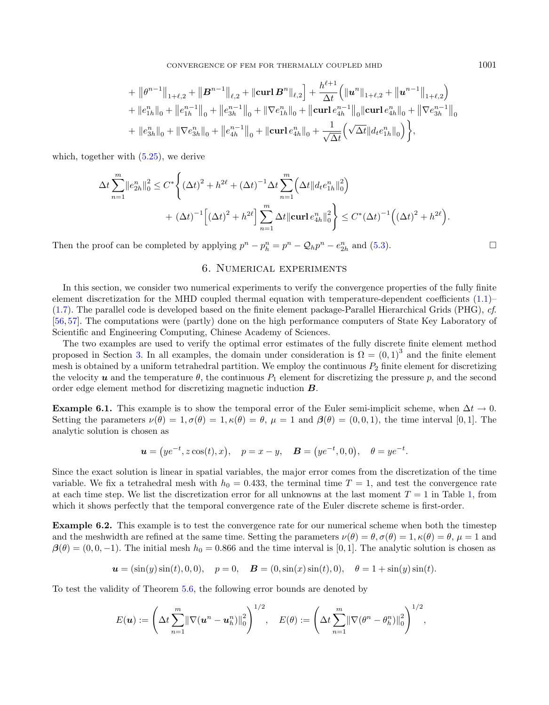CONVERGENCE OF FEM FOR THERMALLY COUPLED MHD 1001

+ 
$$
||\theta^{n-1}||_{1+\ell,2} + ||\mathbf{B}^{n-1}||_{\ell,2} + ||\mathbf{curl}\mathbf{B}^{n}||_{\ell,2} + \frac{h^{\ell+1}}{\Delta t} (||\mathbf{u}^{n}||_{1+\ell,2} + ||\mathbf{u}^{n-1}||_{1+\ell,2})
$$
  
+  $||e_{1h}^{n}||_{0} + ||e_{1h}^{n-1}||_{0} + ||e_{3h}^{n-1}||_{0} + ||\nabla e_{1h}^{n}||_{0} + ||\mathbf{curl}\,e_{4h}^{n-1}||_{0} ||\mathbf{curl}\,e_{4h}^{n}||_{0} + ||\nabla e_{3h}^{n-1}||_{0}$   
+  $||e_{3h}^{n}||_{0} + ||\nabla e_{3h}^{n}||_{0} + ||e_{4h}^{n-1}||_{0} + ||\mathbf{curl}\,e_{4h}^{n}||_{0} + \frac{1}{\sqrt{\Delta t}} (\sqrt{\Delta t}||d_t e_{1h}^{n}||_{0})$ ,

 $\theta$ <sub>1</sub>

which, together with  $(5.25)$ , we derive

$$
\Delta t \sum_{n=1}^{m} ||e_{2h}^{n}||_{0}^{2} \leq C^{*} \Biggl\{ (\Delta t)^{2} + h^{2\ell} + (\Delta t)^{-1} \Delta t \sum_{n=1}^{m} \Biggl( \Delta t ||d_{t}e_{1h}^{n}||_{0}^{2} \Biggr) \n+ (\Delta t)^{-1} \Biggl[ (\Delta t)^{2} + h^{2\ell} \Biggr] \sum_{n=1}^{m} \Delta t ||\mathbf{curl} \, e_{4h}^{n}||_{0}^{2} \Biggr\} \leq C^{*} (\Delta t)^{-1} \Biggl( (\Delta t)^{2} + h^{2\ell} \Biggr).
$$

<span id="page-32-0"></span>Then the proof can be completed by applying  $p^n - p_h^n = p^n - \mathcal{Q}_h p^n - e_{2h}^n$  and [\(5.3\)](#page-25-0).

## 6. Numerical experiments

In this section, we consider two numerical experiments to verify the convergence properties of the fully finite element discretization for the MHD coupled thermal equation with temperature-dependent coefficients [\(1.1\)](#page-0-0)– [\(1.7\)](#page-1-0). The parallel code is developed based on the finite element package-Parallel Hierarchical Grids (PHG), cf. [\[56,](#page-36-4) [57\]](#page-36-5). The computations were (partly) done on the high performance computers of State Key Laboratory of Scientific and Engineering Computing, Chinese Academy of Sciences.

The two examples are used to verify the optimal error estimates of the fully discrete finite element method proposed in Section [3.](#page-5-0) In all examples, the domain under consideration is  $\Omega = (0,1)^3$  and the finite element mesh is obtained by a uniform tetrahedral partition. We employ the continuous  $P_2$  finite element for discretizing the velocity  $\bf{u}$  and the temperature  $\theta$ , the continuous  $P_1$  element for discretizing the pressure p, and the second order edge element method for discretizing magnetic induction  $\bm{B}$ .

<span id="page-32-1"></span>**Example 6.1.** This example is to show the temporal error of the Euler semi-implicit scheme, when  $\Delta t \to 0$ . Setting the parameters  $\nu(\theta) = 1, \sigma(\theta) = 1, \kappa(\theta) = \theta, \mu = 1$  and  $\beta(\theta) = (0, 0, 1)$ , the time interval [0, 1]. The analytic solution is chosen as

$$
\mathbf{u} = (ye^{-t}, z\cos(t), x), \quad p = x - y, \quad \mathbf{B} = (ye^{-t}, 0, 0), \quad \theta = ye^{-t}.
$$

Since the exact solution is linear in spatial variables, the major error comes from the discretization of the time variable. We fix a tetrahedral mesh with  $h_0 = 0.433$ , the terminal time  $T = 1$ , and test the convergence rate at each time step. We list the discretization error for all unknowns at the last moment  $T = 1$  in Table [1,](#page-33-1) from which it shows perfectly that the temporal convergence rate of the Euler discrete scheme is first-order.

<span id="page-32-2"></span>Example 6.2. This example is to test the convergence rate for our numerical scheme when both the timestep and the meshwidth are refined at the same time. Setting the parameters  $\nu(\theta) = \theta$ ,  $\sigma(\theta) = 1$ ,  $\kappa(\theta) = \theta$ ,  $\mu = 1$  and  $\beta(\theta) = (0, 0, -1)$ . The initial mesh  $h_0 = 0.866$  and the time interval is [0,1]. The analytic solution is chosen as

$$
\mathbf{u} = (\sin(y)\sin(t), 0, 0), \quad p = 0, \quad \mathbf{B} = (0, \sin(x)\sin(t), 0), \quad \theta = 1 + \sin(y)\sin(t).
$$

To test the validity of Theorem [5.6,](#page-26-0) the following error bounds are denoted by

$$
E(\boldsymbol{u}) := \left(\Delta t \sum_{n=1}^m \lVert \nabla (\boldsymbol{u}^n - \boldsymbol{u}_h^n) \rVert_0^2\right)^{1/2}, \quad E(\theta) := \left(\Delta t \sum_{n=1}^m \lVert \nabla (\theta^n - \theta_h^n) \rVert_0^2\right)^{1/2},
$$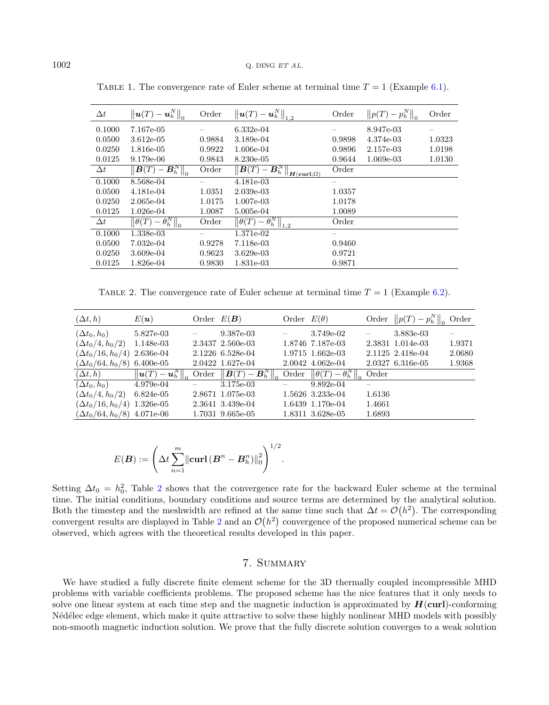| $\Delta t$ | $\left\  \boldsymbol{u}(T) - \boldsymbol{u}_h^N \right\ _0$            | Order  | $\left\  \boldsymbol{u}(T) - \boldsymbol{u}_h^N \right\ _{1,2}$                      | Order  | $  p(T)-p_h^N  _0$ | Order  |
|------------|------------------------------------------------------------------------|--------|--------------------------------------------------------------------------------------|--------|--------------------|--------|
| 0.1000     | 7.167e-05                                                              |        | $6.332e-04$                                                                          |        | 8.947e-03          |        |
| 0.0500     | 3.612e-05                                                              | 0.9884 | 3.189e-04                                                                            | 0.9898 | 4.374e-03          | 1.0323 |
| 0.0250     | 1.816e-05                                                              | 0.9922 | 1.606e-04                                                                            | 0.9896 | 2.157e-03          | 1.0198 |
| 0.0125     | 9.179e-06                                                              | 0.9843 | 8.230e-05                                                                            | 0.9644 | 1.069e-03          | 1.0130 |
| $\Delta t$ | $\left\  \overline{\boldsymbol{B}(T) - \boldsymbol{B}_h^N} \right\ _0$ | Order  | $\left\  \boldsymbol{B}(T) - \boldsymbol{B}_h^N \right\ $<br>$H(\text{curl}:\Omega)$ | Order  |                    |        |
| 0.1000     | 8.568e-04                                                              |        | 4.181e-03                                                                            |        |                    |        |
| 0.0500     | 4.181e-04                                                              | 1.0351 | $2.039e-03$                                                                          | 1.0357 |                    |        |
| 0.0250     | 2.065e-04                                                              | 1.0175 | 1.007e-03                                                                            | 1.0178 |                    |        |
| 0.0125     | $1.026e-04$                                                            | 1.0087 | 5.005e-04                                                                            | 1.0089 |                    |        |
| $\Delta t$ | $\left\Vert \theta(T)-\theta_{h}^{N}\right\Vert _{0}$                  | Order  | $\left\Vert \theta(T)-\theta_{h}^{N}\right\Vert _{1,2}$                              | Order  |                    |        |
| 0.1000     | 1.338e-03                                                              |        | 1.371e-02                                                                            |        |                    |        |
| 0.0500     | 7.032e-04                                                              | 0.9278 | 7.118e-03                                                                            | 0.9460 |                    |        |
| 0.0250     | 3.609e-04                                                              | 0.9623 | $3.629e-03$                                                                          | 0.9721 |                    |        |
| 0.0125     | 1.826e-04                                                              | 0.9830 | 1.831e-03                                                                            | 0.9871 |                    |        |

<span id="page-33-1"></span>TABLE 1. The convergence rate of Euler scheme at terminal time  $T = 1$  (Example [6.1\)](#page-32-1).

TABLE 2. The convergence rate of Euler scheme at terminal time  $T = 1$  (Example [6.2\)](#page-32-2).

<span id="page-33-2"></span>

| $(\Delta t, h)$                    | $E(\boldsymbol{u})$                   | Order $E(\mathbf{B})$ |                                                             | Order $E(\theta)$ |                                                       | Order  | $  p(T)-p_h^N$   | Order  |
|------------------------------------|---------------------------------------|-----------------------|-------------------------------------------------------------|-------------------|-------------------------------------------------------|--------|------------------|--------|
| $(\Delta t_0, h_0)$                | 5.827e-03                             |                       | 9.387e-03                                                   |                   | 3.749e-02                                             |        | 3.883e-03        |        |
| $(\Delta t_0/4, h_0/2)$            | 1.148e-03                             |                       | 2.3437 2.560e-03                                            |                   | 1.8746 7.187e-03                                      |        | 2.3831 1.014e-03 | 1.9371 |
| $(\Delta t_0/16, h_0/4)$           | $2.636e-04$                           |                       | 2.1226 6.528e-04                                            |                   | 1.9715 1.662e-03                                      |        | 2.1125 2.418e-04 | 2.0680 |
| $(\Delta t_0/64, h_0/8)$ 6.400e-05 |                                       |                       | 2.0422 1.627e-04                                            |                   | 2.0042 4.062e-04                                      |        | 2.0327 6.316e-05 | 1.9368 |
| $(\Delta t, h)$                    | $\left \bm{u}(T) - \bm{u}_h^N\right $ | Order                 | $\left\  \boldsymbol{B}(T) - \boldsymbol{B}_h^N \right\ _0$ | Order             | $\left\Vert \theta(T)-\theta_{h}^{N}\right\Vert _{0}$ | Order  |                  |        |
| $(\Delta t_0, h_0)$                | $4.979e-04$                           |                       | 3.175e-03                                                   |                   | $9.892e-04$                                           |        |                  |        |
| $(\Delta t_0/4, h_0/2)$            | $6.824e-05$                           | 2.8671                | $1.075$ e-03                                                |                   | 1.5626 3.233e-04                                      | 1.6136 |                  |        |
| $(\Delta t_0/16, h_0/4)$           | $1.326e-05$                           |                       | 2.3641 3.439e-04                                            |                   | 1.6439 1.170e-04                                      | 1.4661 |                  |        |
| $(\Delta t_0/64, h_0/8)$ 4.071e-06 |                                       |                       | 1.7031 9.665e-05                                            |                   | 1.8311 3.628e-05                                      | 1.6893 |                  |        |

$$
E(\boldsymbol{B}) := \left(\Delta t \sum_{n=1}^m \left\| \mathbf{curl}\,(\boldsymbol{B}^n - \boldsymbol{B}_h^n) \right\|_0^2 \right)^{1/2}.
$$

Setting  $\Delta t_0 = h_0^2$  $\Delta t_0 = h_0^2$ , Table 2 shows that the convergence rate for the backward Euler scheme at the terminal time. The initial conditions, boundary conditions and source terms are determined by the analytical solution. Both the timestep and the meshwidth are refined at the same time such that  $\Delta t = \mathcal{O}(h^2)$ . The corresponding convergent results are displayed in Table [2](#page-33-2) and an  $\mathcal{O}(h^2)$  convergence of the proposed numerical scheme can be observed, which agrees with the theoretical results developed in this paper.

## 7. Summary

<span id="page-33-0"></span>We have studied a fully discrete finite element scheme for the 3D thermally coupled incompressible MHD problems with variable coefficients problems. The proposed scheme has the nice features that it only needs to solve one linear system at each time step and the magnetic induction is approximated by  $H$ (curl)-conforming Nédélec edge element, which make it quite attractive to solve these highly nonlinear MHD models with possibly non-smooth magnetic induction solution. We prove that the fully discrete solution converges to a weak solution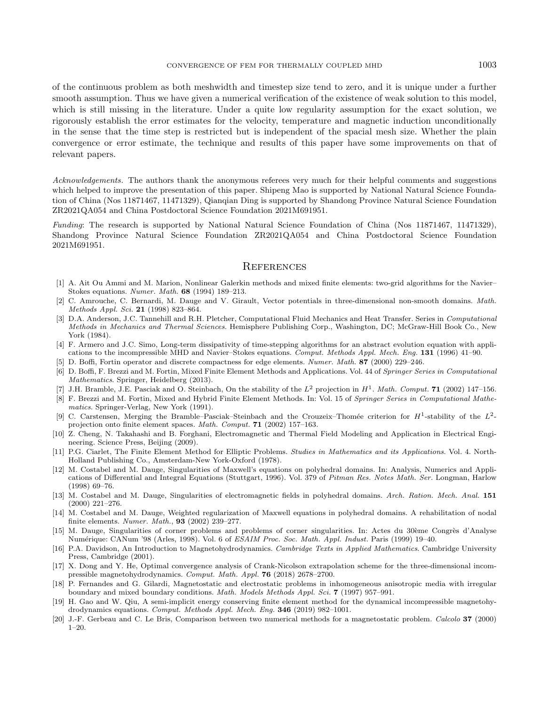of the continuous problem as both meshwidth and timestep size tend to zero, and it is unique under a further smooth assumption. Thus we have given a numerical verification of the existence of weak solution to this model, which is still missing in the literature. Under a quite low regularity assumption for the exact solution, we rigorously establish the error estimates for the velocity, temperature and magnetic induction unconditionally in the sense that the time step is restricted but is independent of the spacial mesh size. Whether the plain convergence or error estimate, the technique and results of this paper have some improvements on that of relevant papers.

<span id="page-34-15"></span><span id="page-34-10"></span><span id="page-34-2"></span>Acknowledgements. The authors thank the anonymous referees very much for their helpful comments and suggestions which helped to improve the presentation of this paper. Shipeng Mao is supported by National Natural Science Foundation of China (Nos 11871467, 11471329), Qianqian Ding is supported by Shandong Province Natural Science Foundation ZR2021QA054 and China Postdoctoral Science Foundation 2021M691951.

<span id="page-34-19"></span><span id="page-34-12"></span><span id="page-34-4"></span>Funding: The research is supported by National Natural Science Foundation of China (Nos 11871467, 11471329), Shandong Province Natural Science Foundation ZR2021QA054 and China Postdoctoral Science Foundation 2021M691951.

#### **REFERENCES**

- <span id="page-34-18"></span><span id="page-34-17"></span><span id="page-34-13"></span>[1] A. Ait Ou Ammi and M. Marion, Nonlinear Galerkin methods and mixed finite elements: two-grid algorithms for the Navier– Stokes equations. Numer. Math. 68 (1994) 189–213.
- <span id="page-34-1"></span>[2] C. Amrouche, C. Bernardi, M. Dauge and V. Girault, Vector potentials in three-dimensional non-smooth domains. Math. Methods Appl. Sci. 21 (1998) 823–864.
- <span id="page-34-14"></span>[3] D.A. Anderson, J.C. Tannehill and R.H. Pletcher, Computational Fluid Mechanics and Heat Transfer. Series in Computational Methods in Mechanics and Thermal Sciences. Hemisphere Publishing Corp., Washington, DC; McGraw-Hill Book Co., New York (1984).
- <span id="page-34-8"></span>[4] F. Armero and J.C. Simo, Long-term dissipativity of time-stepping algorithms for an abstract evolution equation with applications to the incompressible MHD and Navier–Stokes equations. Comput. Methods Appl. Mech. Eng. 131 (1996) 41–90.
- <span id="page-34-9"></span>[5] D. Boffi, Fortin operator and discrete compactness for edge elements. Numer. Math. 87 (2000) 229–246.
- [6] D. Boffi, F. Brezzi and M. Fortin, Mixed Finite Element Methods and Applications. Vol. 44 of Springer Series in Computational Mathematics. Springer, Heidelberg (2013).
- <span id="page-34-6"></span>[7] J.H. Bramble, J.E. Pasciak and O. Steinbach, On the stability of the  $L^2$  projection in  $H^1$ . Math. Comput. **71** (2002) 147-156.
- <span id="page-34-16"></span>[8] F. Brezzi and M. Fortin, Mixed and Hybrid Finite Element Methods. In: Vol. 15 of Springer Series in Computational Mathematics. Springer-Verlag, New York (1991).
- <span id="page-34-0"></span>[9] C. Carstensen, Merging the Bramble–Pasciak–Steinbach and the Crouzeix–Thomée criterion for  $H^1$ -stability of the  $L^2$ projection onto finite element spaces. Math. Comput. 71 (2002) 157–163.
- <span id="page-34-5"></span>[10] Z. Cheng, N. Takahashi and B. Forghani, Electromagnetic and Thermal Field Modeling and Application in Electrical Engineering. Science Press, Beijing (2009).
- <span id="page-34-11"></span>[11] P.G. Ciarlet, The Finite Element Method for Elliptic Problems. Studies in Mathematics and its Applications. Vol. 4. North-Holland Publishing Co., Amsterdam-New York-Oxford (1978).
- <span id="page-34-7"></span>[12] M. Costabel and M. Dauge, Singularities of Maxwell's equations on polyhedral domains. In: Analysis, Numerics and Applications of Differential and Integral Equations (Stuttgart, 1996). Vol. 379 of Pitman Res. Notes Math. Ser. Longman, Harlow (1998) 69–76.
- <span id="page-34-3"></span>[13] M. Costabel and M. Dauge, Singularities of electromagnetic fields in polyhedral domains. Arch. Ration. Mech. Anal. 151 (2000) 221–276.
- [14] M. Costabel and M. Dauge, Weighted regularization of Maxwell equations in polyhedral domains. A rehabilitation of nodal finite elements. Numer. Math., 93 (2002) 239–277.
- [15] M. Dauge, Singularities of corner problems and problems of corner singularities. In: Actes du 30ème Congrès d'Analyse Num´erique: CANum '98 (Arles, 1998). Vol. 6 of ESAIM Proc. Soc. Math. Appl. Indust. Paris (1999) 19–40.
- [16] P.A. Davidson, An Introduction to Magnetohydrodynamics. Cambridge Texts in Applied Mathematics. Cambridge University Press, Cambridge (2001).
- [17] X. Dong and Y. He, Optimal convergence analysis of Crank-Nicolson extrapolation scheme for the three-dimensional incompressible magnetohydrodynamics. Comput. Math. Appl. 76 (2018) 2678–2700.
- [18] P. Fernandes and G. Gilardi, Magnetostatic and electrostatic problems in inhomogeneous anisotropic media with irregular boundary and mixed boundary conditions. Math. Models Methods Appl. Sci. 7 (1997) 957–991.
- [19] H. Gao and W. Qiu, A semi-implicit energy conserving finite element method for the dynamical incompressible magnetohydrodynamics equations. Comput. Methods Appl. Mech. Eng. 346 (2019) 982–1001.
- [20] J.-F. Gerbeau and C. Le Bris, Comparison between two numerical methods for a magnetostatic problem. Calcolo 37 (2000)  $1-20.$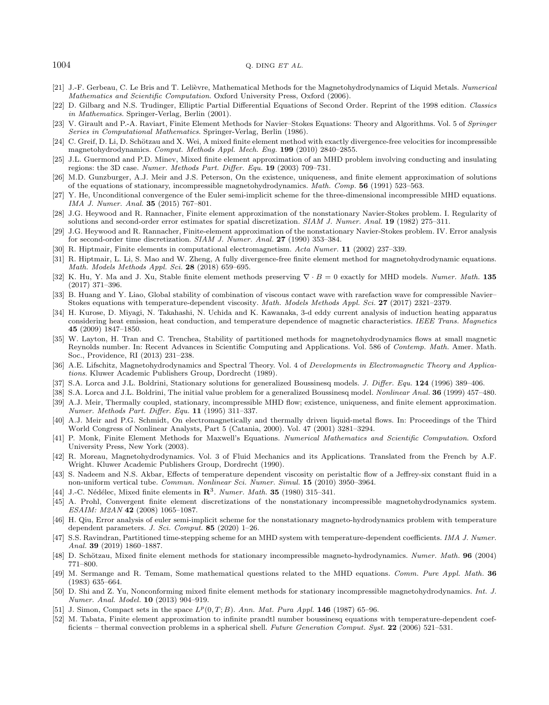#### <span id="page-35-28"></span><span id="page-35-22"></span><span id="page-35-11"></span><span id="page-35-8"></span><span id="page-35-6"></span><span id="page-35-5"></span><span id="page-35-0"></span> $1004$  Q. DING ET AL.

- <span id="page-35-25"></span>[21] J.-F. Gerbeau, C. Le Bris and T. Lelièvre, Mathematical Methods for the Magnetohydrodynamics of Liquid Metals. Numerical Mathematics and Scientific Computation. Oxford University Press, Oxford (2006).
- <span id="page-35-30"></span>[22] D. Gilbarg and N.S. Trudinger, Elliptic Partial Differential Equations of Second Order. Reprint of the 1998 edition. Classics in Mathematics. Springer-Verlag, Berlin (2001).
- <span id="page-35-14"></span><span id="page-35-9"></span>[23] V. Girault and P.-A. Raviart, Finite Element Methods for Navier–Stokes Equations: Theory and Algorithms. Vol. 5 of Springer Series in Computational Mathematics. Springer-Verlag, Berlin (1986).
- <span id="page-35-15"></span>[24] C. Greif, D. Li, D. Schötzau and X. Wei, A mixed finite element method with exactly divergence-free velocities for incompressible magnetohydrodynamics. Comput. Methods Appl. Mech. Eng. 199 (2010) 2840–2855.
- <span id="page-35-18"></span>[25] J.L. Guermond and P.D. Minev, Mixed finite element approximation of an MHD problem involving conducting and insulating regions: the 3D case. Numer. Methods Part. Differ. Equ. 19 (2003) 709–731.
- <span id="page-35-4"></span>[26] M.D. Gunzburger, A.J. Meir and J.S. Peterson, On the existence, uniqueness, and finite element approximation of solutions of the equations of stationary, incompressible magnetohydrodynamics. Math. Comp. 56 (1991) 523–563.
- [27] Y. He, Unconditional convergence of the Euler semi-implicit scheme for the three-dimensional incompressible MHD equations. IMA J. Numer. Anal. 35 (2015) 767–801.
- <span id="page-35-7"></span>[28] J.G. Heywood and R. Rannacher, Finite element approximation of the nonstationary Navier-Stokes problem. I. Regularity of solutions and second-order error estimates for spatial discretization. SIAM J. Numer. Anal. 19 (1982) 275–311.
- <span id="page-35-1"></span>[29] J.G. Heywood and R. Rannacher, Finite-element approximation of the nonstationary Navier-Stokes problem. IV. Error analysis for second-order time discretization. SIAM J. Numer. Anal. 27 (1990) 353–384.
- <span id="page-35-27"></span>R. Hiptmair, Finite elements in computational electromagnetism. Acta Numer. 11 (2002) 237–339.
- <span id="page-35-26"></span>[31] R. Hiptmair, L. Li, S. Mao and W. Zheng, A fully divergence-free finite element method for magnetohydrodynamic equations. Math. Models Methods Appl. Sci. 28 (2018) 659–695.
- <span id="page-35-16"></span>[32] K. Hu, Y. Ma and J. Xu, Stable finite element methods preserving  $\nabla \cdot B = 0$  exactly for MHD models. Numer. Math. 135 (2017) 371–396.
- <span id="page-35-17"></span>[33] B. Huang and Y. Liao, Global stability of combination of viscous contact wave with rarefaction wave for compressible Navier– Stokes equations with temperature-dependent viscosity. Math. Models Methods Appl. Sci. 27 (2017) 2321–2379.
- <span id="page-35-23"></span><span id="page-35-2"></span>[34] H. Kurose, D. Miyagi, N. Takahashi, N. Uchida and K. Kawanaka, 3-d eddy current analysis of induction heating apparatus considering heat emission, heat conduction, and temperature dependence of magnetic characteristics. IEEE Trans. Magnetics 45 (2009) 1847–1850.
- <span id="page-35-19"></span>[35] W. Layton, H. Tran and C. Trenchea, Stability of partitioned methods for magnetohydrodynamics flows at small magnetic Reynolds number. In: Recent Advances in Scientific Computing and Applications. Vol. 586 of Contemp. Math. Amer. Math. Soc., Providence, RI (2013) 231–238.
- <span id="page-35-24"></span><span id="page-35-12"></span>[36] A.E. Lifschitz, Magnetohydrodynamics and Spectral Theory. Vol. 4 of Developments in Electromagnetic Theory and Applications. Kluwer Academic Publishers Group, Dordrecht (1989).
- <span id="page-35-21"></span>[37] S.A. Lorca and J.L. Boldrini, Stationary solutions for generalized Boussinesq models. *J. Differ. Equ.* **124** (1996) 389–406.
- [38] S.A. Lorca and J.L. Boldrini, The initial value problem for a generalized Boussinesq model. *Nonlinear Anal.* **36** (1999) 457–480.
- <span id="page-35-20"></span>[39] A.J. Meir, Thermally coupled, stationary, incompressible MHD flow; existence, uniqueness, and finite element approximation. Numer. Methods Part. Differ. Equ. 11 (1995) 311–337.
- <span id="page-35-10"></span>[40] A.J. Meir and P.G. Schmidt, On electromagnetically and thermally driven liquid-metal flows. In: Proceedings of the Third World Congress of Nonlinear Analysts, Part 5 (Catania, 2000). Vol. 47 (2001) 3281–3294.
- <span id="page-35-31"></span>[41] P. Monk, Finite Element Methods for Maxwell's Equations. Numerical Mathematics and Scientific Computation. Oxford University Press, New York (2003).
- <span id="page-35-13"></span>[42] R. Moreau, Magnetohydrodynamics. Vol. 3 of Fluid Mechanics and its Applications. Translated from the French by A.F. Wright. Kluwer Academic Publishers Group, Dordrecht (1990).
- <span id="page-35-29"></span>[43] S. Nadeem and N.S. Akbar, Effects of temperature dependent viscosity on peristaltic flow of a Jeffrey-six constant fluid in a non-uniform vertical tube. Commun. Nonlinear Sci. Numer. Simul. 15 (2010) 3950–3964.
- <span id="page-35-3"></span>[44] J.-C. Nédélec, Mixed finite elements in  $\mathbb{R}^3$ . Numer. Math. 35 (1980) 315-341.
- [45] A. Prohl, Convergent finite element discretizations of the nonstationary incompressible magnetohydrodynamics system. ESAIM: M2AN 42 (2008) 1065–1087.
- [46] H. Qiu, Error analysis of euler semi-implicit scheme for the nonstationary magneto-hydrodynamics problem with temperature dependent parameters. J. Sci. Comput.  $85$  (2020) 1–26.
- [47] S.S. Ravindran, Partitioned time-stepping scheme for an MHD system with temperature-dependent coefficients. IMA J. Numer. Anal. 39 (2019) 1860–1887.
- [48] D. Schötzau, Mixed finite element methods for stationary incompressible magneto-hydrodynamics. Numer. Math. 96 (2004) 771–800.
- [49] M. Sermange and R. Temam, Some mathematical questions related to the MHD equations. Comm. Pure Appl. Math. 36 (1983) 635–664.
- [50] D. Shi and Z. Yu, Nonconforming mixed finite element methods for stationary incompressible magnetohydrodynamics. Int. J. Numer. Anal. Model. 10 (2013) 904–919.
- [51] J. Simon, Compact sets in the space  $L^p(0, T; B)$ . Ann. Mat. Pura Appl. 146 (1987) 65–96.
- [52] M. Tabata, Finite element approximation to infinite prandtl number boussinesq equations with temperature-dependent coefficients – thermal convection problems in a spherical shell. Future Generation Comput. Syst. 22 (2006) 521–531.